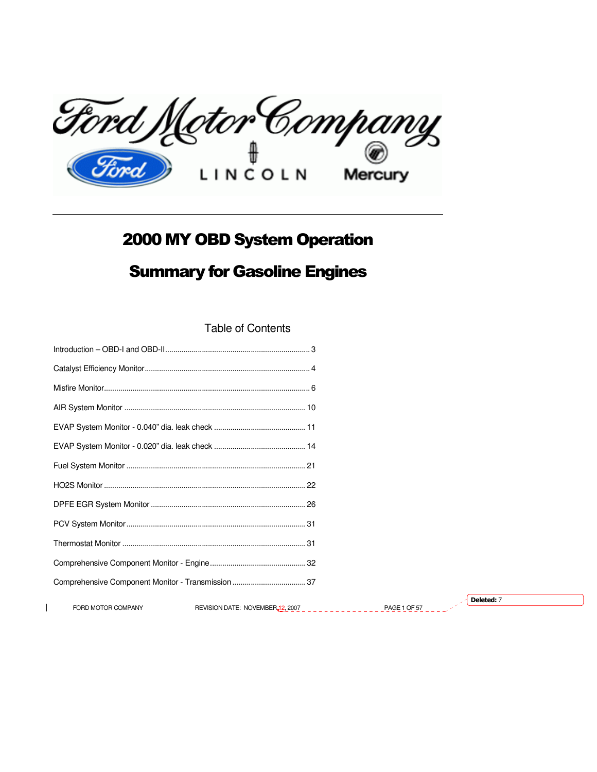

# 2000 MY OBD System Operation

# Summary for Gasoline Engines

Table of Contents

 $\mathbf{I}$ 

| FORD MOTOR COMPANY | REVISION DATE: NOVEMBER <sub>12</sub> , 2007<br><u> Leedsco</u> ll | <b>PAGE 1 OF 57</b> | Deleted: 7 |
|--------------------|--------------------------------------------------------------------|---------------------|------------|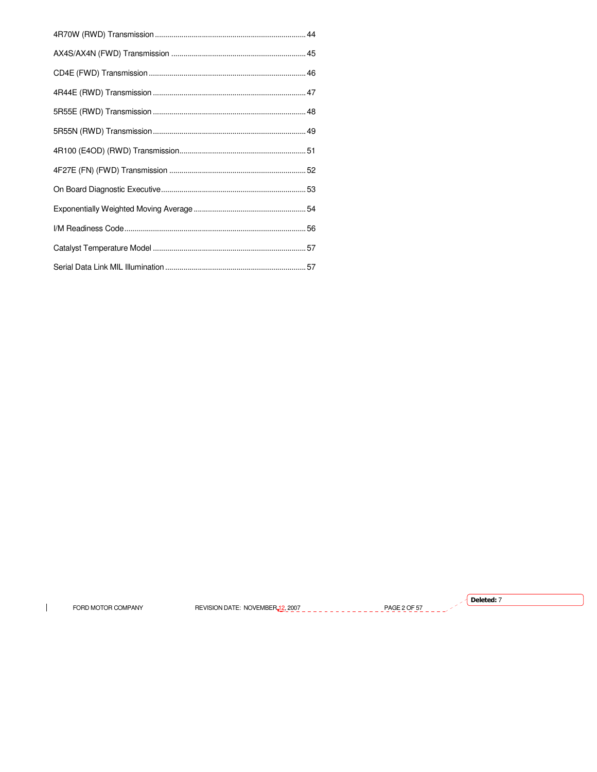$\mathbf{I}$ FORD MOTOR COMPANY

REVISION DATE: NOVEMBER 12,2007 \_\_\_\_\_\_\_\_\_\_\_\_\_\_\_\_\_PAGE 2 OF 57\_\_\_\_

 $\sqrt{}$  Deleted: 7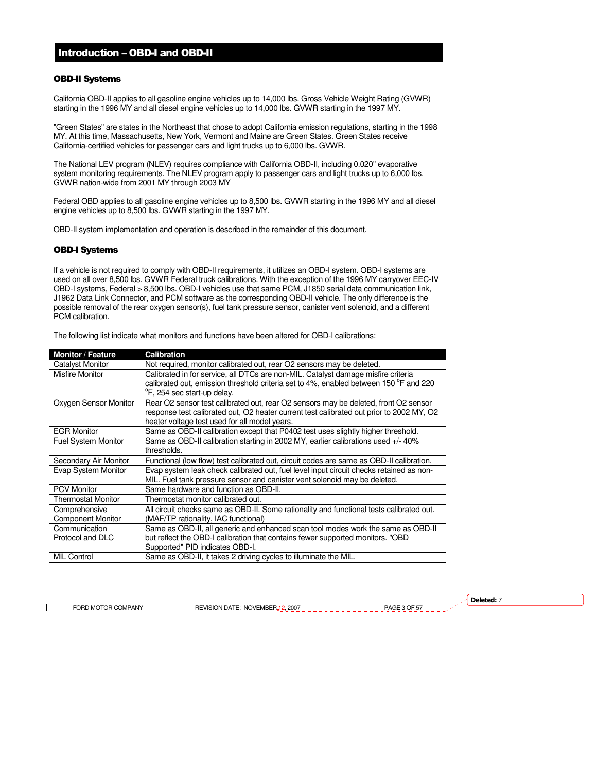# Introduction – OBD-I and OBD-II

## OBD-II Systems

California OBD-II applies to all gasoline engine vehicles up to 14,000 lbs. Gross Vehicle Weight Rating (GVWR) starting in the 1996 MY and all diesel engine vehicles up to 14,000 lbs. GVWR starting in the 1997 MY.

"Green States" are states in the Northeast that chose to adopt California emission regulations, starting in the 1998 MY. At this time, Massachusetts, New York, Vermont and Maine are Green States. Green States receive California-certified vehicles for passenger cars and light trucks up to 6,000 lbs. GVWR.

The National LEV program (NLEV) requires compliance with California OBD-II, including 0.020" evaporative system monitoring requirements. The NLEV program apply to passenger cars and light trucks up to 6,000 lbs. GVWR nation-wide from 2001 MY through 2003 MY

Federal OBD applies to all gasoline engine vehicles up to 8,500 lbs. GVWR starting in the 1996 MY and all diesel engine vehicles up to 8,500 lbs. GVWR starting in the 1997 MY.

OBD-II system implementation and operation is described in the remainder of this document.

# OBD-I Systems

If a vehicle is not required to comply with OBD-II requirements, it utilizes an OBD-I system. OBD-I systems are used on all over 8,500 lbs. GVWR Federal truck calibrations. With the exception of the 1996 MY carryover EEC-IV OBD-I systems, Federal > 8,500 lbs. OBD-I vehicles use that same PCM, J1850 serial data communication link, J1962 Data Link Connector, and PCM software as the corresponding OBD-II vehicle. The only difference is the possible removal of the rear oxygen sensor(s), fuel tank pressure sensor, canister vent solenoid, and a different PCM calibration.

| <b>Monitor / Feature</b>   | <b>Calibration</b>                                                                       |
|----------------------------|------------------------------------------------------------------------------------------|
| <b>Catalyst Monitor</b>    | Not required, monitor calibrated out, rear O2 sensors may be deleted.                    |
| <b>Misfire Monitor</b>     | Calibrated in for service, all DTCs are non-MIL. Catalyst damage misfire criteria        |
|                            | calibrated out, emission threshold criteria set to 4%, enabled between 150 °F and 220    |
|                            | °F, 254 sec start-up delay.                                                              |
| Oxygen Sensor Monitor      | Rear O2 sensor test calibrated out, rear O2 sensors may be deleted, front O2 sensor      |
|                            | response test calibrated out. O2 heater current test calibrated out prior to 2002 MY, O2 |
|                            | heater voltage test used for all model years.                                            |
| <b>EGR Monitor</b>         | Same as OBD-II calibration except that P0402 test uses slightly higher threshold.        |
| <b>Fuel System Monitor</b> | Same as OBD-II calibration starting in 2002 MY, earlier calibrations used +/- 40%        |
|                            | thresholds.                                                                              |
| Secondary Air Monitor      | Functional (low flow) test calibrated out, circuit codes are same as OBD-II calibration. |
| Evap System Monitor        | Evap system leak check calibrated out, fuel level input circuit checks retained as non-  |
|                            | MIL. Fuel tank pressure sensor and canister vent solenoid may be deleted.                |
| <b>PCV Monitor</b>         | Same hardware and function as OBD-II.                                                    |
| Thermostat Monitor         | Thermostat monitor calibrated out.                                                       |
| Comprehensive              | All circuit checks same as OBD-II. Some rationality and functional tests calibrated out. |
| <b>Component Monitor</b>   | (MAF/TP rationality, IAC functional)                                                     |
| Communication              | Same as OBD-II, all generic and enhanced scan tool modes work the same as OBD-II         |
| Protocol and DLC           | but reflect the OBD-I calibration that contains fewer supported monitors. "OBD           |
|                            | Supported" PID indicates OBD-I.                                                          |
| <b>MIL Control</b>         | Same as OBD-II, it takes 2 driving cycles to illuminate the MIL.                         |

The following list indicate what monitors and functions have been altered for OBD-I calibrations:

FORD MOTOR COMPANY REVISION DATE: NOVEMBER 12, 2007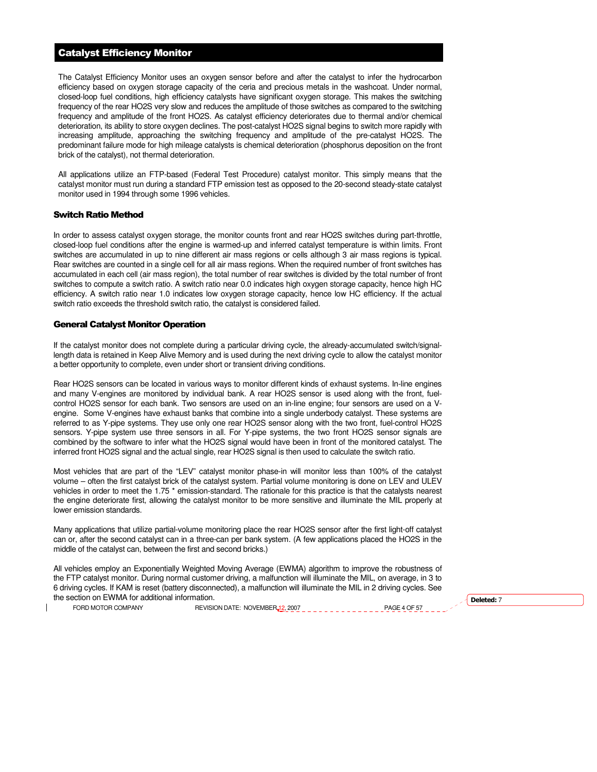# Catalyst Efficiency Monitor

The Catalyst Efficiency Monitor uses an oxygen sensor before and after the catalyst to infer the hydrocarbon efficiency based on oxygen storage capacity of the ceria and precious metals in the washcoat. Under normal, closed-loop fuel conditions, high efficiency catalysts have significant oxygen storage. This makes the switching frequency of the rear HO2S very slow and reduces the amplitude of those switches as compared to the switching frequency and amplitude of the front HO2S. As catalyst efficiency deteriorates due to thermal and/or chemical deterioration, its ability to store oxygen declines. The post-catalyst HO2S signal begins to switch more rapidly with increasing amplitude, approaching the switching frequency and amplitude of the pre-catalyst HO2S. The predominant failure mode for high mileage catalysts is chemical deterioration (phosphorus deposition on the front brick of the catalyst), not thermal deterioration.

All applications utilize an FTP-based (Federal Test Procedure) catalyst monitor. This simply means that the catalyst monitor must run during a standard FTP emission test as opposed to the 20-second steady-state catalyst monitor used in 1994 through some 1996 vehicles.

# Switch Ratio Method

In order to assess catalyst oxygen storage, the monitor counts front and rear HO2S switches during part-throttle, closed-loop fuel conditions after the engine is warmed-up and inferred catalyst temperature is within limits. Front switches are accumulated in up to nine different air mass regions or cells although 3 air mass regions is typical. Rear switches are counted in a single cell for all air mass regions. When the required number of front switches has accumulated in each cell (air mass region), the total number of rear switches is divided by the total number of front switches to compute a switch ratio. A switch ratio near 0.0 indicates high oxygen storage capacity, hence high HC efficiency. A switch ratio near 1.0 indicates low oxygen storage capacity, hence low HC efficiency. If the actual switch ratio exceeds the threshold switch ratio, the catalyst is considered failed.

#### General Catalyst Monitor Operation

If the catalyst monitor does not complete during a particular driving cycle, the already-accumulated switch/signallength data is retained in Keep Alive Memory and is used during the next driving cycle to allow the catalyst monitor a better opportunity to complete, even under short or transient driving conditions.

Rear HO2S sensors can be located in various ways to monitor different kinds of exhaust systems. In-line engines and many V-engines are monitored by individual bank. A rear HO2S sensor is used along with the front, fuelcontrol HO2S sensor for each bank. Two sensors are used on an in-line engine; four sensors are used on a Vengine. Some V-engines have exhaust banks that combine into a single underbody catalyst. These systems are referred to as Y-pipe systems. They use only one rear HO2S sensor along with the two front, fuel-control HO2S sensors. Y-pipe system use three sensors in all. For Y-pipe systems, the two front HO2S sensor signals are combined by the software to infer what the HO2S signal would have been in front of the monitored catalyst. The inferred front HO2S signal and the actual single, rear HO2S signal is then used to calculate the switch ratio.

Most vehicles that are part of the "LEV" catalyst monitor phase-in will monitor less than 100% of the catalyst volume – often the first catalyst brick of the catalyst system. Partial volume monitoring is done on LEV and ULEV vehicles in order to meet the 1.75 \* emission-standard. The rationale for this practice is that the catalysts nearest the engine deteriorate first, allowing the catalyst monitor to be more sensitive and illuminate the MIL properly at lower emission standards.

Many applications that utilize partial-volume monitoring place the rear HO2S sensor after the first light-off catalyst can or, after the second catalyst can in a three-can per bank system. (A few applications placed the HO2S in the middle of the catalyst can, between the first and second bricks.)

All vehicles employ an Exponentially Weighted Moving Average (EWMA) algorithm to improve the robustness of the FTP catalyst monitor. During normal customer driving, a malfunction will illuminate the MIL, on average, in 3 to 6 driving cycles. If KAM is reset (battery disconnected), a malfunction will illuminate the MIL in 2 driving cycles. See the section on EWMA for additional information.  $\overline{D}$  belows that is a section on EWMA for additional information.

FORD MOTOR COMPANY REVISION DATE: NOVEMBER 12, 2007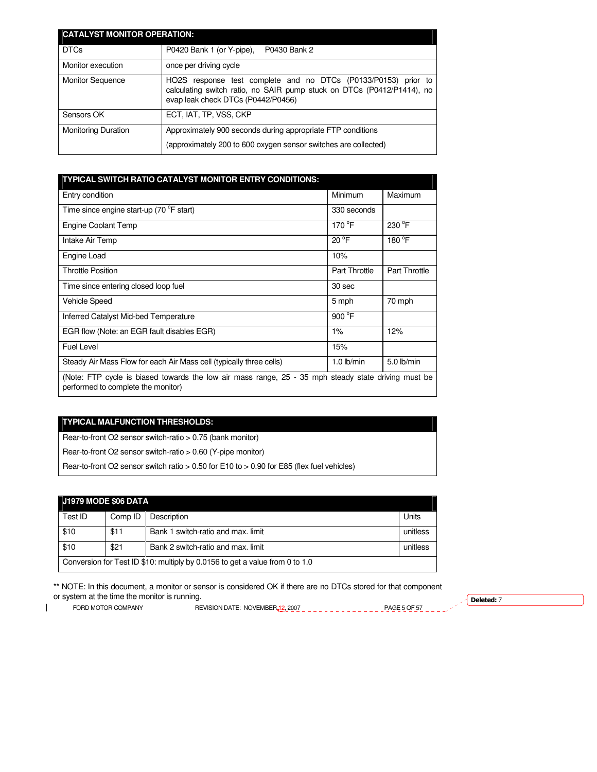| <b>CATALYST MONITOR OPERATION:</b> |                                                                                                                                                                                |  |
|------------------------------------|--------------------------------------------------------------------------------------------------------------------------------------------------------------------------------|--|
| <b>DTCs</b>                        | P0420 Bank 1 (or Y-pipe),<br>P0430 Bank 2                                                                                                                                      |  |
| Monitor execution                  | once per driving cycle                                                                                                                                                         |  |
| <b>Monitor Sequence</b>            | HO2S response test complete and no DTCs (P0133/P0153) prior to<br>calculating switch ratio, no SAIR pump stuck on DTCs (P0412/P1414), no<br>evap leak check DTCs (P0442/P0456) |  |
| Sensors OK                         | ECT, IAT, TP, VSS, CKP                                                                                                                                                         |  |
| <b>Monitoring Duration</b>         | Approximately 900 seconds during appropriate FTP conditions                                                                                                                    |  |
|                                    | (approximately 200 to 600 oxygen sensor switches are collected)                                                                                                                |  |

| TYPICAL SWITCH RATIO CATALYST MONITOR ENTRY CONDITIONS:                                                                                   |                      |                      |
|-------------------------------------------------------------------------------------------------------------------------------------------|----------------------|----------------------|
| Entry condition                                                                                                                           | Minimum              | Maximum              |
| Time since engine start-up (70 <sup>o</sup> F start)                                                                                      | 330 seconds          |                      |
| Engine Coolant Temp                                                                                                                       | 170 $\degree$ F      | $230^{\circ}$ F      |
| Intake Air Temp                                                                                                                           | $20^{\circ}$ F       | 180 $\degree$ F      |
| Engine Load                                                                                                                               | 10%                  |                      |
| <b>Throttle Position</b>                                                                                                                  | <b>Part Throttle</b> | <b>Part Throttle</b> |
| Time since entering closed loop fuel                                                                                                      | 30 sec               |                      |
| Vehicle Speed                                                                                                                             | 5 mph                | 70 mph               |
| Inferred Catalyst Mid-bed Temperature                                                                                                     | 900 $\degree$ F      |                      |
| EGR flow (Note: an EGR fault disables EGR)                                                                                                | 1%                   | 12%                  |
| Fuel Level                                                                                                                                | 15%                  |                      |
| Steady Air Mass Flow for each Air Mass cell (typically three cells)                                                                       | $1.0$ lb/min         | $5.0$ lb/min         |
| (Note: FTP cycle is biased towards the low air mass range, 25 - 35 mph steady state driving must be<br>performed to complete the monitor) |                      |                      |

# **TYPICAL MALFUNCTION THRESHOLDS:**

Rear-to-front O2 sensor switch-ratio > 0.75 (bank monitor)

Rear-to-front O2 sensor switch-ratio > 0.60 (Y-pipe monitor)

Rear-to-front O2 sensor switch ratio > 0.50 for E10 to > 0.90 for E85 (flex fuel vehicles)

# **J1979 MODE \$06 DATA**

| Test ID                                                                      | Comp ID | Description                        | Units    |
|------------------------------------------------------------------------------|---------|------------------------------------|----------|
| \$10                                                                         | \$11    | Bank 1 switch-ratio and max. limit | unitless |
| \$10                                                                         | \$21    | Bank 2 switch-ratio and max. limit | unitless |
| Conversion for Test ID \$10: multiply by 0.0156 to get a value from 0 to 1.0 |         |                                    |          |

\*\* NOTE: In this document, a monitor or sensor is considered OK if there are no DTCs stored for that component or system at the time the monitor is running.  $\sqrt{\frac{\text{Deleteed: } 7}{\text{Deleteed: } 7}}$ 

 $\mathbf{I}$ 

FORD MOTOR COMPANY REVISION DATE: NOVEMBER 12, 2007 PAGE 5 OF 57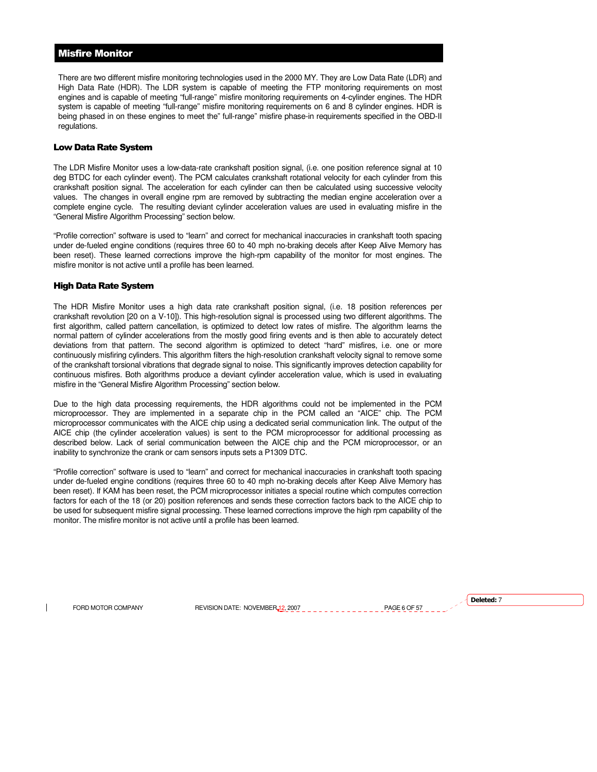# Misfire Monitor

There are two different misfire monitoring technologies used in the 2000 MY. They are Low Data Rate (LDR) and High Data Rate (HDR). The LDR system is capable of meeting the FTP monitoring requirements on most engines and is capable of meeting "full-range" misfire monitoring requirements on 4-cylinder engines. The HDR system is capable of meeting "full-range" misfire monitoring requirements on 6 and 8 cylinder engines. HDR is being phased in on these engines to meet the" full-range" misfire phase-in requirements specified in the OBD-II regulations.

## Low Data Rate System

The LDR Misfire Monitor uses a low-data-rate crankshaft position signal, (i.e. one position reference signal at 10 deg BTDC for each cylinder event). The PCM calculates crankshaft rotational velocity for each cylinder from this crankshaft position signal. The acceleration for each cylinder can then be calculated using successive velocity values. The changes in overall engine rpm are removed by subtracting the median engine acceleration over a complete engine cycle. The resulting deviant cylinder acceleration values are used in evaluating misfire in the "General Misfire Algorithm Processing" section below.

"Profile correction" software is used to "learn" and correct for mechanical inaccuracies in crankshaft tooth spacing under de-fueled engine conditions (requires three 60 to 40 mph no-braking decels after Keep Alive Memory has been reset). These learned corrections improve the high-rpm capability of the monitor for most engines. The misfire monitor is not active until a profile has been learned.

#### High Data Rate System

The HDR Misfire Monitor uses a high data rate crankshaft position signal, (i.e. 18 position references per crankshaft revolution [20 on a V-10]). This high-resolution signal is processed using two different algorithms. The first algorithm, called pattern cancellation, is optimized to detect low rates of misfire. The algorithm learns the normal pattern of cylinder accelerations from the mostly good firing events and is then able to accurately detect deviations from that pattern. The second algorithm is optimized to detect "hard" misfires, i.e. one or more continuously misfiring cylinders. This algorithm filters the high-resolution crankshaft velocity signal to remove some of the crankshaft torsional vibrations that degrade signal to noise. This significantly improves detection capability for continuous misfires. Both algorithms produce a deviant cylinder acceleration value, which is used in evaluating misfire in the "General Misfire Algorithm Processing" section below.

Due to the high data processing requirements, the HDR algorithms could not be implemented in the PCM microprocessor. They are implemented in a separate chip in the PCM called an "AICE" chip. The PCM microprocessor communicates with the AICE chip using a dedicated serial communication link. The output of the AICE chip (the cylinder acceleration values) is sent to the PCM microprocessor for additional processing as described below. Lack of serial communication between the AICE chip and the PCM microprocessor, or an inability to synchronize the crank or cam sensors inputs sets a P1309 DTC.

"Profile correction" software is used to "learn" and correct for mechanical inaccuracies in crankshaft tooth spacing under de-fueled engine conditions (requires three 60 to 40 mph no-braking decels after Keep Alive Memory has been reset). If KAM has been reset, the PCM microprocessor initiates a special routine which computes correction factors for each of the 18 (or 20) position references and sends these correction factors back to the AICE chip to be used for subsequent misfire signal processing. These learned corrections improve the high rpm capability of the monitor. The misfire monitor is not active until a profile has been learned.

FORD MOTOR COMPANY REVISION DATE: NOVEMBER 12, 2007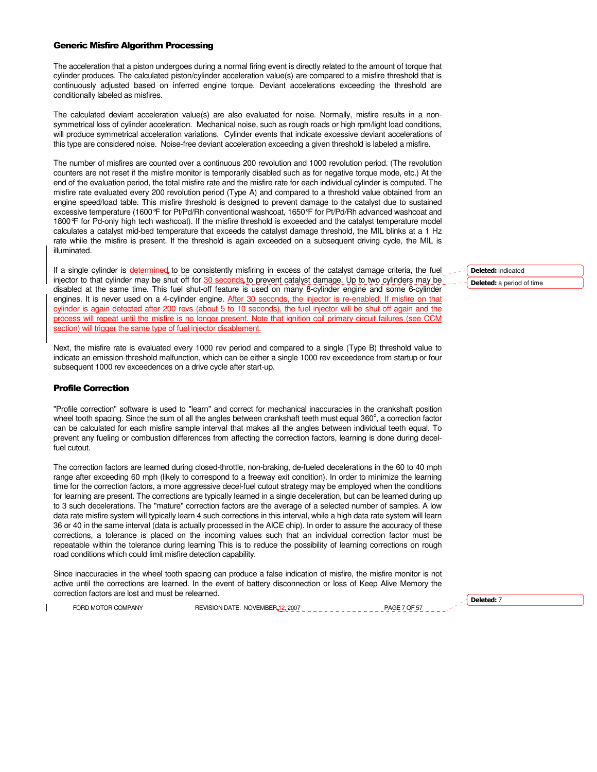## Generic Misfire Algorithm Processing

The acceleration that a piston undergoes during a normal firing event is directly related to the amount of torque that cylinder produces. The calculated piston/cylinder acceleration value(s) are compared to a misfire threshold that is continuously adjusted based on inferred engine torque. Deviant accelerations exceeding the threshold are conditionally labeled as misfires.

The calculated deviant acceleration value(s) are also evaluated for noise. Normally, misfire results in a nonsymmetrical loss of cylinder acceleration. Mechanical noise, such as rough roads or high rpm/light load conditions, will produce symmetrical acceleration variations. Cylinder events that indicate excessive deviant accelerations of this type are considered noise. Noise-free deviant acceleration exceeding a given threshold is labeled a misfire.

The number of misfires are counted over a continuous 200 revolution and 1000 revolution period. (The revolution counters are not reset if the misfire monitor is temporarily disabled such as for negative torque mode, etc.) At the end of the evaluation period, the total misfire rate and the misfire rate for each individual cylinder is computed. The misfire rate evaluated every 200 revolution period (Type A) and compared to a threshold value obtained from an engine speed/load table. This misfire threshold is designed to prevent damage to the catalyst due to sustained excessive temperature (1600°F for Pt/Pd/Rh conventional washcoat, 1650°F for Pt/Pd/Rh advanced washcoat and 1800°F for Pd-only high tech washcoat). If the misfire threshold is exceeded and the catalyst temperature model calculates a catalyst mid-bed temperature that exceeds the catalyst damage threshold, the MIL blinks at a 1 Hz rate while the misfire is present. If the threshold is again exceeded on a subsequent driving cycle, the MIL is illuminated.

If a single cylinder is determined to be consistently misfiring in excess of the catalyst damage criteria, the fuel injector to that cylinder may be shut off for 30 seconds to prevent catalyst damage. Up to two cylinders may be disabled at the same time. This fuel shut-off feature is used on many 8-cylinder engine and some 6-cylinder engines. It is never used on a 4-cylinder engine. After 30 seconds, the injector is re-enabled. If misfire on that cylinder is again detected after 200 revs (about 5 to 10 seconds), the fuel injector will be shut off again and the process will repeat until the misfire is no longer present. Note that ignition coil primary circuit failures (see C section) will trigger the same type of fuel injector disablement.

Next, the misfire rate is evaluated every 1000 rev period and compared to a single (Type B) threshold value to indicate an emission-threshold malfunction, which can be either a single 1000 rev exceedence from startup or four subsequent 1000 rev exceedences on a drive cycle after start-up.

#### Profile Correction

"Profile correction" software is used to "learn" and correct for mechanical inaccuracies in the crankshaft position wheel tooth spacing. Since the sum of all the angles between crankshaft teeth must equal 360°, a correction factor can be calculated for each misfire sample interval that makes all the angles between individual teeth equal. To prevent any fueling or combustion differences from affecting the correction factors, learning is done during decelfuel cutout.

The correction factors are learned during closed-throttle, non-braking, de-fueled decelerations in the 60 to 40 mph range after exceeding 60 mph (likely to correspond to a freeway exit condition). In order to minimize the learning time for the correction factors, a more aggressive decel-fuel cutout strategy may be employed when the conditions for learning are present. The corrections are typically learned in a single deceleration, but can be learned during up to 3 such decelerations. The "mature" correction factors are the average of a selected number of samples. A low data rate misfire system will typically learn 4 such corrections in this interval, while a high data rate system will learn 36 or 40 in the same interval (data is actually processed in the AICE chip). In order to assure the accuracy of these corrections, a tolerance is placed on the incoming values such that an individual correction factor must be repeatable within the tolerance during learning This is to reduce the possibility of learning corrections on rough road conditions which could limit misfire detection capability.

Since inaccuracies in the wheel tooth spacing can produce a false indication of misfire, the misfire monitor is not active until the corrections are learned. In the event of battery disconnection or loss of Keep Alive Memory the correction factors are lost and must be relearned.

FORD MOTOR COMPANY REVISION DATE: NOVEMBER<sub>12, 2007</sub>

Deleted: indicated Deleted: a period of time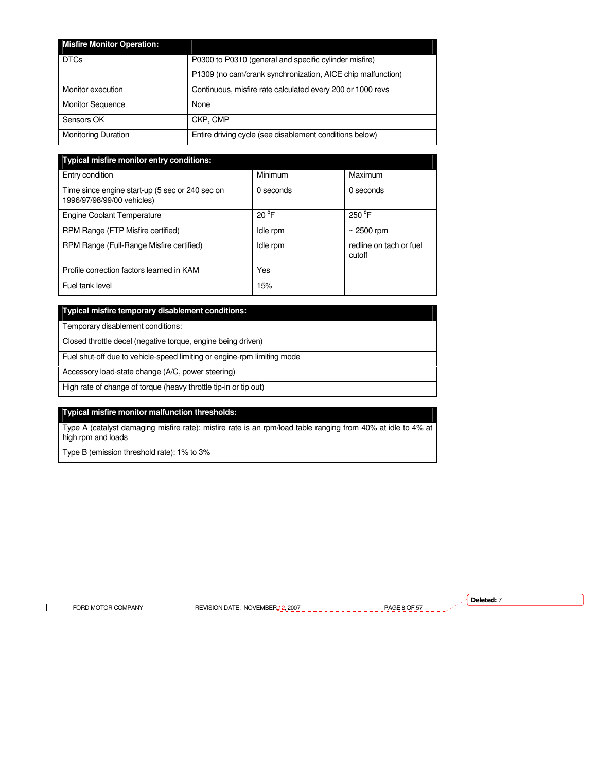| <b>Misfire Monitor Operation:</b> |                                                             |
|-----------------------------------|-------------------------------------------------------------|
| <b>DTCs</b>                       | P0300 to P0310 (general and specific cylinder misfire)      |
|                                   | P1309 (no cam/crank synchronization, AICE chip malfunction) |
| Monitor execution                 | Continuous, misfire rate calculated every 200 or 1000 revs  |
| <b>Monitor Sequence</b>           | None                                                        |
| Sensors OK                        | CKP. CMP                                                    |
| <b>Monitoring Duration</b>        | Entire driving cycle (see disablement conditions below)     |

| <b>Typical misfire monitor entry conditions:</b>                              |                |                                   |
|-------------------------------------------------------------------------------|----------------|-----------------------------------|
| Entry condition                                                               | Minimum        | Maximum                           |
| Time since engine start-up (5 sec or 240 sec on<br>1996/97/98/99/00 vehicles) | 0 seconds      | 0 seconds                         |
| <b>Engine Coolant Temperature</b>                                             | $20^{\circ}$ F | $250^{\circ}$ F                   |
| RPM Range (FTP Misfire certified)                                             | Idle rpm       | $\sim$ 2500 rpm                   |
| RPM Range (Full-Range Misfire certified)                                      | Idle rpm       | redline on tach or fuel<br>cutoff |
| Profile correction factors learned in KAM                                     | Yes            |                                   |
| Fuel tank level                                                               | 15%            |                                   |

# **Typical misfire temporary disablement conditions:**

Temporary disablement conditions:

Closed throttle decel (negative torque, engine being driven)

Fuel shut-off due to vehicle-speed limiting or engine-rpm limiting mode

Accessory load-state change (A/C, power steering)

High rate of change of torque (heavy throttle tip-in or tip out)

# **Typical misfire monitor malfunction thresholds:**

Type A (catalyst damaging misfire rate): misfire rate is an rpm/load table ranging from 40% at idle to 4% at high rpm and loads

Type B (emission threshold rate): 1% to 3%

 $\mathbf{I}$ 

FORD MOTOR COMPANY REVISION DATE: NOVEMBER 12, 2007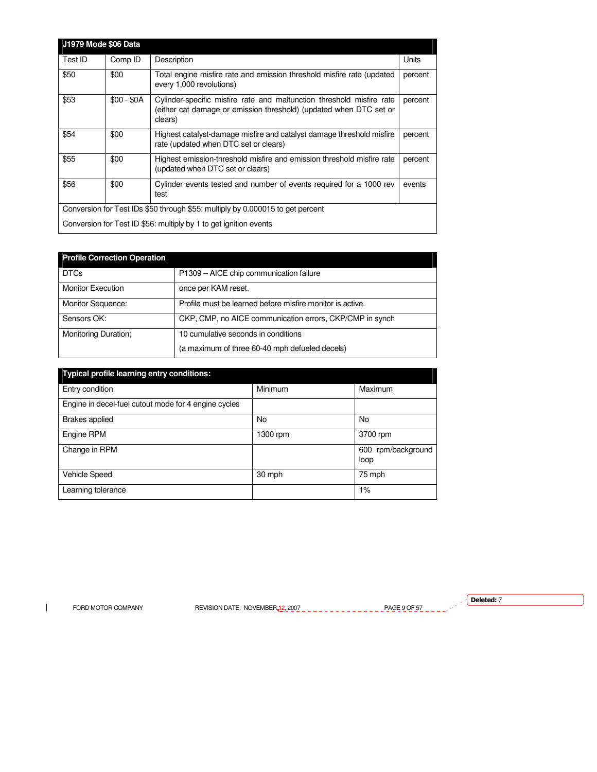|                                                                                | <b>J1979 Mode \$06 Data</b> |                                                                                                                                                        |         |
|--------------------------------------------------------------------------------|-----------------------------|--------------------------------------------------------------------------------------------------------------------------------------------------------|---------|
| Test ID                                                                        | Comp ID                     | Description                                                                                                                                            | Units   |
| \$50                                                                           | \$00                        | Total engine misfire rate and emission threshold misfire rate (updated<br>every 1,000 revolutions)                                                     | percent |
| \$53                                                                           | $$00 - $0A$                 | Cylinder-specific misfire rate and malfunction threshold misfire rate<br>(either cat damage or emission threshold) (updated when DTC set or<br>clears) | percent |
| \$54                                                                           | \$00                        | Highest catalyst-damage misfire and catalyst damage threshold misfire<br>rate (updated when DTC set or clears)                                         | percent |
| \$55                                                                           | \$00                        | Highest emission-threshold misfire and emission threshold misfire rate<br>(updated when DTC set or clears)                                             | percent |
| \$56                                                                           | \$00                        | Cylinder events tested and number of events required for a 1000 rev<br>test                                                                            | events  |
| Conversion for Test IDs \$50 through \$55: multiply by 0.000015 to get percent |                             |                                                                                                                                                        |         |
| Conversion for Test ID \$56: multiply by 1 to get ignition events              |                             |                                                                                                                                                        |         |

| <b>Profile Correction Operation</b> |                                                           |
|-------------------------------------|-----------------------------------------------------------|
| <b>DTCs</b>                         | P1309 - AICE chip communication failure                   |
| <b>Monitor Execution</b>            | once per KAM reset.                                       |
| <b>Monitor Sequence:</b>            | Profile must be learned before misfire monitor is active. |
| Sensors OK:                         | CKP, CMP, no AICE communication errors, CKP/CMP in synch  |
| Monitoring Duration;                | 10 cumulative seconds in conditions                       |
|                                     | (a maximum of three 60-40 mph defueled decels)            |

| Typical profile learning entry conditions:           |          |                               |
|------------------------------------------------------|----------|-------------------------------|
| Entry condition                                      | Minimum  | Maximum                       |
| Engine in decel-fuel cutout mode for 4 engine cycles |          |                               |
| <b>Brakes applied</b>                                | No       | No                            |
| Engine RPM                                           | 1300 rpm | 3700 rpm                      |
| Change in RPM                                        |          | rpm/background<br>600<br>loop |
| <b>Vehicle Speed</b>                                 | 30 mph   | 75 mph                        |
| Learning tolerance                                   |          | $1\%$                         |

 $\mathbf{I}$ 

FORD MOTOR COMPANY REVISION DATE: NOVEMBER 12, 2007 PAGE 9 OF 57

 $\sqrt{\phantom{a}}$  Deleted: 7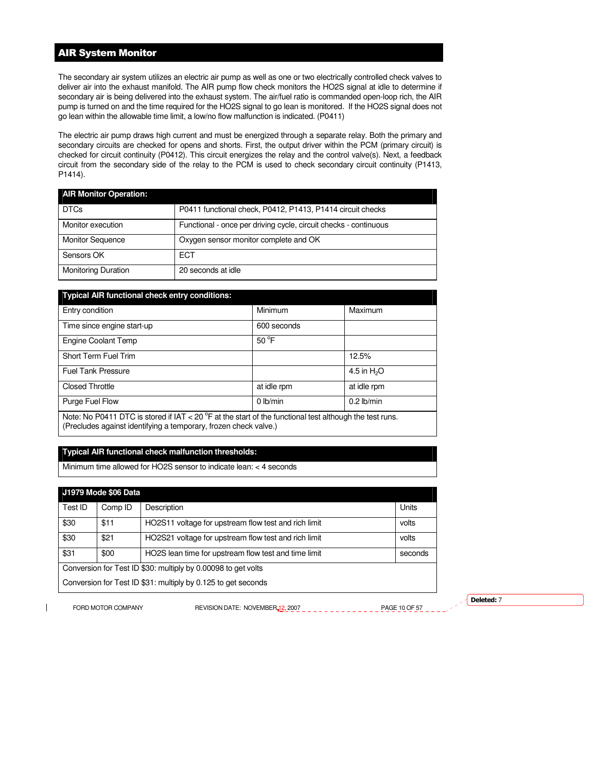# AIR System Monitor

The secondary air system utilizes an electric air pump as well as one or two electrically controlled check valves to deliver air into the exhaust manifold. The AIR pump flow check monitors the HO2S signal at idle to determine if secondary air is being delivered into the exhaust system. The air/fuel ratio is commanded open-loop rich, the AIR pump is turned on and the time required for the HO2S signal to go lean is monitored. If the HO2S signal does not go lean within the allowable time limit, a low/no flow malfunction is indicated. (P0411)

The electric air pump draws high current and must be energized through a separate relay. Both the primary and secondary circuits are checked for opens and shorts. First, the output driver within the PCM (primary circuit) is checked for circuit continuity (P0412). This circuit energizes the relay and the control valve(s). Next, a feedback circuit from the secondary side of the relay to the PCM is used to check secondary circuit continuity (P1413, P1414).

| <b>AIR Monitor Operation:</b> |                                                                  |
|-------------------------------|------------------------------------------------------------------|
| <b>DTCs</b>                   | P0411 functional check, P0412, P1413, P1414 circuit checks       |
| Monitor execution             | Functional - once per driving cycle, circuit checks - continuous |
| <b>Monitor Sequence</b>       | Oxygen sensor monitor complete and OK                            |
| Sensors OK                    | ECT                                                              |
| <b>Monitoring Duration</b>    | 20 seconds at idle                                               |

| <b>Typical AIR functional check entry conditions:</b>                                                                                                                                 |                |              |  |
|---------------------------------------------------------------------------------------------------------------------------------------------------------------------------------------|----------------|--------------|--|
| Entry condition                                                                                                                                                                       | Minimum        | Maximum      |  |
| Time since engine start-up                                                                                                                                                            | 600 seconds    |              |  |
| <b>Engine Coolant Temp</b>                                                                                                                                                            | $50^{\circ}$ F |              |  |
| Short Term Fuel Trim                                                                                                                                                                  |                | 12.5%        |  |
| <b>Fuel Tank Pressure</b>                                                                                                                                                             |                | 4.5 in $H2O$ |  |
| <b>Closed Throttle</b>                                                                                                                                                                | at idle rpm    | at idle rpm  |  |
| $0$ lb/min<br>$0.2$ lb/min<br>Purge Fuel Flow                                                                                                                                         |                |              |  |
| Note: No P0411 DTC is stored if IAT < 20 $^{\circ}$ F at the start of the functional test although the test runs.<br>(Precludes against identifying a temporary, frozen check valve.) |                |              |  |

# **Typical AIR functional check malfunction thresholds:**

Minimum time allowed for HO2S sensor to indicate lean: < 4 seconds

| J1979 Mode \$06 Data                                          |         |                                                      |         |
|---------------------------------------------------------------|---------|------------------------------------------------------|---------|
| Test ID                                                       | Comp ID | Description                                          | Units   |
| \$30                                                          | \$11    | HO2S11 voltage for upstream flow test and rich limit | volts   |
| \$30                                                          | \$21    | HO2S21 voltage for upstream flow test and rich limit | volts   |
| \$31                                                          | \$00    | HO2S lean time for upstream flow test and time limit | seconds |
| Conversion for Test ID \$30: multiply by 0.00098 to get volts |         |                                                      |         |
| Conversion for Test ID \$31: multiply by 0.125 to get seconds |         |                                                      |         |

FORD MOTOR COMPANY REVISION DATE: NOVEMBER 12, 2007 PAGE 10 OF 57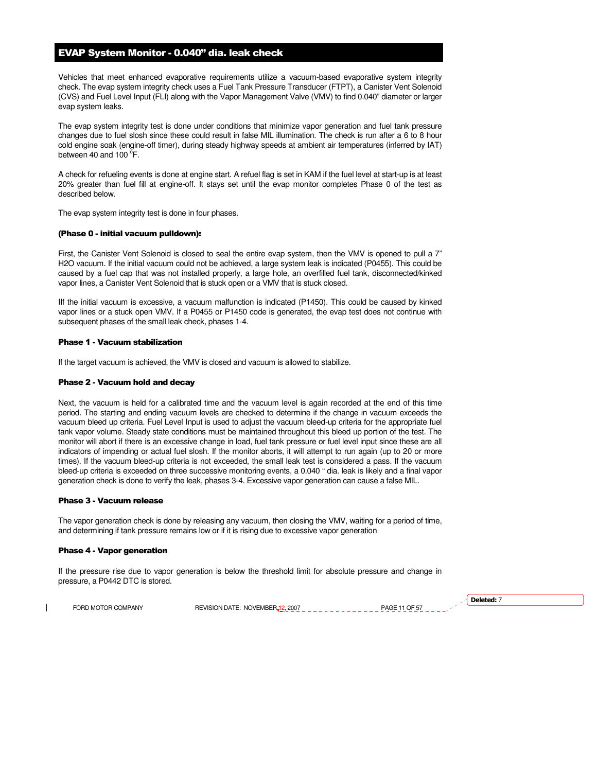# EVAP System Monitor - 0.040" dia. leak check

Vehicles that meet enhanced evaporative requirements utilize a vacuum-based evaporative system integrity check. The evap system integrity check uses a Fuel Tank Pressure Transducer (FTPT), a Canister Vent Solenoid (CVS) and Fuel Level Input (FLI) along with the Vapor Management Valve (VMV) to find 0.040" diameter or larger evap system leaks.

The evap system integrity test is done under conditions that minimize vapor generation and fuel tank pressure changes due to fuel slosh since these could result in false MIL illumination. The check is run after a 6 to 8 hour cold engine soak (engine-off timer), during steady highway speeds at ambient air temperatures (inferred by IAT) between 40 and 100 $\degree$ F.

A check for refueling events is done at engine start. A refuel flag is set in KAM if the fuel level at start-up is at least 20% greater than fuel fill at engine-off. It stays set until the evap monitor completes Phase 0 of the test as described below.

The evap system integrity test is done in four phases.

#### (Phase 0 - initial vacuum pulldown):

First, the Canister Vent Solenoid is closed to seal the entire evap system, then the VMV is opened to pull a 7" H2O vacuum. If the initial vacuum could not be achieved, a large system leak is indicated (P0455). This could be caused by a fuel cap that was not installed properly, a large hole, an overfilled fuel tank, disconnected/kinked vapor lines, a Canister Vent Solenoid that is stuck open or a VMV that is stuck closed.

IIf the initial vacuum is excessive, a vacuum malfunction is indicated (P1450). This could be caused by kinked vapor lines or a stuck open VMV. If a P0455 or P1450 code is generated, the evap test does not continue with subsequent phases of the small leak check, phases 1-4.

# Phase 1 - Vacuum stabilization

If the target vacuum is achieved, the VMV is closed and vacuum is allowed to stabilize.

#### Phase 2 - Vacuum hold and decay

Next, the vacuum is held for a calibrated time and the vacuum level is again recorded at the end of this time period. The starting and ending vacuum levels are checked to determine if the change in vacuum exceeds the vacuum bleed up criteria. Fuel Level Input is used to adjust the vacuum bleed-up criteria for the appropriate fuel tank vapor volume. Steady state conditions must be maintained throughout this bleed up portion of the test. The monitor will abort if there is an excessive change in load, fuel tank pressure or fuel level input since these are all indicators of impending or actual fuel slosh. If the monitor aborts, it will attempt to run again (up to 20 or more times). If the vacuum bleed-up criteria is not exceeded, the small leak test is considered a pass. If the vacuum bleed-up criteria is exceeded on three successive monitoring events, a 0.040 " dia. leak is likely and a final vapor generation check is done to verify the leak, phases 3-4. Excessive vapor generation can cause a false MIL.

#### Phase 3 - Vacuum release

The vapor generation check is done by releasing any vacuum, then closing the VMV, waiting for a period of time, and determining if tank pressure remains low or if it is rising due to excessive vapor generation

#### Phase 4 - Vapor generation

If the pressure rise due to vapor generation is below the threshold limit for absolute pressure and change in pressure, a P0442 DTC is stored.

FORD MOTOR COMPANY REVISION DATE: NOVEMBER 12, 2007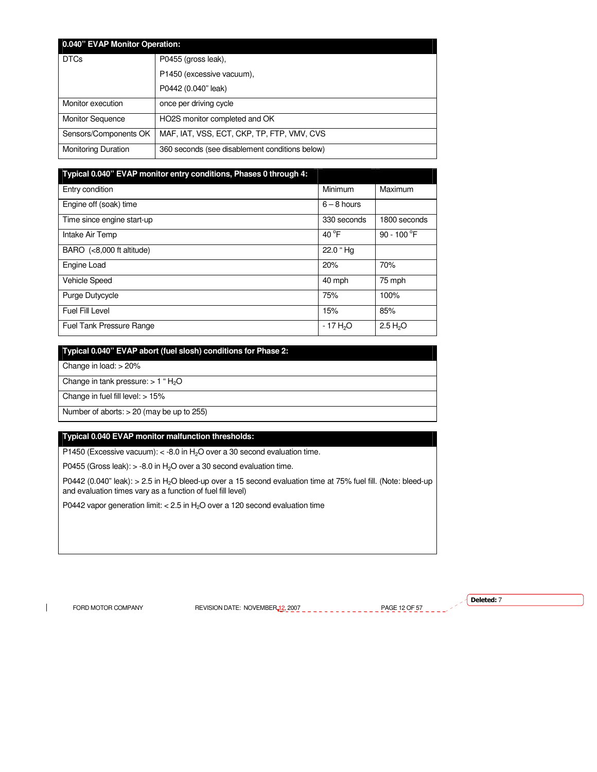| 0.040" EVAP Monitor Operation: |                                                |  |
|--------------------------------|------------------------------------------------|--|
| <b>DTCs</b>                    | P0455 (gross leak),                            |  |
|                                | P1450 (excessive vacuum),                      |  |
|                                | P0442 (0.040" leak)                            |  |
| Monitor execution              | once per driving cycle                         |  |
| <b>Monitor Sequence</b>        | HO2S monitor completed and OK                  |  |
| Sensors/Components OK          | MAF, IAT, VSS, ECT, CKP, TP, FTP, VMV, CVS     |  |
| <b>Monitoring Duration</b>     | 360 seconds (see disablement conditions below) |  |

| Typical 0.040" EVAP monitor entry conditions, Phases 0 through 4: |                       |                      |
|-------------------------------------------------------------------|-----------------------|----------------------|
| Entry condition                                                   | Minimum               | Maximum              |
| Engine off (soak) time                                            | $6 - 8$ hours         |                      |
| Time since engine start-up                                        | 330 seconds           | 1800 seconds         |
| Intake Air Temp                                                   | 40 $^{\circ}$ F       | 90 - 100 $\degree$ F |
| BARO $(8,000 ft altitude)$                                        | 22.0 "Hq              |                      |
| Engine Load                                                       | 20%                   | 70%                  |
| <b>Vehicle Speed</b>                                              | 40 mph                | 75 mph               |
| <b>Purge Dutycycle</b>                                            | 75%                   | 100%                 |
| Fuel Fill Level                                                   | 15%                   | 85%                  |
| <b>Fuel Tank Pressure Range</b>                                   | - 17 H <sub>2</sub> O | 2.5 H <sub>2</sub> O |

**Typical 0.040" EVAP abort (fuel slosh) conditions for Phase 2:**  Change in load: > 20% Change in tank pressure:  $> 1$  "  $H<sub>2</sub>O$ Change in fuel fill level: > 15% Number of aborts: > 20 (may be up to 255)

# **Typical 0.040 EVAP monitor malfunction thresholds:**

P1450 (Excessive vacuum):  $<$  -8.0 in H<sub>2</sub>O over a 30 second evaluation time.

P0455 (Gross leak):  $> -8.0$  in H<sub>2</sub>O over a 30 second evaluation time.

P0442 (0.040" leak): > 2.5 in H<sub>2</sub>O bleed-up over a 15 second evaluation time at 75% fuel fill. (Note: bleed-up and evaluation times vary as a function of fuel fill level)

P0442 vapor generation limit: < 2.5 in  $H<sub>2</sub>O$  over a 120 second evaluation time

 $\mathbf{I}$ 

FORD MOTOR COMPANY REVISION DATE: NOVEMBER 12, 2007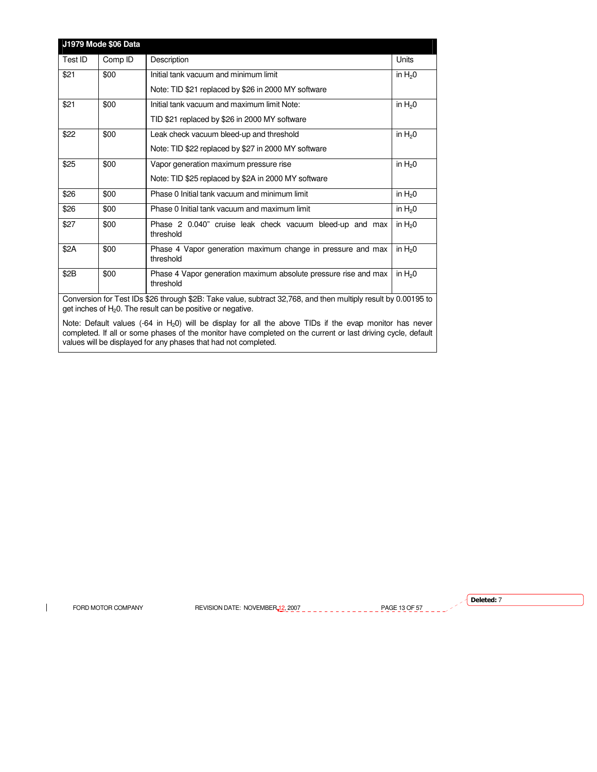| J1979 Mode \$06 Data |         |                                                                                                                                                                                                                                                                                               |                                              |
|----------------------|---------|-----------------------------------------------------------------------------------------------------------------------------------------------------------------------------------------------------------------------------------------------------------------------------------------------|----------------------------------------------|
| Test ID              | Comp ID | Description                                                                                                                                                                                                                                                                                   | Units                                        |
| \$21                 | \$00    | Initial tank vacuum and minimum limit                                                                                                                                                                                                                                                         | in $H20$                                     |
|                      |         | Note: TID \$21 replaced by \$26 in 2000 MY software                                                                                                                                                                                                                                           |                                              |
| \$21                 | \$00    | Initial tank vacuum and maximum limit Note:                                                                                                                                                                                                                                                   | in $H20$                                     |
|                      |         | TID \$21 replaced by \$26 in 2000 MY software                                                                                                                                                                                                                                                 |                                              |
| \$22                 | \$00    | Leak check vacuum bleed-up and threshold                                                                                                                                                                                                                                                      | in $H20$                                     |
|                      |         | Note: TID \$22 replaced by \$27 in 2000 MY software                                                                                                                                                                                                                                           |                                              |
| \$25                 | \$00    | Vapor generation maximum pressure rise                                                                                                                                                                                                                                                        | in $H20$                                     |
|                      |         | Note: TID \$25 replaced by \$2A in 2000 MY software                                                                                                                                                                                                                                           |                                              |
| \$26                 | \$00    | Phase 0 Initial tank vacuum and minimum limit                                                                                                                                                                                                                                                 | in $H20$                                     |
| \$26                 | \$00    | Phase 0 Initial tank vacuum and maximum limit                                                                                                                                                                                                                                                 | in $H20$                                     |
| \$27                 | \$00    | Phase 2 0.040" cruise leak check vacuum bleed-up and max<br>threshold                                                                                                                                                                                                                         | in $H20$                                     |
| \$2A                 | \$00    | Phase 4 Vapor generation maximum change in pressure and max<br>threshold                                                                                                                                                                                                                      | in $H20$                                     |
| \$2B                 | \$00    | Phase 4 Vapor generation maximum absolute pressure rise and max<br>threshold                                                                                                                                                                                                                  | in $H20$                                     |
| $\sim$               |         | $\frac{1}{2}$ and $\frac{1}{2}$ and $\frac{1}{2}$ and $\frac{1}{2}$ and $\frac{1}{2}$ and $\frac{1}{2}$ and $\frac{1}{2}$ and $\frac{1}{2}$ and $\frac{1}{2}$ and $\frac{1}{2}$ and $\frac{1}{2}$ and $\frac{1}{2}$ and $\frac{1}{2}$ and $\frac{1}{2}$ and $\frac{1}{2}$ and $\frac{1}{2}$ a | $\mathbf{a}$ . $\mathbf{a}$ and $\mathbf{a}$ |

Conversion for Test IDs \$26 through \$2B: Take value, subtract 32,768, and then multiply result by 0.00195 to get inches of  $H_2O$ . The result can be positive or negative.

Note: Default values (-64 in  $H_2$ 0) will be display for all the above TIDs if the evap monitor has never completed. If all or some phases of the monitor have completed on the current or last driving cycle, default values will be displayed for any phases that had not completed.

 $\mathbf{I}$ 

FORD MOTOR COMPANY REVISION DATE: NOVEMBER 12, 2007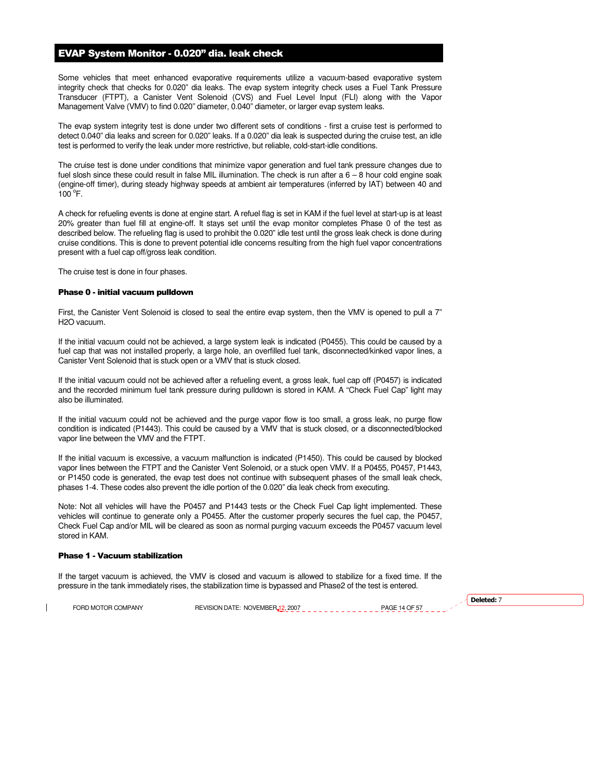# EVAP System Monitor - 0.020" dia. leak check

Some vehicles that meet enhanced evaporative requirements utilize a vacuum-based evaporative system integrity check that checks for 0.020" dia leaks. The evap system integrity check uses a Fuel Tank Pressure Transducer (FTPT), a Canister Vent Solenoid (CVS) and Fuel Level Input (FLI) along with the Vapor Management Valve (VMV) to find 0.020" diameter, 0.040" diameter, or larger evap system leaks.

The evap system integrity test is done under two different sets of conditions - first a cruise test is performed to detect 0.040" dia leaks and screen for 0.020" leaks. If a 0.020" dia leak is suspected during the cruise test, an idle test is performed to verify the leak under more restrictive, but reliable, cold-start-idle conditions.

The cruise test is done under conditions that minimize vapor generation and fuel tank pressure changes due to fuel slosh since these could result in false MIL illumination. The check is run after a 6 – 8 hour cold engine soak (engine-off timer), during steady highway speeds at ambient air temperatures (inferred by IAT) between 40 and  $100^{\circ}$ F.

A check for refueling events is done at engine start. A refuel flag is set in KAM if the fuel level at start-up is at least 20% greater than fuel fill at engine-off. It stays set until the evap monitor completes Phase 0 of the test as described below. The refueling flag is used to prohibit the 0.020" idle test until the gross leak check is done during cruise conditions. This is done to prevent potential idle concerns resulting from the high fuel vapor concentrations present with a fuel cap off/gross leak condition.

The cruise test is done in four phases.

#### Phase 0 - initial vacuum pulldown

First, the Canister Vent Solenoid is closed to seal the entire evap system, then the VMV is opened to pull a 7" H2O vacuum.

If the initial vacuum could not be achieved, a large system leak is indicated (P0455). This could be caused by a fuel cap that was not installed properly, a large hole, an overfilled fuel tank, disconnected/kinked vapor lines, a Canister Vent Solenoid that is stuck open or a VMV that is stuck closed.

If the initial vacuum could not be achieved after a refueling event, a gross leak, fuel cap off (P0457) is indicated and the recorded minimum fuel tank pressure during pulldown is stored in KAM. A "Check Fuel Cap" light may also be illuminated.

If the initial vacuum could not be achieved and the purge vapor flow is too small, a gross leak, no purge flow condition is indicated (P1443). This could be caused by a VMV that is stuck closed, or a disconnected/blocked vapor line between the VMV and the FTPT.

If the initial vacuum is excessive, a vacuum malfunction is indicated (P1450). This could be caused by blocked vapor lines between the FTPT and the Canister Vent Solenoid, or a stuck open VMV. If a P0455, P0457, P1443, or P1450 code is generated, the evap test does not continue with subsequent phases of the small leak check, phases 1-4. These codes also prevent the idle portion of the 0.020" dia leak check from executing.

Note: Not all vehicles will have the P0457 and P1443 tests or the Check Fuel Cap light implemented. These vehicles will continue to generate only a P0455. After the customer properly secures the fuel cap, the P0457, Check Fuel Cap and/or MIL will be cleared as soon as normal purging vacuum exceeds the P0457 vacuum level stored in KAM.

#### Phase 1 - Vacuum stabilization

If the target vacuum is achieved, the VMV is closed and vacuum is allowed to stabilize for a fixed time. If the pressure in the tank immediately rises, the stabilization time is bypassed and Phase2 of the test is entered.

FORD MOTOR COMPANY REVISION DATE: NOVEMBER 12, 2007 PAGE 14 OF 57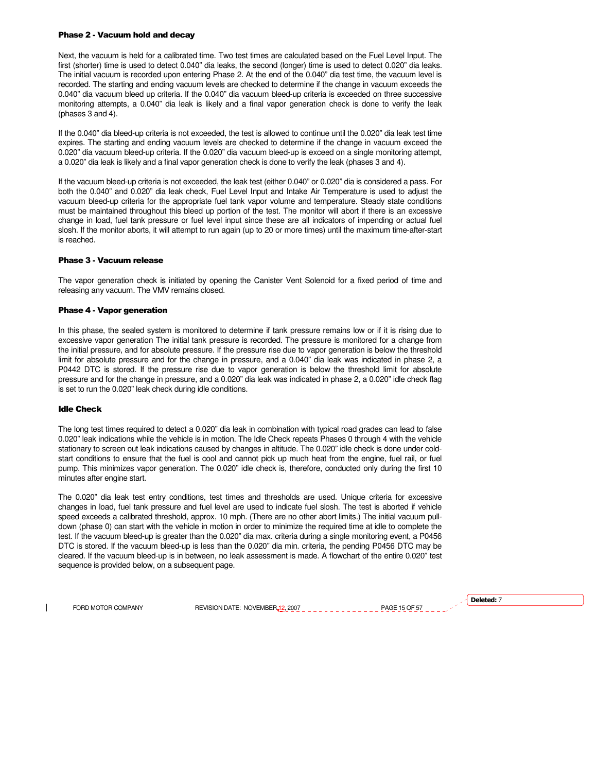#### Phase 2 - Vacuum hold and decay

Next, the vacuum is held for a calibrated time. Two test times are calculated based on the Fuel Level Input. The first (shorter) time is used to detect 0.040" dia leaks, the second (longer) time is used to detect 0.020" dia leaks. The initial vacuum is recorded upon entering Phase 2. At the end of the 0.040" dia test time, the vacuum level is recorded. The starting and ending vacuum levels are checked to determine if the change in vacuum exceeds the 0.040" dia vacuum bleed up criteria. If the 0.040" dia vacuum bleed-up criteria is exceeded on three successive monitoring attempts, a 0.040" dia leak is likely and a final vapor generation check is done to verify the leak (phases 3 and 4).

If the 0.040" dia bleed-up criteria is not exceeded, the test is allowed to continue until the 0.020" dia leak test time expires. The starting and ending vacuum levels are checked to determine if the change in vacuum exceed the 0.020" dia vacuum bleed-up criteria. If the 0.020" dia vacuum bleed-up is exceed on a single monitoring attempt, a 0.020" dia leak is likely and a final vapor generation check is done to verify the leak (phases 3 and 4).

If the vacuum bleed-up criteria is not exceeded, the leak test (either 0.040" or 0.020" dia is considered a pass. For both the 0.040" and 0.020" dia leak check, Fuel Level Input and Intake Air Temperature is used to adjust the vacuum bleed-up criteria for the appropriate fuel tank vapor volume and temperature. Steady state conditions must be maintained throughout this bleed up portion of the test. The monitor will abort if there is an excessive change in load, fuel tank pressure or fuel level input since these are all indicators of impending or actual fuel slosh. If the monitor aborts, it will attempt to run again (up to 20 or more times) until the maximum time-after-start is reached.

# Phase 3 - Vacuum release

The vapor generation check is initiated by opening the Canister Vent Solenoid for a fixed period of time and releasing any vacuum. The VMV remains closed.

#### Phase 4 - Vapor generation

In this phase, the sealed system is monitored to determine if tank pressure remains low or if it is rising due to excessive vapor generation The initial tank pressure is recorded. The pressure is monitored for a change from the initial pressure, and for absolute pressure. If the pressure rise due to vapor generation is below the threshold limit for absolute pressure and for the change in pressure, and a 0.040" dia leak was indicated in phase 2, a P0442 DTC is stored. If the pressure rise due to vapor generation is below the threshold limit for absolute pressure and for the change in pressure, and a 0.020" dia leak was indicated in phase 2, a 0.020" idle check flag is set to run the 0.020" leak check during idle conditions.

# Idle Check

The long test times required to detect a 0.020" dia leak in combination with typical road grades can lead to false 0.020" leak indications while the vehicle is in motion. The Idle Check repeats Phases 0 through 4 with the vehicle stationary to screen out leak indications caused by changes in altitude. The 0.020" idle check is done under coldstart conditions to ensure that the fuel is cool and cannot pick up much heat from the engine, fuel rail, or fuel pump. This minimizes vapor generation. The 0.020" idle check is, therefore, conducted only during the first 10 minutes after engine start.

The 0.020" dia leak test entry conditions, test times and thresholds are used. Unique criteria for excessive changes in load, fuel tank pressure and fuel level are used to indicate fuel slosh. The test is aborted if vehicle speed exceeds a calibrated threshold, approx. 10 mph. (There are no other abort limits.) The initial vacuum pulldown (phase 0) can start with the vehicle in motion in order to minimize the required time at idle to complete the test. If the vacuum bleed-up is greater than the 0.020" dia max. criteria during a single monitoring event, a P0456 DTC is stored. If the vacuum bleed-up is less than the 0.020" dia min. criteria, the pending P0456 DTC may be cleared. If the vacuum bleed-up is in between, no leak assessment is made. A flowchart of the entire 0.020" test sequence is provided below, on a subsequent page.

FORD MOTOR COMPANY REVISION DATE: NOVEMBER 12, 2007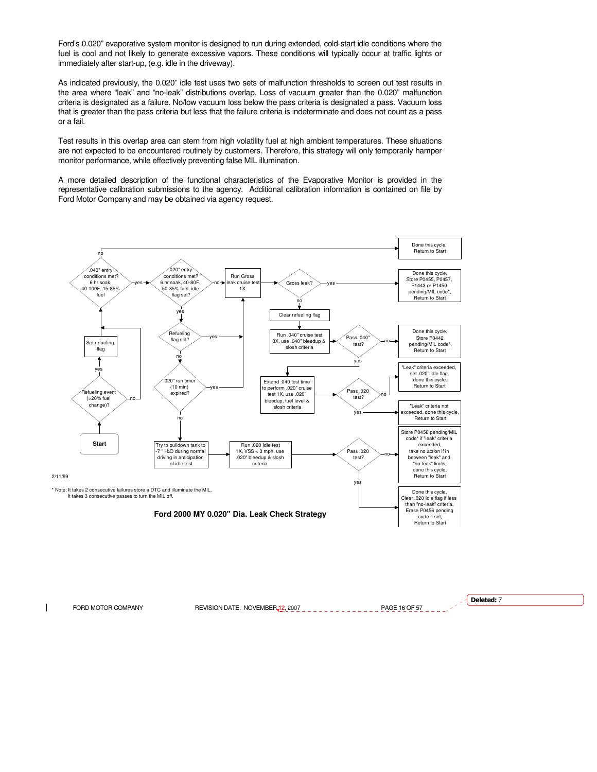Ford's 0.020" evaporative system monitor is designed to run during extended, cold-start idle conditions where the fuel is cool and not likely to generate excessive vapors. These conditions will typically occur at traffic lights or immediately after start-up, (e.g. idle in the driveway).

As indicated previously, the 0.020" idle test uses two sets of malfunction thresholds to screen out test results in the area where "leak" and "no-leak" distributions overlap. Loss of vacuum greater than the 0.020" malfunction criteria is designated as a failure. No/low vacuum loss below the pass criteria is designated a pass. Vacuum loss that is greater than the pass criteria but less that the failure criteria is indeterminate and does not count as a pass or a fail.

Test results in this overlap area can stem from high volatility fuel at high ambient temperatures. These situations are not expected to be encountered routinely by customers. Therefore, this strategy will only temporarily hamper monitor performance, while effectively preventing false MIL illumination.

A more detailed description of the functional characteristics of the Evaporative Monitor is provided in the representative calibration submissions to the agency. Additional calibration information is contained on file by Ford Motor Company and may be obtained via agency request.



FORD MOTOR COMPANY REVISION DATE: NOVEMBER 12, 2007 PAGE 16 OF 57 Deleted: 7

 $\overline{\phantom{a}}$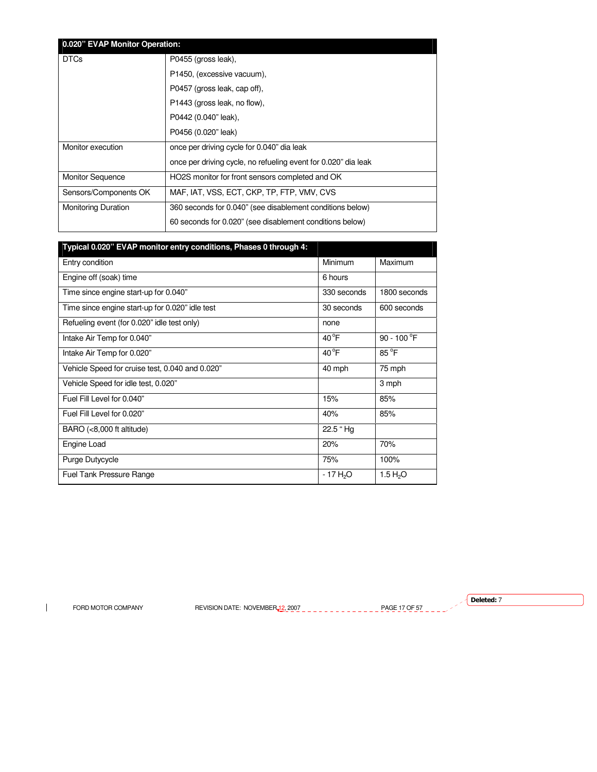| 0.020" EVAP Monitor Operation: |                                                                |  |
|--------------------------------|----------------------------------------------------------------|--|
| <b>DTCs</b>                    | P0455 (gross leak),                                            |  |
|                                | P1450, (excessive vacuum),                                     |  |
|                                | P0457 (gross leak, cap off),                                   |  |
|                                | P1443 (gross leak, no flow),                                   |  |
|                                | P0442 (0.040" leak),                                           |  |
|                                | P0456 (0.020" leak)                                            |  |
| Monitor execution              | once per driving cycle for 0.040" dia leak                     |  |
|                                | once per driving cycle, no refueling event for 0.020" dia leak |  |
| <b>Monitor Sequence</b>        | HO2S monitor for front sensors completed and OK                |  |
| Sensors/Components OK          | MAF, IAT, VSS, ECT, CKP, TP, FTP, VMV, CVS                     |  |
| <b>Monitoring Duration</b>     | 360 seconds for 0.040" (see disablement conditions below)      |  |
|                                | 60 seconds for 0.020" (see disablement conditions below)       |  |

| Typical 0.020" EVAP monitor entry conditions, Phases 0 through 4: |                |                               |
|-------------------------------------------------------------------|----------------|-------------------------------|
| Entry condition                                                   | Minimum        | Maximum                       |
| Engine off (soak) time                                            | 6 hours        |                               |
| Time since engine start-up for 0.040"                             | 330 seconds    | 1800 seconds                  |
| Time since engine start-up for 0.020" idle test                   | 30 seconds     | 600 seconds                   |
| Refueling event (for 0.020" idle test only)                       | none           |                               |
| Intake Air Temp for 0.040"                                        | $40^{\circ}$ F | 90 - 100 $\mathrm{^{\circ}F}$ |
| Intake Air Temp for 0.020"                                        | $40^{\circ}$ F | $85^{\circ}$ F                |
| Vehicle Speed for cruise test, 0.040 and 0.020"                   | 40 mph         | 75 mph                        |
| Vehicle Speed for idle test, 0.020"                               |                | 3 mph                         |
| Fuel Fill Level for 0.040"                                        | 15%            | 85%                           |
| Fuel Fill Level for 0.020"                                        | 40%            | 85%                           |
| $BARO$ (<8,000 ft altitude)                                       | 22.5 "Hg       |                               |
| Engine Load                                                       | 20%            | 70%                           |
| Purge Dutycycle                                                   | 75%            | 100%                          |
| Fuel Tank Pressure Range                                          | $-17H2O$       | 1.5 $H_2O$                    |

 $\mathbf{I}$ 

FORD MOTOR COMPANY REVISION DATE: NOVEMBER 12, 2007 PAGE 17 OF 57

 $\sqrt{\phantom{a}}$  Deleted: 7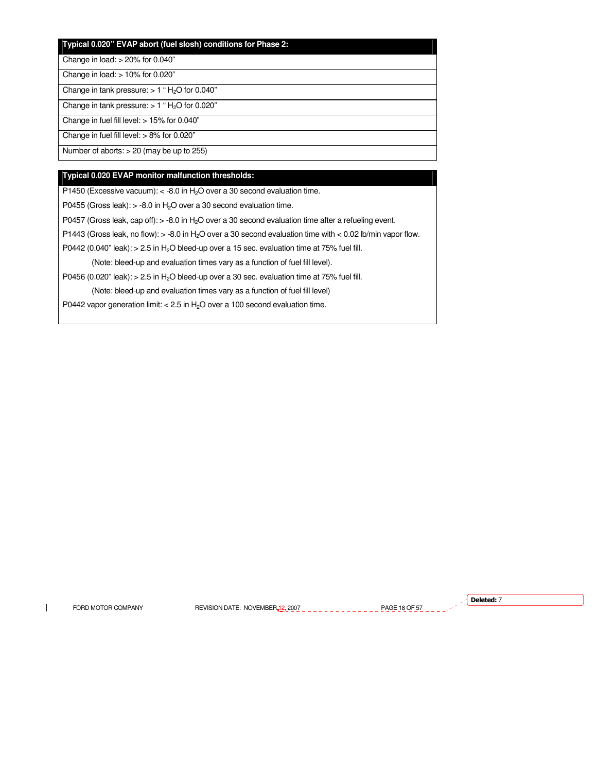# **Typical 0.020" EVAP abort (fuel slosh) conditions for Phase 2:**

Change in load: > 20% for 0.040"

Change in load: > 10% for 0.020"

Change in tank pressure:  $> 1$  " H<sub>2</sub>O for 0.040"

Change in tank pressure:  $> 1$  " H<sub>2</sub>O for 0.020"

Change in fuel fill level: > 15% for 0.040"

Change in fuel fill level: > 8% for 0.020"

Number of aborts: > 20 (may be up to 255)

# **Typical 0.020 EVAP monitor malfunction thresholds:**

P1450 (Excessive vacuum):  $<$  -8.0 in H<sub>2</sub>O over a 30 second evaluation time.

P0455 (Gross leak):  $> -8.0$  in H<sub>2</sub>O over a 30 second evaluation time.

P0457 (Gross leak, cap off): > -8.0 in H<sub>2</sub>O over a 30 second evaluation time after a refueling event.

P1443 (Gross leak, no flow):  $> -8.0$  in H<sub>2</sub>O over a 30 second evaluation time with < 0.02 lb/min vapor flow.

P0442 (0.040" leak):  $> 2.5$  in H<sub>2</sub>O bleed-up over a 15 sec. evaluation time at 75% fuel fill.

(Note: bleed-up and evaluation times vary as a function of fuel fill level).

P0456 (0.020" leak):  $> 2.5$  in H<sub>2</sub>O bleed-up over a 30 sec. evaluation time at 75% fuel fill.

(Note: bleed-up and evaluation times vary as a function of fuel fill level)

P0442 vapor generation limit:  $< 2.5$  in H<sub>2</sub>O over a 100 second evaluation time.

 $\overline{\phantom{a}}$ 

FORD MOTOR COMPANY REVISION DATE: NOVEMBER 12, 2007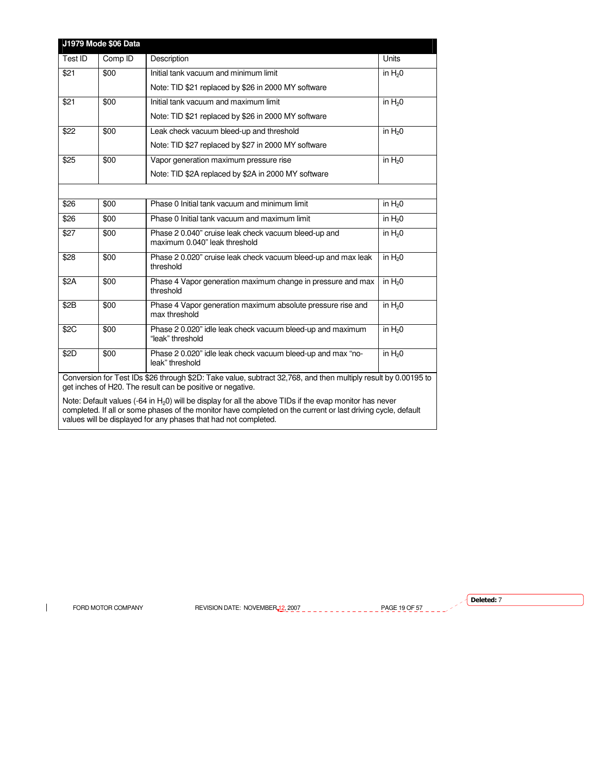| J1979 Mode \$06 Data                                                                                                                                                                                                                                                                                   |         |                                                                                       |              |
|--------------------------------------------------------------------------------------------------------------------------------------------------------------------------------------------------------------------------------------------------------------------------------------------------------|---------|---------------------------------------------------------------------------------------|--------------|
| Test ID                                                                                                                                                                                                                                                                                                | Comp ID | Description                                                                           | <b>Units</b> |
| \$21                                                                                                                                                                                                                                                                                                   | \$00    | Initial tank vacuum and minimum limit                                                 | in $H20$     |
|                                                                                                                                                                                                                                                                                                        |         | Note: TID \$21 replaced by \$26 in 2000 MY software                                   |              |
| \$21                                                                                                                                                                                                                                                                                                   | \$00    | Initial tank vacuum and maximum limit                                                 | in $H20$     |
|                                                                                                                                                                                                                                                                                                        |         | Note: TID \$21 replaced by \$26 in 2000 MY software                                   |              |
| \$22                                                                                                                                                                                                                                                                                                   | \$00    | Leak check vacuum bleed-up and threshold                                              | in $H20$     |
|                                                                                                                                                                                                                                                                                                        |         | Note: TID \$27 replaced by \$27 in 2000 MY software                                   |              |
| \$25                                                                                                                                                                                                                                                                                                   | \$00    | Vapor generation maximum pressure rise                                                | in $H20$     |
|                                                                                                                                                                                                                                                                                                        |         | Note: TID \$2A replaced by \$2A in 2000 MY software                                   |              |
|                                                                                                                                                                                                                                                                                                        |         |                                                                                       |              |
| \$26                                                                                                                                                                                                                                                                                                   | \$00    | Phase 0 Initial tank vacuum and minimum limit                                         | in $H20$     |
| \$26                                                                                                                                                                                                                                                                                                   | \$00    | Phase 0 Initial tank vacuum and maximum limit                                         | in $H20$     |
| \$27                                                                                                                                                                                                                                                                                                   | \$00    | Phase 2 0.040" cruise leak check vacuum bleed-up and<br>maximum 0.040" leak threshold | in $H_2$ 0   |
| \$28                                                                                                                                                                                                                                                                                                   | \$00    | Phase 2 0.020" cruise leak check vacuum bleed-up and max leak<br>threshold            | in $H20$     |
| \$2A                                                                                                                                                                                                                                                                                                   | \$00    | Phase 4 Vapor generation maximum change in pressure and max<br>threshold              | in $H20$     |
| \$2B                                                                                                                                                                                                                                                                                                   | \$00    | Phase 4 Vapor generation maximum absolute pressure rise and<br>max threshold          | in $H20$     |
| \$2C                                                                                                                                                                                                                                                                                                   | \$00    | Phase 2 0.020" idle leak check vacuum bleed-up and maximum<br>"leak" threshold        | in $H20$     |
| \$2D                                                                                                                                                                                                                                                                                                   | \$00    | Phase 2 0.020" idle leak check vacuum bleed-up and max "no-<br>leak" threshold        | in $H_2$ 0   |
| Conversion for Test IDs \$26 through \$2D: Take value, subtract 32,768, and then multiply result by 0.00195 to<br>get inches of H20. The result can be positive or negative.                                                                                                                           |         |                                                                                       |              |
| Note: Default values $(-64 \text{ in } H_2 0)$ will be display for all the above TIDs if the evap monitor has never<br>completed. If all or some phases of the monitor have completed on the current or last driving cycle, default<br>values will be displayed for any phases that had not completed. |         |                                                                                       |              |

 $\mathbf{I}$ 

FORD MOTOR COMPANY REVISION DATE: NOVEMBER 12, 2007  $\frac{1}{2}$   $\frac{1}{2}$   $\frac{1}{2}$   $\frac{1}{2}$   $\frac{1}{2}$   $\frac{1}{2}$   $\frac{1}{2}$   $\frac{1}{2}$   $\frac{1}{2}$   $\frac{1}{2}$ 

 $\sqrt{\phantom{a}}$  Deleted: 7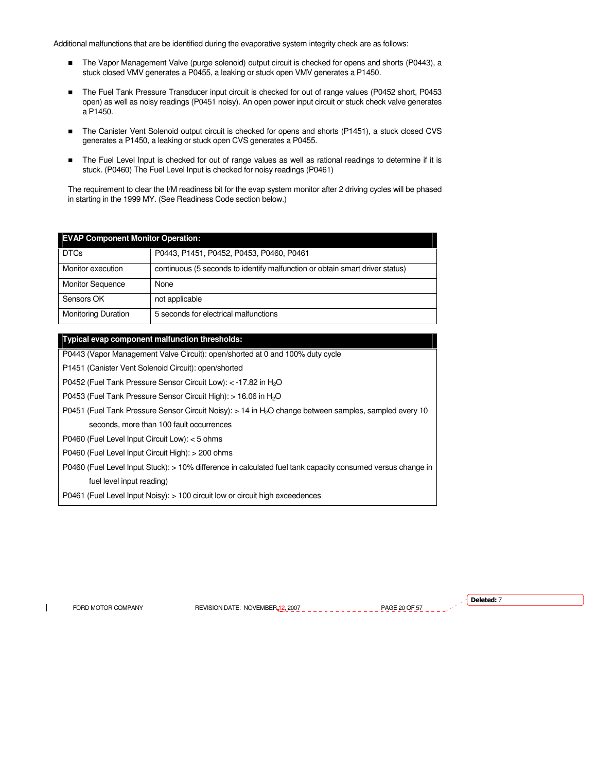Additional malfunctions that are be identified during the evaporative system integrity check are as follows:

- The Vapor Management Valve (purge solenoid) output circuit is checked for opens and shorts (P0443), a stuck closed VMV generates a P0455, a leaking or stuck open VMV generates a P1450.
- The Fuel Tank Pressure Transducer input circuit is checked for out of range values (P0452 short, P0453 open) as well as noisy readings (P0451 noisy). An open power input circuit or stuck check valve generates a P1450.
- The Canister Vent Solenoid output circuit is checked for opens and shorts (P1451), a stuck closed CVS generates a P1450, a leaking or stuck open CVS generates a P0455.
- The Fuel Level Input is checked for out of range values as well as rational readings to determine if it is stuck. (P0460) The Fuel Level Input is checked for noisy readings (P0461)

The requirement to clear the I/M readiness bit for the evap system monitor after 2 driving cycles will be phased in starting in the 1999 MY. (See Readiness Code section below.)

| <b>EVAP Component Monitor Operation:</b> |                                                                              |  |
|------------------------------------------|------------------------------------------------------------------------------|--|
| <b>DTCs</b>                              | P0443, P1451, P0452, P0453, P0460, P0461                                     |  |
| Monitor execution                        | continuous (5 seconds to identify malfunction or obtain smart driver status) |  |
| <b>Monitor Sequence</b>                  | None                                                                         |  |
| Sensors OK                               | not applicable                                                               |  |
| <b>Monitoring Duration</b>               | 5 seconds for electrical malfunctions                                        |  |

# **Typical evap component malfunction thresholds:**

P0443 (Vapor Management Valve Circuit): open/shorted at 0 and 100% duty cycle

P1451 (Canister Vent Solenoid Circuit): open/shorted

P0452 (Fuel Tank Pressure Sensor Circuit Low): < -17.82 in H<sub>2</sub>O

P0453 (Fuel Tank Pressure Sensor Circuit High): > 16.06 in H<sub>2</sub>O

P0451 (Fuel Tank Pressure Sensor Circuit Noisy): > 14 in H<sub>2</sub>O change between samples, sampled every 10 seconds, more than 100 fault occurrences

P0460 (Fuel Level Input Circuit Low): < 5 ohms

P0460 (Fuel Level Input Circuit High): > 200 ohms

P0460 (Fuel Level Input Stuck): > 10% difference in calculated fuel tank capacity consumed versus change in fuel level input reading)

P0461 (Fuel Level Input Noisy): > 100 circuit low or circuit high exceedences

FORD MOTOR COMPANY REVISION DATE: NOVEMBER 12, 2007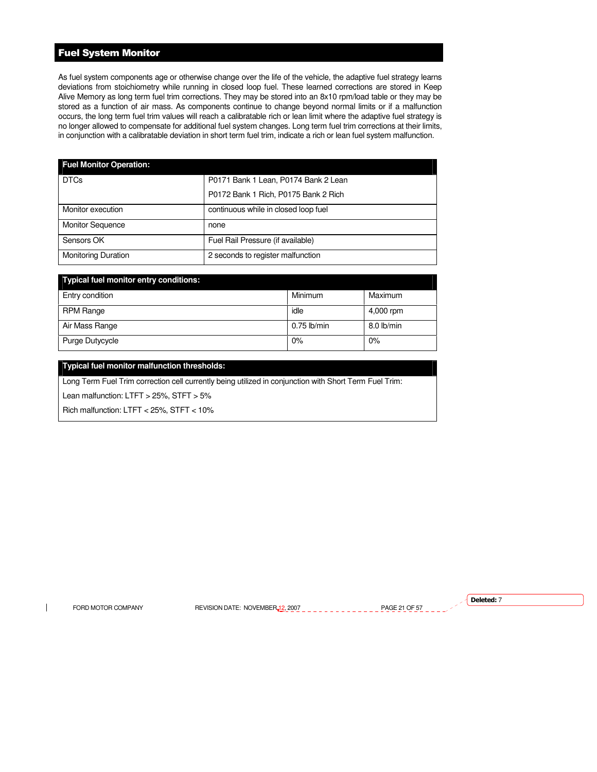# Fuel System Monitor

As fuel system components age or otherwise change over the life of the vehicle, the adaptive fuel strategy learns deviations from stoichiometry while running in closed loop fuel. These learned corrections are stored in Keep Alive Memory as long term fuel trim corrections. They may be stored into an 8x10 rpm/load table or they may be stored as a function of air mass. As components continue to change beyond normal limits or if a malfunction occurs, the long term fuel trim values will reach a calibratable rich or lean limit where the adaptive fuel strategy is no longer allowed to compensate for additional fuel system changes. Long term fuel trim corrections at their limits, in conjunction with a calibratable deviation in short term fuel trim, indicate a rich or lean fuel system malfunction.

| <b>Fuel Monitor Operation:</b> |                                      |
|--------------------------------|--------------------------------------|
| <b>DTCs</b>                    | P0171 Bank 1 Lean, P0174 Bank 2 Lean |
|                                | P0172 Bank 1 Rich, P0175 Bank 2 Rich |
| Monitor execution              | continuous while in closed loop fuel |
| <b>Monitor Sequence</b>        | none                                 |
| Sensors OK                     | Fuel Rail Pressure (if available)    |
| <b>Monitoring Duration</b>     | 2 seconds to register malfunction    |

| Typical fuel monitor entry conditions: |               |            |
|----------------------------------------|---------------|------------|
| Entry condition                        | Minimum       | Maximum    |
| RPM Range                              | idle          | 4,000 rpm  |
| Air Mass Range                         | $0.75$ lb/min | 8.0 lb/min |
| Purge Dutycycle                        | 0%            | 0%         |

# **Typical fuel monitor malfunction thresholds:**

Long Term Fuel Trim correction cell currently being utilized in conjunction with Short Term Fuel Trim:

Lean malfunction: LTFT > 25%, STFT > 5%

Rich malfunction: LTFT < 25%, STFT < 10%

 $\mathbf{I}$ 

FORD MOTOR COMPANY REVISION DATE: NOVEMBER 12, 2007 PAGE 21 OF 57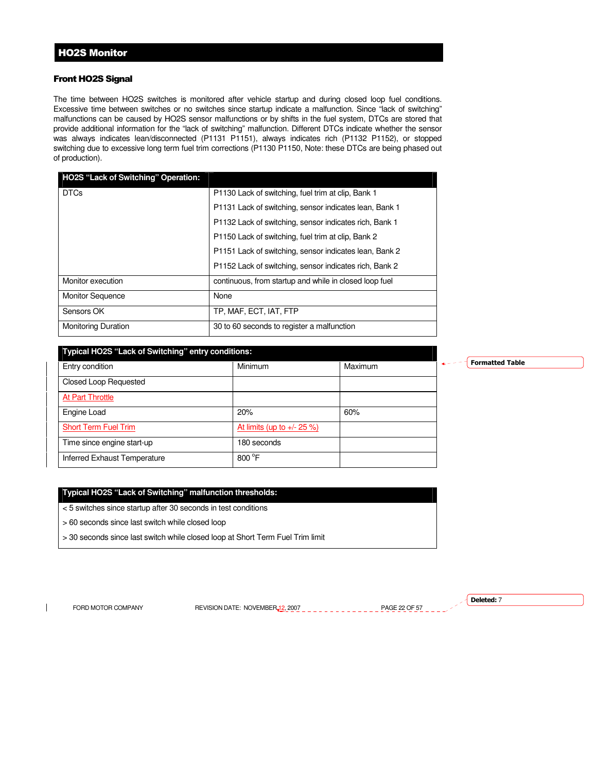# Front HO2S Signal

The time between HO2S switches is monitored after vehicle startup and during closed loop fuel conditions. Excessive time between switches or no switches since startup indicate a malfunction. Since "lack of switching" malfunctions can be caused by HO2S sensor malfunctions or by shifts in the fuel system, DTCs are stored that provide additional information for the "lack of switching" malfunction. Different DTCs indicate whether the sensor was always indicates lean/disconnected (P1131 P1151), always indicates rich (P1132 P1152), or stopped switching due to excessive long term fuel trim corrections (P1130 P1150, Note: these DTCs are being phased out of production).

| <b>HO2S "Lack of Switching" Operation:</b> |                                                        |
|--------------------------------------------|--------------------------------------------------------|
| <b>DTCs</b>                                | P1130 Lack of switching, fuel trim at clip, Bank 1     |
|                                            | P1131 Lack of switching, sensor indicates lean, Bank 1 |
|                                            | P1132 Lack of switching, sensor indicates rich, Bank 1 |
|                                            | P1150 Lack of switching, fuel trim at clip, Bank 2     |
|                                            | P1151 Lack of switching, sensor indicates lean, Bank 2 |
|                                            | P1152 Lack of switching, sensor indicates rich, Bank 2 |
| Monitor execution                          | continuous, from startup and while in closed loop fuel |
| <b>Monitor Sequence</b>                    | None                                                   |
| Sensors OK                                 | TP. MAF. ECT. IAT. FTP                                 |
| <b>Monitoring Duration</b>                 | 30 to 60 seconds to register a malfunction             |

#### **Typical HO2S "Lack of Switching" entry conditions:**

| . .                          |                            |         |
|------------------------------|----------------------------|---------|
| Entry condition              | Minimum                    | Maximum |
| <b>Closed Loop Requested</b> |                            |         |
| At Part Throttle             |                            |         |
| Engine Load                  | 20%                        | 60%     |
| <b>Short Term Fuel Trim</b>  | At limits (up to +/- 25 %) |         |
| Time since engine start-up   | 180 seconds                |         |
| Inferred Exhaust Temperature | $800^{\circ}$ F            |         |

# **Typical HO2S "Lack of Switching" malfunction thresholds:**

< 5 switches since startup after 30 seconds in test conditions

- > 60 seconds since last switch while closed loop
- > 30 seconds since last switch while closed loop at Short Term Fuel Trim limit

 $\overline{\phantom{a}}$ 

FORD MOTOR COMPANY REVISION DATE: NOVEMBER 12, 2007 PAGE 22 OF 57

Deleted: 7

Formatted Table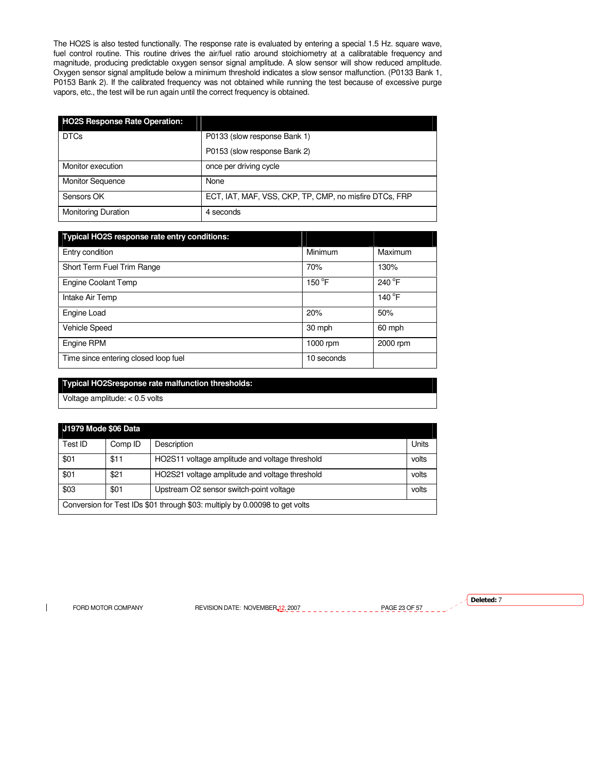The HO2S is also tested functionally. The response rate is evaluated by entering a special 1.5 Hz. square wave, fuel control routine. This routine drives the air/fuel ratio around stoichiometry at a calibratable frequency and magnitude, producing predictable oxygen sensor signal amplitude. A slow sensor will show reduced amplitude. Oxygen sensor signal amplitude below a minimum threshold indicates a slow sensor malfunction. (P0133 Bank 1, P0153 Bank 2). If the calibrated frequency was not obtained while running the test because of excessive purge vapors, etc., the test will be run again until the correct frequency is obtained.

| <b>HO2S Response Rate Operation:</b> |                                                        |
|--------------------------------------|--------------------------------------------------------|
| <b>DTCs</b>                          | P0133 (slow response Bank 1)                           |
|                                      | P0153 (slow response Bank 2)                           |
| Monitor execution                    | once per driving cycle                                 |
| <b>Monitor Sequence</b>              | None                                                   |
| Sensors OK                           | ECT, IAT, MAF, VSS, CKP, TP, CMP, no misfire DTCs, FRP |
| <b>Monitoring Duration</b>           | 4 seconds                                              |

| <b>Typical HO2S response rate entry conditions:</b> |                 |                  |
|-----------------------------------------------------|-----------------|------------------|
| Entry condition                                     | Minimum         | Maximum          |
| Short Term Fuel Trim Range                          | 70%             | 130%             |
| <b>Engine Coolant Temp</b>                          | $150^{\circ}$ F | 240 °F           |
| Intake Air Temp                                     |                 | 140 $^{\circ}$ F |
| Engine Load                                         | 20%             | 50%              |
| Vehicle Speed                                       | 30 mph          | 60 mph           |
| Engine RPM                                          | $1000$ rpm      | 2000 rpm         |
| Time since entering closed loop fuel                | 10 seconds      |                  |

# **Typical HO2Sresponse rate malfunction thresholds:**

Voltage amplitude: < 0.5 volts

| J1979 Mode \$06 Data                                                        |         |                                                |       |
|-----------------------------------------------------------------------------|---------|------------------------------------------------|-------|
| Test ID                                                                     | Comp ID | Description                                    | Units |
| \$01                                                                        | \$11    | HO2S11 voltage amplitude and voltage threshold | volts |
| \$01                                                                        | \$21    | HO2S21 voltage amplitude and voltage threshold | volts |
| \$03<br>\$01<br>Upstream O2 sensor switch-point voltage<br>volts            |         |                                                |       |
| Conversion for Test IDs \$01 through \$03: multiply by 0.00098 to get volts |         |                                                |       |

 $\mathbf{I}$ 

FORD MOTOR COMPANY REVISION DATE: NOVEMBER 12, 2007 PAGE 23 OF 57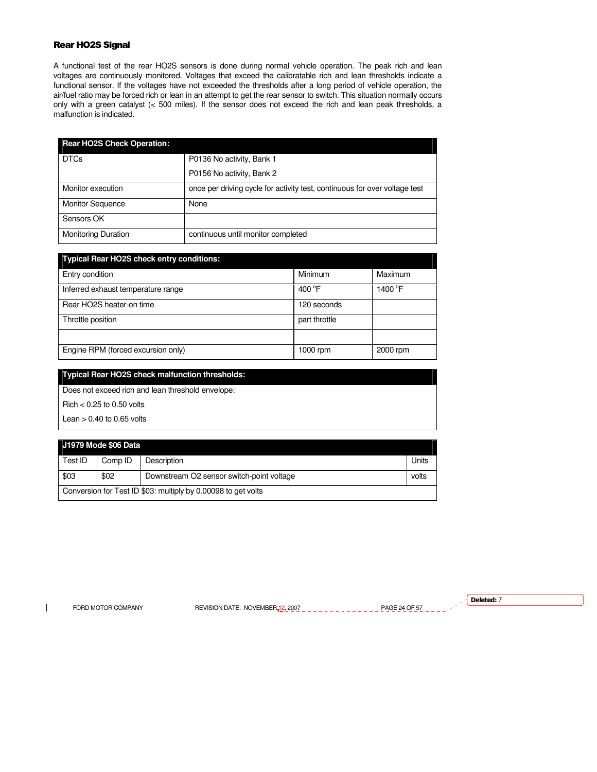# Rear HO2S Signal

A functional test of the rear HO2S sensors is done during normal vehicle operation. The peak rich and lean voltages are continuously monitored. Voltages that exceed the calibratable rich and lean thresholds indicate a functional sensor. If the voltages have not exceeded the thresholds after a long period of vehicle operation, the air/fuel ratio may be forced rich or lean in an attempt to get the rear sensor to switch. This situation normally occurs only with a green catalyst (< 500 miles). If the sensor does not exceed the rich and lean peak thresholds, a malfunction is indicated.

| <b>Rear HO2S Check Operation:</b> |                                                                            |  |
|-----------------------------------|----------------------------------------------------------------------------|--|
| <b>DTCs</b>                       | P0136 No activity, Bank 1                                                  |  |
|                                   | P0156 No activity, Bank 2                                                  |  |
| Monitor execution                 | once per driving cycle for activity test, continuous for over voltage test |  |
| <b>Monitor Sequence</b>           | None                                                                       |  |
| Sensors OK                        |                                                                            |  |
| <b>Monitoring Duration</b>        | continuous until monitor completed                                         |  |

| <b>Typical Rear HO2S check entry conditions:</b> |                  |                     |
|--------------------------------------------------|------------------|---------------------|
| Entry condition                                  | Minimum          | Maximum             |
| Inferred exhaust temperature range               | 400 $^{\circ}$ F | 1400 <sup>°</sup> F |
| Rear HO2S heater-on time                         | 120 seconds      |                     |
| Throttle position                                | part throttle    |                     |
|                                                  |                  |                     |
| Engine RPM (forced excursion only)               | $1000$ rpm       | 2000 rpm            |

**Typical Rear HO2S check malfunction thresholds:**  Does not exceed rich and lean threshold envelope:

Rich < 0.25 to 0.50 volts

Lean  $> 0.40$  to 0.65 volts

# **J1979 Mode \$06 Data**

| ${\sf Test}$ ID                                               | Comp ID | Description                               | Units |
|---------------------------------------------------------------|---------|-------------------------------------------|-------|
| \$03                                                          | \$02    | Downstream O2 sensor switch-point voltage | volts |
| Conversion for Test ID \$03: multiply by 0.00098 to get volts |         |                                           |       |

 $\overline{\phantom{a}}$ 

FORD MOTOR COMPANY REVISION DATE: NOVEMBER 12, 2007 PAGE 24 OF 57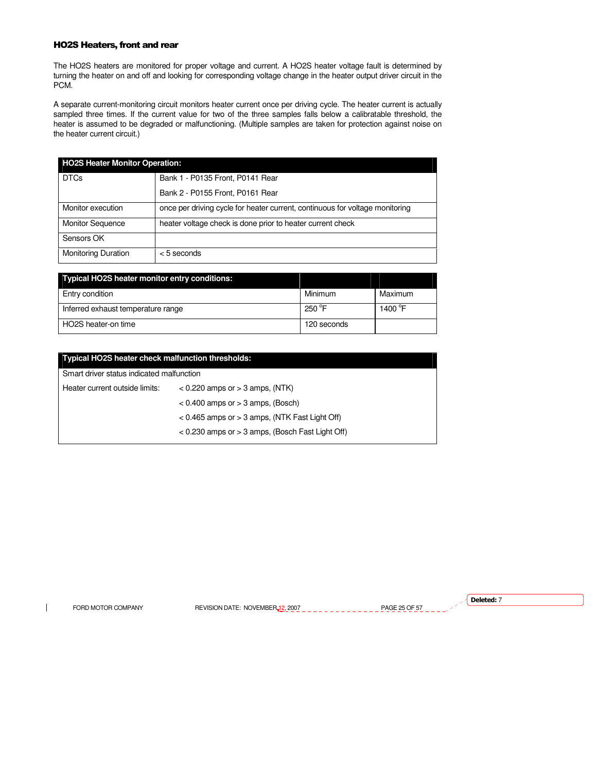# HO2S Heaters, front and rear

The HO2S heaters are monitored for proper voltage and current. A HO2S heater voltage fault is determined by turning the heater on and off and looking for corresponding voltage change in the heater output driver circuit in the PCM.

A separate current-monitoring circuit monitors heater current once per driving cycle. The heater current is actually sampled three times. If the current value for two of the three samples falls below a calibratable threshold, the heater is assumed to be degraded or malfunctioning. (Multiple samples are taken for protection against noise on the heater current circuit.)

| <b>HO2S Heater Monitor Operation:</b> |                                                                              |  |
|---------------------------------------|------------------------------------------------------------------------------|--|
| <b>DTCs</b>                           | Bank 1 - P0135 Front, P0141 Rear                                             |  |
|                                       | Bank 2 - P0155 Front, P0161 Rear                                             |  |
| Monitor execution                     | once per driving cycle for heater current, continuous for voltage monitoring |  |
| <b>Monitor Sequence</b>               | heater voltage check is done prior to heater current check                   |  |
| Sensors OK                            |                                                                              |  |
| <b>Monitoring Duration</b>            | $<$ 5 seconds                                                                |  |

| <b>Typical HO2S heater monitor entry conditions:</b> |                 |                  |
|------------------------------------------------------|-----------------|------------------|
| Entry condition                                      | Minimum         | Maximum          |
| Inferred exhaust temperature range                   | $250^{\circ}$ F | 1400 $\degree$ F |
| HO2S heater-on time                                  | 120 seconds     |                  |

| <b>Typical HO2S heater check malfunction thresholds:</b> |                                                      |  |
|----------------------------------------------------------|------------------------------------------------------|--|
| Smart driver status indicated malfunction                |                                                      |  |
| Heater current outside limits:                           | $<$ 0.220 amps or $>$ 3 amps, (NTK)                  |  |
|                                                          | $< 0.400$ amps or $> 3$ amps, (Bosch)                |  |
|                                                          | $< 0.465$ amps or $> 3$ amps, (NTK Fast Light Off)   |  |
|                                                          | $< 0.230$ amps or $> 3$ amps, (Bosch Fast Light Off) |  |
|                                                          |                                                      |  |

 $\overline{\phantom{a}}$ 

FORD MOTOR COMPANY REVISION DATE: NOVEMBER 12, 2007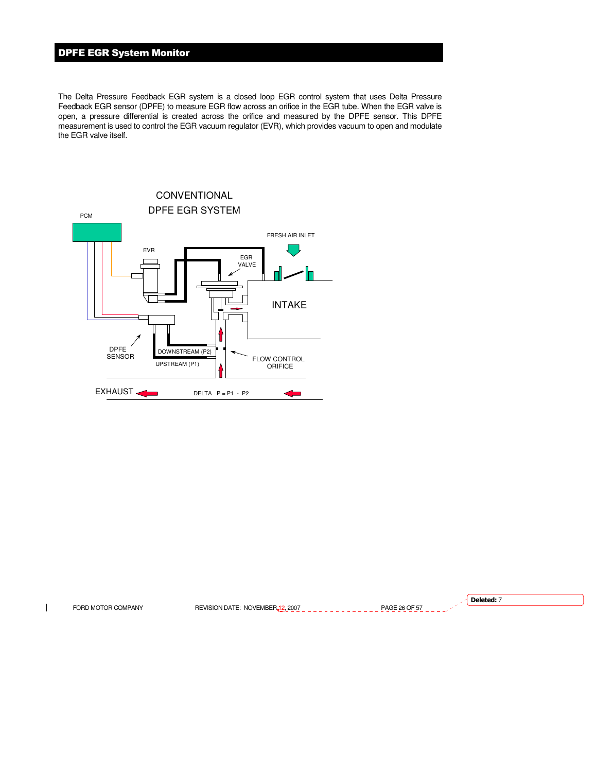# DPFE EGR System Monitor

The Delta Pressure Feedback EGR system is a closed loop EGR control system that uses Delta Pressure Feedback EGR sensor (DPFE) to measure EGR flow across an orifice in the EGR tube. When the EGR valve is open, a pressure differential is created across the orifice and measured by the DPFE sensor. This DPFE measurement is used to control the EGR vacuum regulator (EVR), which provides vacuum to open and modulate the EGR valve itself.



Deleted: 7FORD MOTOR COMPANY REVISION DATE: NOVEMBER 12, 2007 PAGE 26 OF 57  $\mathbf{I}$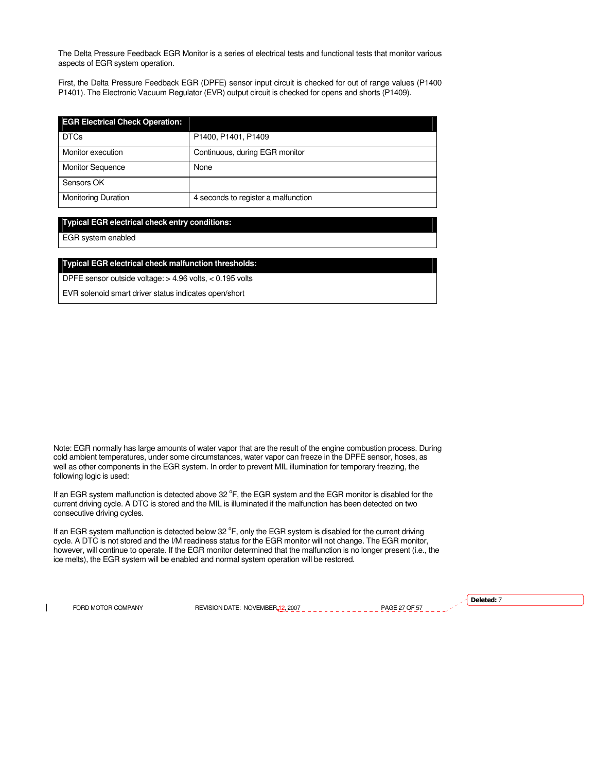The Delta Pressure Feedback EGR Monitor is a series of electrical tests and functional tests that monitor various aspects of EGR system operation.

First, the Delta Pressure Feedback EGR (DPFE) sensor input circuit is checked for out of range values (P1400 P1401). The Electronic Vacuum Regulator (EVR) output circuit is checked for opens and shorts (P1409).

| <b>EGR Electrical Check Operation:</b> |                                     |  |
|----------------------------------------|-------------------------------------|--|
| <b>DTCs</b>                            | P1400, P1401, P1409                 |  |
| Monitor execution                      | Continuous, during EGR monitor      |  |
| <b>Monitor Sequence</b>                | None                                |  |
| Sensors OK                             |                                     |  |
| <b>Monitoring Duration</b>             | 4 seconds to register a malfunction |  |

# **Typical EGR electrical check entry conditions:**

EGR system enabled

# **Typical EGR electrical check malfunction thresholds:**

DPFE sensor outside voltage: > 4.96 volts, < 0.195 volts

EVR solenoid smart driver status indicates open/short

Note: EGR normally has large amounts of water vapor that are the result of the engine combustion process. During cold ambient temperatures, under some circumstances, water vapor can freeze in the DPFE sensor, hoses, as well as other components in the EGR system. In order to prevent MIL illumination for temporary freezing, the following logic is used:

If an EGR system malfunction is detected above 32  $\degree$ F, the EGR system and the EGR monitor is disabled for the current driving cycle. A DTC is stored and the MIL is illuminated if the malfunction has been detected on two consecutive driving cycles.

If an EGR system malfunction is detected below 32 °F, only the EGR system is disabled for the current driving cycle. A DTC is not stored and the I/M readiness status for the EGR monitor will not change. The EGR monitor, however, will continue to operate. If the EGR monitor determined that the malfunction is no longer present (i.e., the ice melts), the EGR system will be enabled and normal system operation will be restored.

 $\overline{\phantom{a}}$ 

FORD MOTOR COMPANY REVISION DATE: NOVEMBER 12, 2007 PAGE 27 OF 57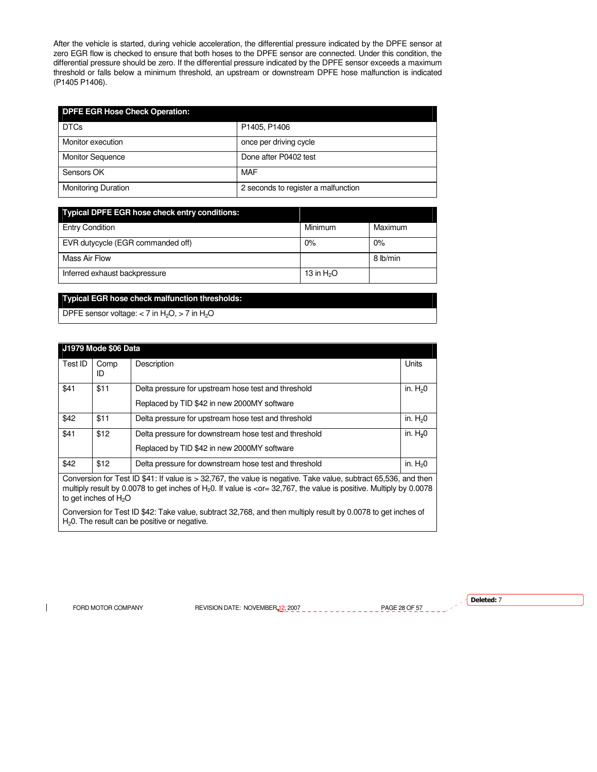After the vehicle is started, during vehicle acceleration, the differential pressure indicated by the DPFE sensor at zero EGR flow is checked to ensure that both hoses to the DPFE sensor are connected. Under this condition, the differential pressure should be zero. If the differential pressure indicated by the DPFE sensor exceeds a maximum threshold or falls below a minimum threshold, an upstream or downstream DPFE hose malfunction is indicated (P1405 P1406).

| <b>DPFE EGR Hose Check Operation:</b> |                                     |  |
|---------------------------------------|-------------------------------------|--|
| <b>DTCs</b>                           | P1405, P1406                        |  |
| Monitor execution                     | once per driving cycle              |  |
| <b>Monitor Sequence</b>               | Done after P0402 test               |  |
| Sensors OK                            | <b>MAF</b>                          |  |
| <b>Monitoring Duration</b>            | 2 seconds to register a malfunction |  |

| <b>Typical DPFE EGR hose check entry conditions:</b> |              |          |  |
|------------------------------------------------------|--------------|----------|--|
| <b>Entry Condition</b>                               | Minimum      | Maximum  |  |
| EVR dutycycle (EGR commanded off)                    | 0%           | 0%       |  |
| Mass Air Flow                                        |              | 8 lb/min |  |
| Inferred exhaust backpressure                        | 13 in $H_2O$ |          |  |

# **Typical EGR hose check malfunction thresholds:**

DPFE sensor voltage:  $<$  7 in H<sub>2</sub>O,  $>$  7 in H<sub>2</sub>O

| <b>J1979 Mode \$06 Data</b>                                                                                                                                                                                                               |            |                                                                                                      |           |
|-------------------------------------------------------------------------------------------------------------------------------------------------------------------------------------------------------------------------------------------|------------|------------------------------------------------------------------------------------------------------|-----------|
| Test ID                                                                                                                                                                                                                                   | Comp<br>ID | Description                                                                                          | Units     |
| \$41                                                                                                                                                                                                                                      | \$11       | Delta pressure for upstream hose test and threshold<br>Replaced by TID \$42 in new 2000MY software   | in. $H20$ |
| \$42                                                                                                                                                                                                                                      | \$11       | Delta pressure for upstream hose test and threshold                                                  | in. $H20$ |
| \$41                                                                                                                                                                                                                                      | \$12       | Delta pressure for downstream hose test and threshold<br>Replaced by TID \$42 in new 2000MY software | in. $H20$ |
| \$42                                                                                                                                                                                                                                      | \$12       | Delta pressure for downstream hose test and threshold                                                | in. $H20$ |
| Conversion for Test ID \$41: If value is > 32,767, the value is negative. Take value, subtract 65,536, and then<br>multiply result by 0.0078 to get inches of H.O. If value is $\geq$ or 32.767 the value is positive. Multiply by 0.0078 |            |                                                                                                      |           |

multiply result by 0.0078 to get inches of  $H_20$ . If value is <or= 32,767, the value is positive. Multiply by 0.0078 to get inches of  $H_2O$ 

Conversion for Test ID \$42: Take value, subtract 32,768, and then multiply result by 0.0078 to get inches of  $H<sub>2</sub>0$ . The result can be positive or negative.

 $\mathbf{I}$ 

FORD MOTOR COMPANY REVISION DATE: NOVEMBER 12, 2007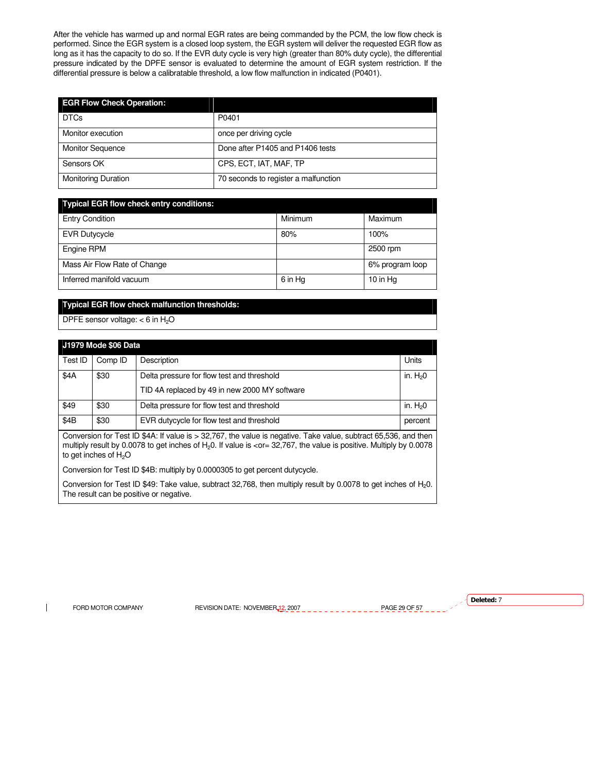After the vehicle has warmed up and normal EGR rates are being commanded by the PCM, the low flow check is performed. Since the EGR system is a closed loop system, the EGR system will deliver the requested EGR flow as long as it has the capacity to do so. If the EVR duty cycle is very high (greater than 80% duty cycle), the differential pressure indicated by the DPFE sensor is evaluated to determine the amount of EGR system restriction. If the differential pressure is below a calibratable threshold, a low flow malfunction in indicated (P0401).

| <b>EGR Flow Check Operation:</b> |                                      |
|----------------------------------|--------------------------------------|
| <b>DTCs</b>                      | P0401                                |
| Monitor execution                | once per driving cycle               |
| <b>Monitor Sequence</b>          | Done after P1405 and P1406 tests     |
| Sensors OK                       | CPS, ECT, IAT, MAF, TP               |
| <b>Monitoring Duration</b>       | 70 seconds to register a malfunction |

# **Typical EGR flow check entry conditions:**

| <b>Entry Condition</b>       | Minimum | Maximum         |
|------------------------------|---------|-----------------|
| <b>EVR Dutycycle</b>         | 80%     | 100%            |
| Engine RPM                   |         | 2500 rpm        |
| Mass Air Flow Rate of Change |         | 6% program loop |
| Inferred manifold vacuum     | 6 in Hg | 10 in Hg        |

# **Typical EGR flow check malfunction thresholds:**

DPFE sensor voltage:  $<$  6 in H<sub>2</sub>O

| <b>J1979 Mode \$06 Data</b> |         |                                               |           |
|-----------------------------|---------|-----------------------------------------------|-----------|
| Test ID                     | Comp ID | Description                                   | Units     |
| \$4A                        | \$30    | Delta pressure for flow test and threshold    | in. $H20$ |
|                             |         | TID 4A replaced by 49 in new 2000 MY software |           |
| \$49                        | \$30    | Delta pressure for flow test and threshold    | in. $H20$ |
| \$4B                        | \$30    | EVR dutycycle for flow test and threshold     | percent   |

Conversion for Test ID \$4A: If value is > 32,767, the value is negative. Take value, subtract 65,536, and then multiply result by 0.0078 to get inches of H<sub>2</sub>0. If value is <or = 32,767, the value is positive. Multiply by 0.0078 to get inches of  $H<sub>2</sub>O$ 

Conversion for Test ID \$4B: multiply by 0.0000305 to get percent dutycycle.

Conversion for Test ID \$49: Take value, subtract 32,768, then multiply result by 0.0078 to get inches of H20. The result can be positive or negative.

 $\overline{\phantom{a}}$ 

FORD MOTOR COMPANY REVISION DATE: NOVEMBER 12, 2007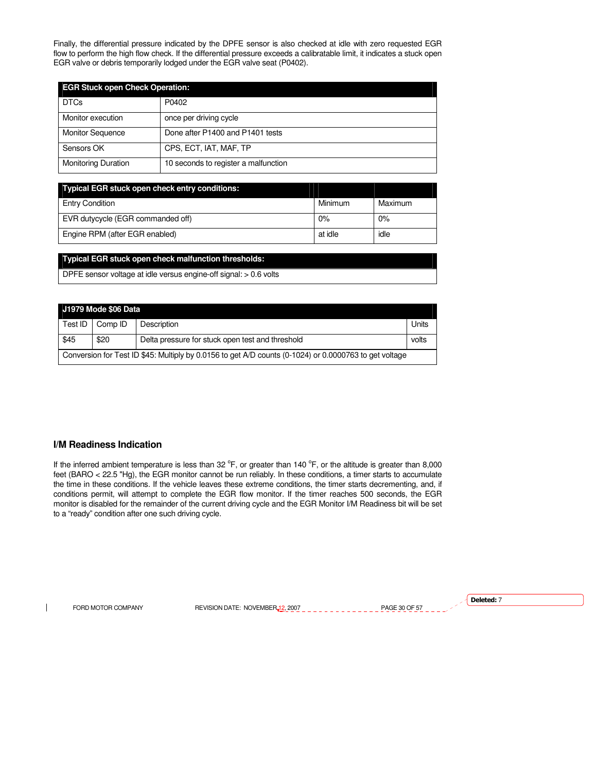Finally, the differential pressure indicated by the DPFE sensor is also checked at idle with zero requested EGR flow to perform the high flow check. If the differential pressure exceeds a calibratable limit, it indicates a stuck open EGR valve or debris temporarily lodged under the EGR valve seat (P0402).

| <b>EGR Stuck open Check Operation:</b> |                                      |  |
|----------------------------------------|--------------------------------------|--|
| <b>DTCs</b>                            | P0402                                |  |
| Monitor execution                      | once per driving cycle               |  |
| <b>Monitor Sequence</b>                | Done after P1400 and P1401 tests     |  |
| Sensors OK                             | CPS, ECT, IAT, MAF, TP               |  |
| <b>Monitoring Duration</b>             | 10 seconds to register a malfunction |  |

| <b>Typical EGR stuck open check entry conditions:</b> |         |         |
|-------------------------------------------------------|---------|---------|
| <b>Entry Condition</b>                                | Minimum | Maximum |
| EVR dutycycle (EGR commanded off)                     | 0%      | 0%      |
| Engine RPM (after EGR enabled)                        | at idle | idle    |

# **Typical EGR stuck open check malfunction thresholds:**

DPFE sensor voltage at idle versus engine-off signal: > 0.6 volts

| J1979 Mode \$06 Data                                                                                   |         |                                                  |       |
|--------------------------------------------------------------------------------------------------------|---------|--------------------------------------------------|-------|
| Test ID                                                                                                | Comp ID | Description                                      | Units |
| \$45                                                                                                   | \$20    | Delta pressure for stuck open test and threshold | volts |
| Conversion for Test ID \$45: Multiply by 0.0156 to get A/D counts (0-1024) or 0.0000763 to get voltage |         |                                                  |       |

# **I/M Readiness Indication**

If the inferred ambient temperature is less than 32  $\rm{^{\circ}F}$ , or greater than 140  $\rm{^{\circ}F}$ , or the altitude is greater than 8,000 feet (BARO < 22.5 "Hg), the EGR monitor cannot be run reliably. In these conditions, a timer starts to accumulate the time in these conditions. If the vehicle leaves these extreme conditions, the timer starts decrementing, and, if conditions permit, will attempt to complete the EGR flow monitor. If the timer reaches 500 seconds, the EGR monitor is disabled for the remainder of the current driving cycle and the EGR Monitor I/M Readiness bit will be set to a "ready" condition after one such driving cycle.

 $\mathbf{I}$ 

FORD MOTOR COMPANY REVISION DATE: NOVEMBER 12, 2007 PAGE 30 OF 57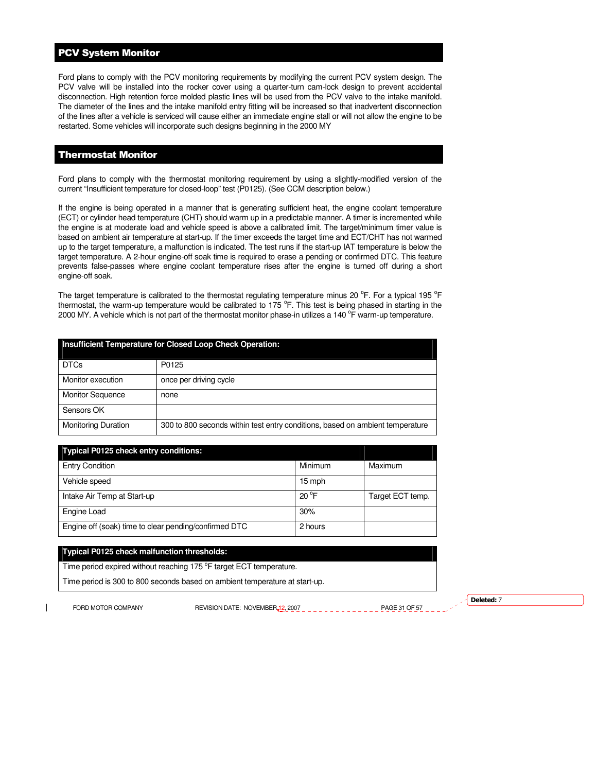# PCV System Monitor

Ford plans to comply with the PCV monitoring requirements by modifying the current PCV system design. The PCV valve will be installed into the rocker cover using a quarter-turn cam-lock design to prevent accidental disconnection. High retention force molded plastic lines will be used from the PCV valve to the intake manifold. The diameter of the lines and the intake manifold entry fitting will be increased so that inadvertent disconnection of the lines after a vehicle is serviced will cause either an immediate engine stall or will not allow the engine to be restarted. Some vehicles will incorporate such designs beginning in the 2000 MY

# Thermostat Monitor

Ford plans to comply with the thermostat monitoring requirement by using a slightly-modified version of the current "Insufficient temperature for closed-loop" test (P0125). (See CCM description below.)

If the engine is being operated in a manner that is generating sufficient heat, the engine coolant temperature (ECT) or cylinder head temperature (CHT) should warm up in a predictable manner. A timer is incremented while the engine is at moderate load and vehicle speed is above a calibrated limit. The target/minimum timer value is based on ambient air temperature at start-up. If the timer exceeds the target time and ECT/CHT has not warmed up to the target temperature, a malfunction is indicated. The test runs if the start-up IAT temperature is below the target temperature. A 2-hour engine-off soak time is required to erase a pending or confirmed DTC. This feature prevents false-passes where engine coolant temperature rises after the engine is turned off during a short engine-off soak.

The target temperature is calibrated to the thermostat regulating temperature minus 20 °F. For a typical 195 °F thermostat, the warm-up temperature would be calibrated to 175 °F. This test is being phased in starting in the 2000 MY. A vehicle which is not part of the thermostat monitor phase-in utilizes a 140  $^{\circ}$ F warm-up temperature.

| Insufficient Temperature for Closed Loop Check Operation: |                                                                               |  |
|-----------------------------------------------------------|-------------------------------------------------------------------------------|--|
| <b>DTCs</b>                                               | P0125                                                                         |  |
| Monitor execution                                         | once per driving cycle                                                        |  |
| <b>Monitor Sequence</b>                                   | none                                                                          |  |
| Sensors OK                                                |                                                                               |  |
| <b>Monitoring Duration</b>                                | 300 to 800 seconds within test entry conditions, based on ambient temperature |  |

| <b>Typical P0125 check entry conditions:</b>          |                |                  |
|-------------------------------------------------------|----------------|------------------|
| <b>Entry Condition</b>                                | Minimum        | Maximum          |
| Vehicle speed                                         | 15 mph         |                  |
| Intake Air Temp at Start-up                           | $20^{\circ}$ F | Target ECT temp. |
| Engine Load                                           | 30%            |                  |
| Engine off (soak) time to clear pending/confirmed DTC | 2 hours        |                  |

### **Typical P0125 check malfunction thresholds:**

Time period expired without reaching 175 °F target ECT temperature.

Time period is 300 to 800 seconds based on ambient temperature at start-up.

FORD MOTOR COMPANY REVISION DATE: NOVEMBER 12, 2007 PAGE 31 OF 57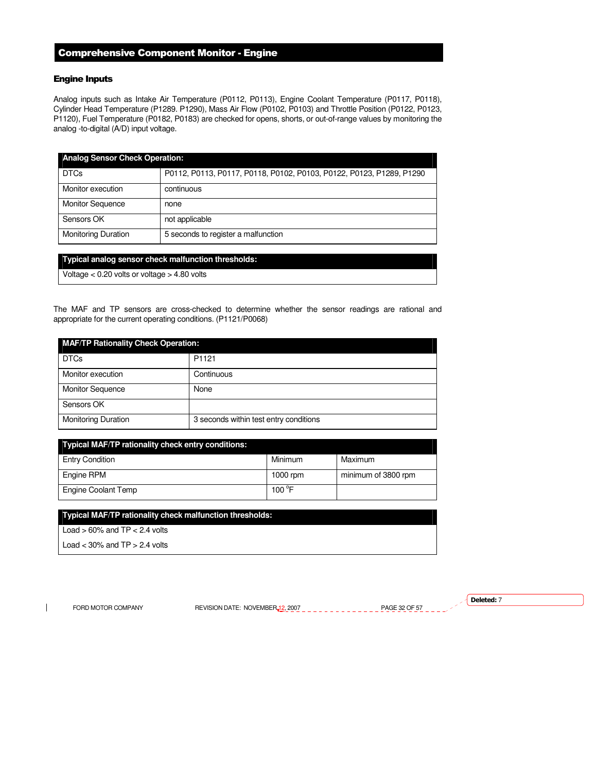# Comprehensive Component Monitor - Engine

# Engine Inputs

Analog inputs such as Intake Air Temperature (P0112, P0113), Engine Coolant Temperature (P0117, P0118), Cylinder Head Temperature (P1289. P1290), Mass Air Flow (P0102, P0103) and Throttle Position (P0122, P0123, P1120), Fuel Temperature (P0182, P0183) are checked for opens, shorts, or out-of-range values by monitoring the analog -to-digital (A/D) input voltage.

| <b>Analog Sensor Check Operation:</b> |                                                                      |  |
|---------------------------------------|----------------------------------------------------------------------|--|
| <b>DTCs</b>                           | P0112, P0113, P0117, P0118, P0102, P0103, P0122, P0123, P1289, P1290 |  |
| Monitor execution                     | continuous                                                           |  |
| <b>Monitor Sequence</b>               | none                                                                 |  |
| Sensors OK                            | not applicable                                                       |  |
| <b>Monitoring Duration</b>            | 5 seconds to register a malfunction                                  |  |

# **Typical analog sensor check malfunction thresholds:**

Voltage < 0.20 volts or voltage > 4.80 volts

The MAF and TP sensors are cross-checked to determine whether the sensor readings are rational and appropriate for the current operating conditions. (P1121/P0068)

| <b>MAF/TP Rationality Check Operation:</b> |                                        |  |
|--------------------------------------------|----------------------------------------|--|
| <b>DTCs</b>                                | P <sub>1121</sub>                      |  |
| Monitor execution                          | Continuous                             |  |
| <b>Monitor Sequence</b>                    | None                                   |  |
| Sensors OK                                 |                                        |  |
| <b>Monitoring Duration</b>                 | 3 seconds within test entry conditions |  |

| Typical MAF/TP rationality check entry conditions: |                 |                     |
|----------------------------------------------------|-----------------|---------------------|
| <b>Entry Condition</b>                             | Minimum         | Maximum             |
| Engine RPM                                         | 1000 rpm        | minimum of 3800 rpm |
| Engine Coolant Temp                                | 100 $\degree$ F |                     |

# **Typical MAF/TP rationality check malfunction thresholds:**

Load  $> 60\%$  and TP  $< 2.4$  volts

Load  $<$  30% and TP  $>$  2.4 volts

 $\overline{\phantom{a}}$ 

FORD MOTOR COMPANY REVISION DATE: NOVEMBER 12, 2007 PAGE 32 OF 57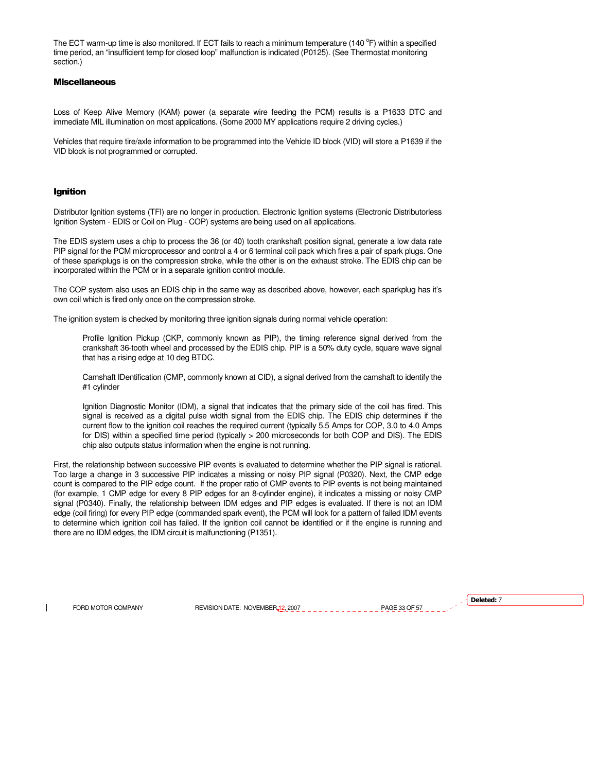The ECT warm-up time is also monitored. If ECT fails to reach a minimum temperature (140 $^{\circ}$ F) within a specified time period, an "insufficient temp for closed loop" malfunction is indicated (P0125). (See Thermostat monitoring section.)

# **Miscellaneous**

Loss of Keep Alive Memory (KAM) power (a separate wire feeding the PCM) results is a P1633 DTC and immediate MIL illumination on most applications. (Some 2000 MY applications require 2 driving cycles.)

Vehicles that require tire/axle information to be programmed into the Vehicle ID block (VID) will store a P1639 if the VID block is not programmed or corrupted.

## Ignition

Distributor Ignition systems (TFI) are no longer in production. Electronic Ignition systems (Electronic Distributorless Ignition System - EDIS or Coil on Plug - COP) systems are being used on all applications.

The EDIS system uses a chip to process the 36 (or 40) tooth crankshaft position signal, generate a low data rate PIP signal for the PCM microprocessor and control a 4 or 6 terminal coil pack which fires a pair of spark plugs. One of these sparkplugs is on the compression stroke, while the other is on the exhaust stroke. The EDIS chip can be incorporated within the PCM or in a separate ignition control module.

The COP system also uses an EDIS chip in the same way as described above, however, each sparkplug has it's own coil which is fired only once on the compression stroke.

The ignition system is checked by monitoring three ignition signals during normal vehicle operation:

Profile Ignition Pickup (CKP, commonly known as PIP), the timing reference signal derived from the crankshaft 36-tooth wheel and processed by the EDIS chip. PIP is a 50% duty cycle, square wave signal that has a rising edge at 10 deg BTDC.

Camshaft IDentification (CMP, commonly known at CID), a signal derived from the camshaft to identify the #1 cylinder

Ignition Diagnostic Monitor (IDM), a signal that indicates that the primary side of the coil has fired. This signal is received as a digital pulse width signal from the EDIS chip. The EDIS chip determines if the current flow to the ignition coil reaches the required current (typically 5.5 Amps for COP, 3.0 to 4.0 Amps for DIS) within a specified time period (typically > 200 microseconds for both COP and DIS). The EDIS chip also outputs status information when the engine is not running.

First, the relationship between successive PIP events is evaluated to determine whether the PIP signal is rational. Too large a change in 3 successive PIP indicates a missing or noisy PIP signal (P0320). Next, the CMP edge count is compared to the PIP edge count. If the proper ratio of CMP events to PIP events is not being maintained (for example, 1 CMP edge for every 8 PIP edges for an 8-cylinder engine), it indicates a missing or noisy CMP signal (P0340). Finally, the relationship between IDM edges and PIP edges is evaluated. If there is not an IDM edge (coil firing) for every PIP edge (commanded spark event), the PCM will look for a pattern of failed IDM events to determine which ignition coil has failed. If the ignition coil cannot be identified or if the engine is running and there are no IDM edges, the IDM circuit is malfunctioning (P1351).

FORD MOTOR COMPANY REVISION DATE: NOVEMBER 12, 2007 PAGE 33 OF 57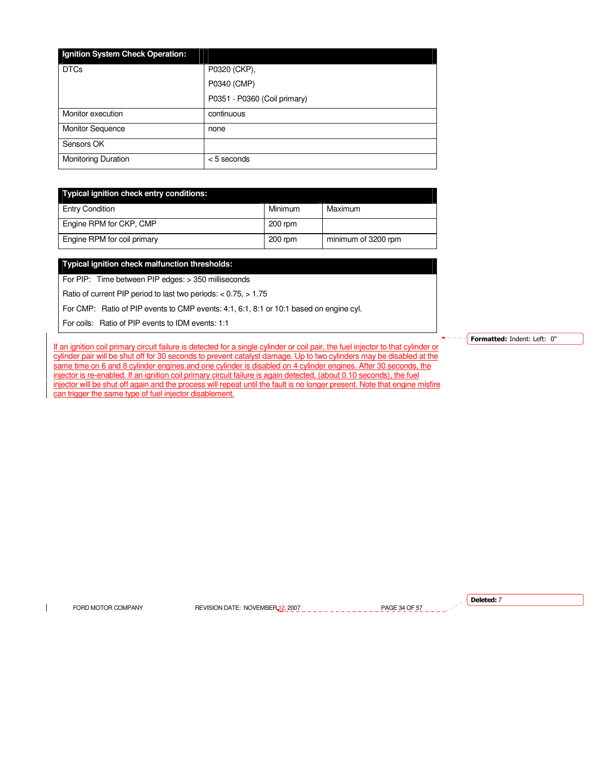| Ignition System Check Operation: |                              |
|----------------------------------|------------------------------|
| <b>DTCs</b>                      | P0320 (CKP),                 |
|                                  | P0340 (CMP)                  |
|                                  | P0351 - P0360 (Coil primary) |
| Monitor execution                | continuous                   |
| <b>Monitor Sequence</b>          | none                         |
| Sensors OK                       |                              |
| <b>Monitoring Duration</b>       | $< 5$ seconds                |

| Typical ignition check entry conditions: |           |                     |  |
|------------------------------------------|-----------|---------------------|--|
| <b>Entry Condition</b>                   | Minimum   | Maximum             |  |
| Engine RPM for CKP, CMP                  | $200$ rpm |                     |  |
| Engine RPM for coil primary              | 200 rpm   | minimum of 3200 rpm |  |

### **Typical ignition check malfunction thresholds:**

For PIP: Time between PIP edges: > 350 milliseconds

Ratio of current PIP period to last two periods: < 0.75, > 1.75

For CMP: Ratio of PIP events to CMP events: 4:1, 6:1, 8:1 or 10:1 based on engine cyl.

For coils: Ratio of PIP events to IDM events: 1:1

If an ignition coil primary circuit failure is detected for a single cylinder or coil pair, the fuel injector to that cylinder or cylinder pair will be shut off for 30 seconds to prevent catalyst damage. Up to two cylinders may be disabled at the same time on 6 and 8 cylinder engines and one cylinder is disabled on 4 cylinder engines. After 30 seconds, the injector is re-enabled. If an ignition coil primary circuit failure is again detected, (about 0.10 seconds), the fuel injector will be shut off again and the process will repeat until the fault is no longer present. Note that engine misfire can trigger the same type of fuel injector disablement.

Formatted: Indent: Left: 0"

 $\mathbf{I}$ 

FORD MOTOR COMPANY REVISION DATE: NOVEMBER 12, 2007 PAGE 34 OF 57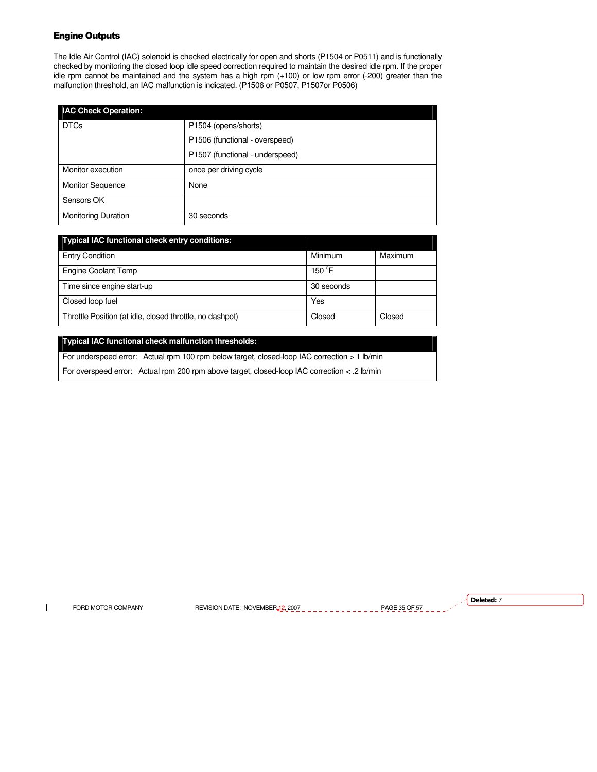# Engine Outputs

The Idle Air Control (IAC) solenoid is checked electrically for open and shorts (P1504 or P0511) and is functionally checked by monitoring the closed loop idle speed correction required to maintain the desired idle rpm. If the proper idle rpm cannot be maintained and the system has a high rpm (+100) or low rpm error (-200) greater than the malfunction threshold, an IAC malfunction is indicated. (P1506 or P0507, P1507or P0506)

| <b>IAC Check Operation:</b> |                                 |
|-----------------------------|---------------------------------|
| <b>DTCs</b>                 | P1504 (opens/shorts)            |
|                             | P1506 (functional - overspeed)  |
|                             | P1507 (functional - underspeed) |
| Monitor execution           | once per driving cycle          |
| <b>Monitor Sequence</b>     | None                            |
| Sensors OK                  |                                 |
| <b>Monitoring Duration</b>  | 30 seconds                      |

| <b>Typical IAC functional check entry conditions:</b>    |                 |         |
|----------------------------------------------------------|-----------------|---------|
| <b>Entry Condition</b>                                   | Minimum         | Maximum |
| Engine Coolant Temp                                      | $150^{\circ}$ F |         |
| Time since engine start-up                               | 30 seconds      |         |
| Closed loop fuel                                         | Yes             |         |
| Throttle Position (at idle, closed throttle, no dashpot) | Closed          | Closed  |

# **Typical IAC functional check malfunction thresholds:**

For underspeed error: Actual rpm 100 rpm below target, closed-loop IAC correction > 1 lb/min

For overspeed error: Actual rpm 200 rpm above target, closed-loop IAC correction < .2 lb/min

 $\overline{\phantom{a}}$ 

FORD MOTOR COMPANY REVISION DATE: NOVEMBER 12, 2007 PAGE 35 OF 57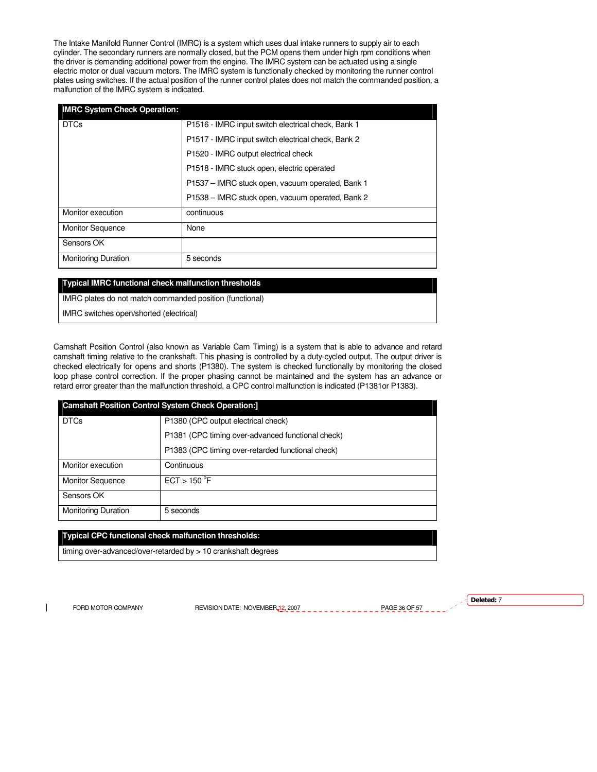The Intake Manifold Runner Control (IMRC) is a system which uses dual intake runners to supply air to each cylinder. The secondary runners are normally closed, but the PCM opens them under high rpm conditions when the driver is demanding additional power from the engine. The IMRC system can be actuated using a single electric motor or dual vacuum motors. The IMRC system is functionally checked by monitoring the runner control plates using switches. If the actual position of the runner control plates does not match the commanded position, a malfunction of the IMRC system is indicated.

| <b>IMRC System Check Operation:</b> |                                                    |
|-------------------------------------|----------------------------------------------------|
| <b>DTCs</b>                         | P1516 - IMRC input switch electrical check, Bank 1 |
|                                     | P1517 - IMRC input switch electrical check, Bank 2 |
|                                     | P1520 - IMRC output electrical check               |
|                                     | P1518 - IMRC stuck open, electric operated         |
|                                     | P1537 – IMRC stuck open, vacuum operated, Bank 1   |
|                                     | P1538 – IMRC stuck open, vacuum operated, Bank 2   |
| Monitor execution                   | continuous                                         |
| <b>Monitor Sequence</b>             | None                                               |
| Sensors OK                          |                                                    |
| <b>Monitoring Duration</b>          | 5 seconds                                          |

# **Typical IMRC functional check malfunction thresholds**

IMRC plates do not match commanded position (functional)

IMRC switches open/shorted (electrical)

Camshaft Position Control (also known as Variable Cam Timing) is a system that is able to advance and retard camshaft timing relative to the crankshaft. This phasing is controlled by a duty-cycled output. The output driver is checked electrically for opens and shorts (P1380). The system is checked functionally by monitoring the closed loop phase control correction. If the proper phasing cannot be maintained and the system has an advance or retard error greater than the malfunction threshold, a CPC control malfunction is indicated (P1381or P1383).

| <b>Camshaft Position Control System Check Operation:</b> |                                                   |  |
|----------------------------------------------------------|---------------------------------------------------|--|
| <b>DTCs</b>                                              | P1380 (CPC output electrical check)               |  |
|                                                          | P1381 (CPC timing over-advanced functional check) |  |
|                                                          | P1383 (CPC timing over-retarded functional check) |  |
| Monitor execution                                        | Continuous                                        |  |
| <b>Monitor Sequence</b>                                  | ECT > 150 °F                                      |  |
| Sensors OK                                               |                                                   |  |
| <b>Monitoring Duration</b>                               | 5 seconds                                         |  |

# **Typical CPC functional check malfunction thresholds:**

timing over-advanced/over-retarded by > 10 crankshaft degrees

 $\mathbf{I}$ 

FORD MOTOR COMPANY REVISION DATE: NOVEMBER 12, 2007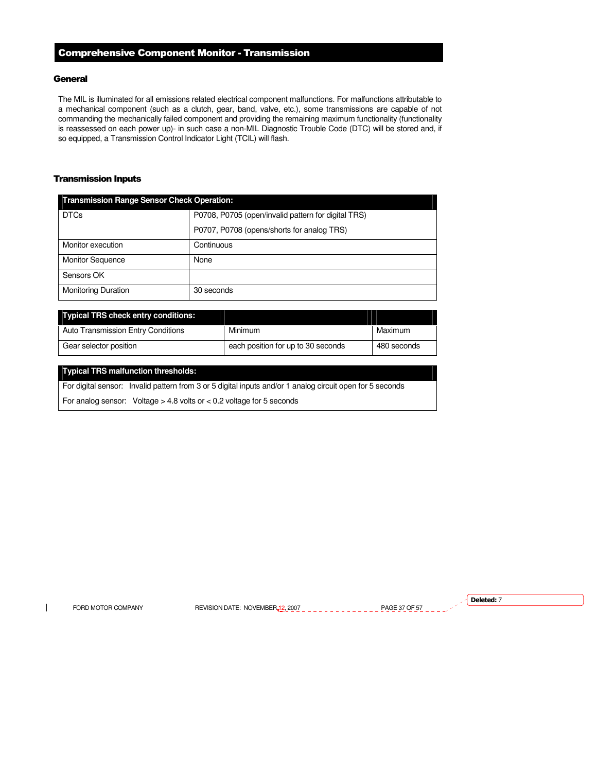# Comprehensive Component Monitor - Transmission

# **General**

The MIL is illuminated for all emissions related electrical component malfunctions. For malfunctions attributable to a mechanical component (such as a clutch, gear, band, valve, etc.), some transmissions are capable of not commanding the mechanically failed component and providing the remaining maximum functionality (functionality is reassessed on each power up)- in such case a non-MIL Diagnostic Trouble Code (DTC) will be stored and, if so equipped, a Transmission Control Indicator Light (TCIL) will flash.

# Transmission Inputs

| <b>Transmission Range Sensor Check Operation:</b> |                                                     |  |
|---------------------------------------------------|-----------------------------------------------------|--|
| <b>DTCs</b>                                       | P0708, P0705 (open/invalid pattern for digital TRS) |  |
|                                                   | P0707, P0708 (opens/shorts for analog TRS)          |  |
| Monitor execution                                 | Continuous                                          |  |
| <b>Monitor Sequence</b>                           | None                                                |  |
| Sensors OK                                        |                                                     |  |
| <b>Monitoring Duration</b>                        | 30 seconds                                          |  |

| Typical TRS check entry conditions:       |                                    |             |
|-------------------------------------------|------------------------------------|-------------|
| <b>Auto Transmission Entry Conditions</b> | Minimum                            | Maximum     |
| Gear selector position                    | each position for up to 30 seconds | 480 seconds |

# **Typical TRS malfunction thresholds:**

For digital sensor: Invalid pattern from 3 or 5 digital inputs and/or 1 analog circuit open for 5 seconds

For analog sensor: Voltage > 4.8 volts or < 0.2 voltage for 5 seconds

 $\overline{\phantom{a}}$ 

FORD MOTOR COMPANY REVISION DATE: NOVEMBER 12, 2007 PAGE 37 OF 57 PAGE 37 OF 57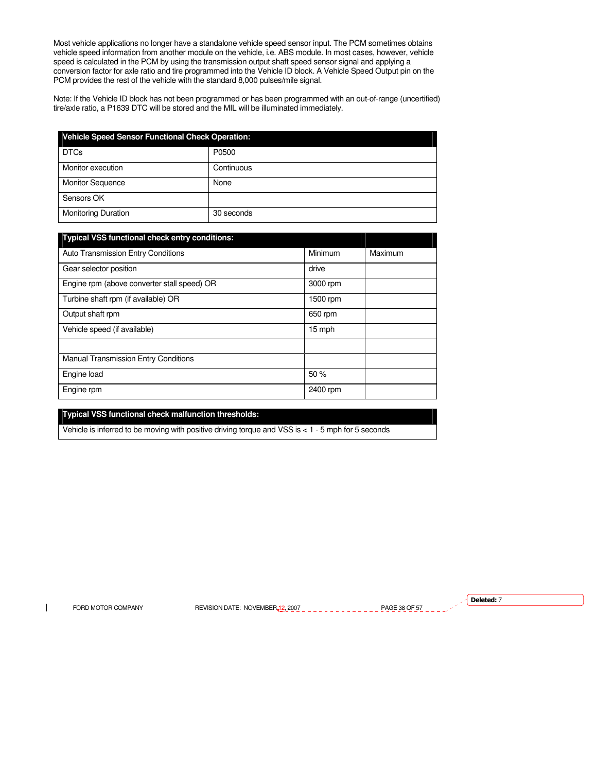Most vehicle applications no longer have a standalone vehicle speed sensor input. The PCM sometimes obtains vehicle speed information from another module on the vehicle, i.e. ABS module. In most cases, however, vehicle speed is calculated in the PCM by using the transmission output shaft speed sensor signal and applying a conversion factor for axle ratio and tire programmed into the Vehicle ID block. A Vehicle Speed Output pin on the PCM provides the rest of the vehicle with the standard 8,000 pulses/mile signal.

Note: If the Vehicle ID block has not been programmed or has been programmed with an out-of-range (uncertified) tire/axle ratio, a P1639 DTC will be stored and the MIL will be illuminated immediately.

| <b>Vehicle Speed Sensor Functional Check Operation:</b> |            |  |
|---------------------------------------------------------|------------|--|
| <b>DTCs</b>                                             | P0500      |  |
| Monitor execution                                       | Continuous |  |
| <b>Monitor Sequence</b>                                 | None       |  |
| Sensors OK                                              |            |  |
| <b>Monitoring Duration</b>                              | 30 seconds |  |

| <b>Typical VSS functional check entry conditions:</b> |          |         |
|-------------------------------------------------------|----------|---------|
| <b>Auto Transmission Entry Conditions</b>             | Minimum  | Maximum |
| Gear selector position                                | drive    |         |
| Engine rpm (above converter stall speed) OR           | 3000 rpm |         |
| Turbine shaft rpm (if available) OR                   | 1500 rpm |         |
| Output shaft rpm                                      | 650 rpm  |         |
| Vehicle speed (if available)                          | 15 mph   |         |
|                                                       |          |         |
| <b>Manual Transmission Entry Conditions</b>           |          |         |
| Engine load                                           | 50%      |         |
| Engine rpm                                            | 2400 rpm |         |

# **Typical VSS functional check malfunction thresholds:**

Vehicle is inferred to be moving with positive driving torque and VSS is < 1 - 5 mph for 5 seconds

 $\mathbf{I}$ 

FORD MOTOR COMPANY REVISION DATE: NOVEMBER 12, 2007 PAGE 38 OF 57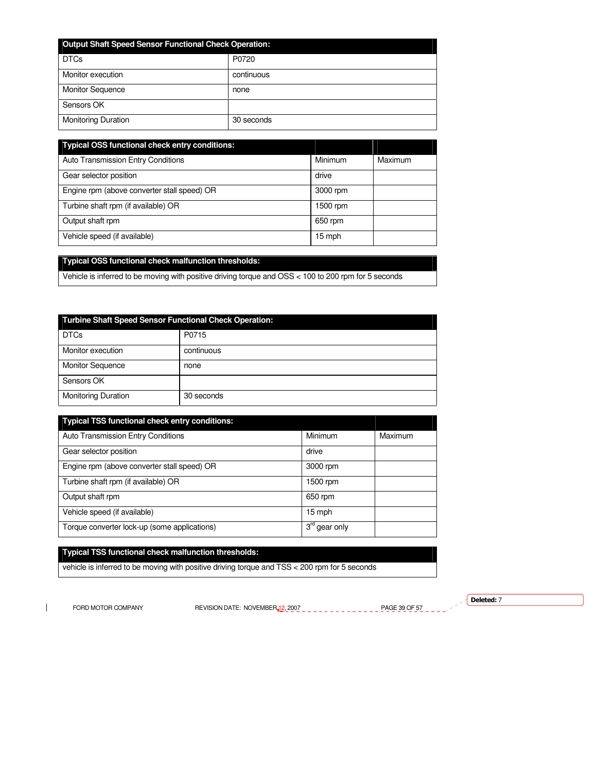| <b>Output Shaft Speed Sensor Functional Check Operation:</b> |            |  |
|--------------------------------------------------------------|------------|--|
| <b>DTCs</b>                                                  | P0720      |  |
| Monitor execution                                            | continuous |  |
| <b>Monitor Sequence</b>                                      | none       |  |
| Sensors OK                                                   |            |  |
| <b>Monitoring Duration</b>                                   | 30 seconds |  |

| <b>Typical OSS functional check entry conditions:</b> |          |         |
|-------------------------------------------------------|----------|---------|
| <b>Auto Transmission Entry Conditions</b>             | Minimum  | Maximum |
| Gear selector position                                | drive    |         |
| Engine rpm (above converter stall speed) OR           | 3000 rpm |         |
| Turbine shaft rpm (if available) OR                   | 1500 rpm |         |
| Output shaft rpm                                      | 650 rpm  |         |
| Vehicle speed (if available)                          | 15 mph   |         |

# **Typical OSS functional check malfunction thresholds:**

Vehicle is inferred to be moving with positive driving torque and OSS < 100 to 200 rpm for 5 seconds

| <b>Turbine Shaft Speed Sensor Functional Check Operation:</b> |            |  |
|---------------------------------------------------------------|------------|--|
| <b>DTCs</b>                                                   | P0715      |  |
| Monitor execution                                             | continuous |  |
| <b>Monitor Sequence</b>                                       | none       |  |
| Sensors OK                                                    |            |  |
| <b>Monitoring Duration</b>                                    | 30 seconds |  |

| <b>Typical TSS functional check entry conditions:</b> |                           |         |
|-------------------------------------------------------|---------------------------|---------|
| Auto Transmission Entry Conditions                    | Minimum                   | Maximum |
| Gear selector position                                | drive                     |         |
| Engine rpm (above converter stall speed) OR           | 3000 rpm                  |         |
| Turbine shaft rpm (if available) OR                   | 1500 rpm                  |         |
| Output shaft rpm                                      | 650 rpm                   |         |
| Vehicle speed (if available)                          | 15 mph                    |         |
| Torque converter lock-up (some applications)          | 3 <sup>rd</sup> gear only |         |

# **Typical TSS functional check malfunction thresholds:**

vehicle is inferred to be moving with positive driving torque and TSS < 200 rpm for 5 seconds

 $\mathbf{I}$ 

FORD MOTOR COMPANY REVISION DATE: NOVEMBER 12, 2007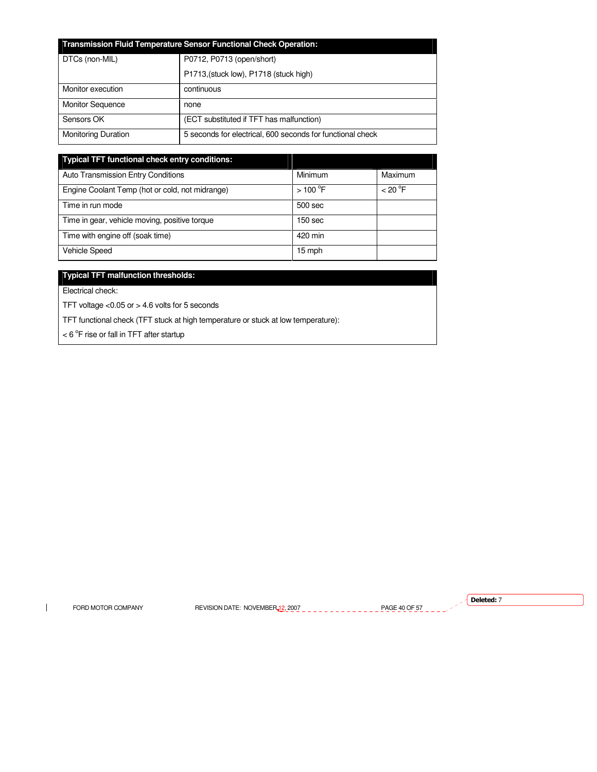| <b>Transmission Fluid Temperature Sensor Functional Check Operation:</b> |                                                            |
|--------------------------------------------------------------------------|------------------------------------------------------------|
| DTCs (non-MIL)                                                           | P0712, P0713 (open/short)                                  |
|                                                                          | P1713, (stuck low), P1718 (stuck high)                     |
| Monitor execution                                                        | continuous                                                 |
| <b>Monitor Sequence</b>                                                  | none                                                       |
| Sensors OK                                                               | (ECT substituted if TFT has malfunction)                   |
| <b>Monitoring Duration</b>                                               | 5 seconds for electrical, 600 seconds for functional check |

| <b>Typical TFT functional check entry conditions:</b> |                       |         |
|-------------------------------------------------------|-----------------------|---------|
| Auto Transmission Entry Conditions                    | Minimum               | Maximum |
| Engine Coolant Temp (hot or cold, not midrange)       | $>100$ <sup>°</sup> F | < 20 °F |
| Time in run mode                                      | 500 sec               |         |
| Time in gear, vehicle moving, positive torque         | 150 <sub>sec</sub>    |         |
| Time with engine off (soak time)                      | 420 min               |         |
| <b>Vehicle Speed</b>                                  | 15 mph                |         |

# **Typical TFT malfunction thresholds:**

Electrical check:

TFT voltage <0.05 or > 4.6 volts for 5 seconds

TFT functional check (TFT stuck at high temperature or stuck at low temperature):

 $<$  6  $\mathrm{^{\circ}F}$  rise or fall in TFT after startup

 $\mathbf{I}$ 

FORD MOTOR COMPANY REVISION DATE: NOVEMBER 12, 2007  $\frac{1}{2}$   $\frac{1}{2}$   $\frac{1}{2}$   $\frac{1}{2}$   $\frac{1}{2}$   $\frac{1}{2}$   $\frac{1}{2}$   $\frac{1}{2}$   $\frac{1}{2}$   $\frac{1}{2}$   $\frac{1}{2}$   $\frac{1}{2}$   $\frac{1}{2}$   $\frac{1}{2}$   $\frac{1}{2}$   $\frac{1}{2}$   $\frac{1}{2}$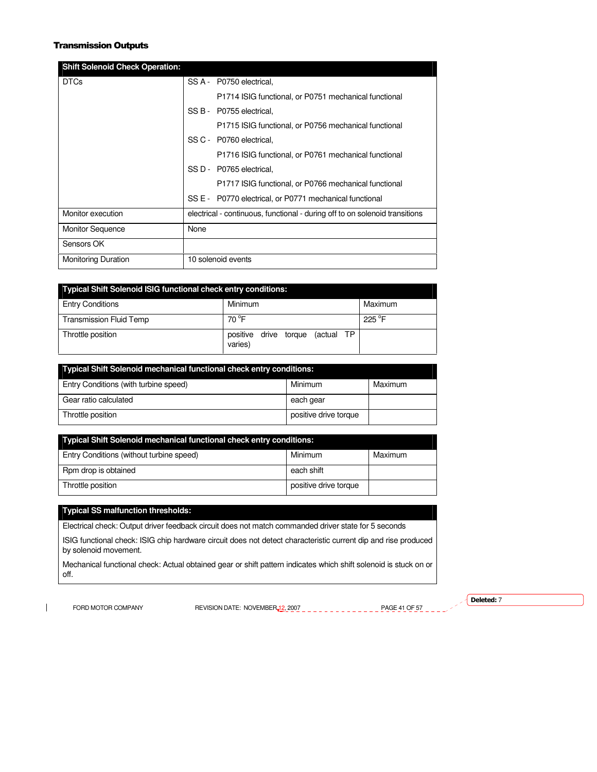# Transmission Outputs

| <b>Shift Solenoid Check Operation:</b> |                                                                             |
|----------------------------------------|-----------------------------------------------------------------------------|
| <b>DTCs</b>                            | SS A - P0750 electrical.                                                    |
|                                        | P1714 ISIG functional, or P0751 mechanical functional                       |
|                                        | SS B - P0755 electrical,                                                    |
|                                        | P1715 ISIG functional, or P0756 mechanical functional                       |
|                                        | SS C - P0760 electrical,                                                    |
|                                        | P1716 ISIG functional, or P0761 mechanical functional                       |
|                                        | SS D - P0765 electrical.                                                    |
|                                        | P1717 ISIG functional, or P0766 mechanical functional                       |
|                                        | SS E - P0770 electrical, or P0771 mechanical functional                     |
| Monitor execution                      | electrical - continuous, functional - during off to on solenoid transitions |
| <b>Monitor Sequence</b>                | None                                                                        |
| Sensors OK                             |                                                                             |
| <b>Monitoring Duration</b>             | 10 solenoid events                                                          |

| <b>Typical Shift Solenoid ISIG functional check entry conditions:</b> |                                                |                  |  |
|-----------------------------------------------------------------------|------------------------------------------------|------------------|--|
| <b>Entry Conditions</b>                                               | Minimum                                        | Maximum          |  |
| <b>Transmission Fluid Temp</b>                                        | 70 <sup>°</sup> F                              | 225 $^{\circ}$ F |  |
| Throttle position                                                     | (actual TP<br>positive drive torque<br>varies) |                  |  |

| Typical Shift Solenoid mechanical functional check entry conditions: |                       |         |
|----------------------------------------------------------------------|-----------------------|---------|
| Entry Conditions (with turbine speed)                                | Minimum               | Maximum |
| Gear ratio calculated                                                | each gear             |         |
| Throttle position                                                    | positive drive torque |         |

| Typical Shift Solenoid mechanical functional check entry conditions: |                       |         |
|----------------------------------------------------------------------|-----------------------|---------|
| Entry Conditions (without turbine speed)                             | Minimum               | Maximum |
| Rpm drop is obtained                                                 | each shift            |         |
| Throttle position                                                    | positive drive torque |         |

# **Typical SS malfunction thresholds:**

Electrical check: Output driver feedback circuit does not match commanded driver state for 5 seconds

ISIG functional check: ISIG chip hardware circuit does not detect characteristic current dip and rise produced by solenoid movement.

Mechanical functional check: Actual obtained gear or shift pattern indicates which shift solenoid is stuck on or off.

 $\mathbf{I}$ 

FORD MOTOR COMPANY REVISION DATE: NOVEMBER 12, 2007 PAGE 41 OF 57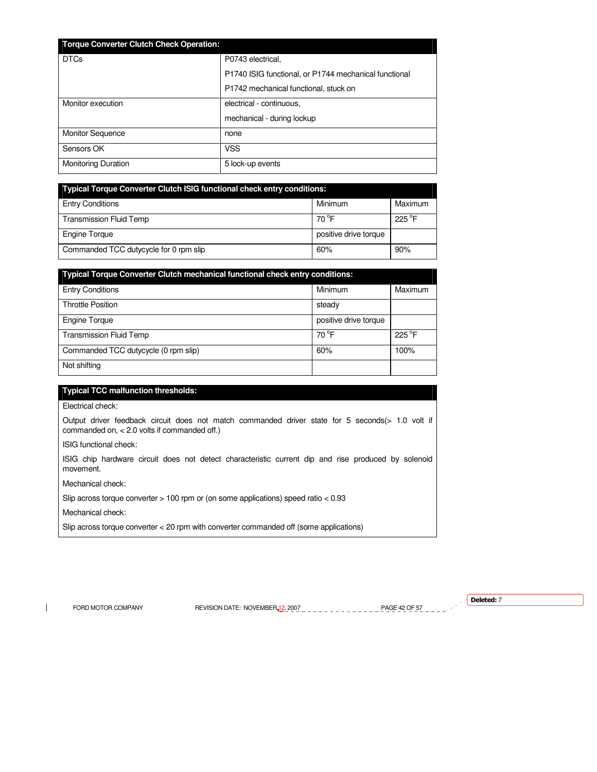| <b>Torque Converter Clutch Check Operation:</b> |                                                       |
|-------------------------------------------------|-------------------------------------------------------|
| <b>DTCs</b>                                     | P0743 electrical.                                     |
|                                                 | P1740 ISIG functional, or P1744 mechanical functional |
|                                                 | P1742 mechanical functional, stuck on                 |
| Monitor execution                               | electrical - continuous,                              |
|                                                 | mechanical - during lockup                            |
| <b>Monitor Sequence</b>                         | none                                                  |
| Sensors OK                                      | <b>VSS</b>                                            |
| <b>Monitoring Duration</b>                      | 5 lock-up events                                      |

| <b>Typical Torque Converter Clutch ISIG functional check entry conditions:</b> |                       |                 |
|--------------------------------------------------------------------------------|-----------------------|-----------------|
| <b>Entry Conditions</b>                                                        | Minimum               | Maximum         |
| <b>Transmission Fluid Temp</b>                                                 | $70^{\circ}$ F        | $225^{\circ}$ F |
| Engine Torque                                                                  | positive drive torque |                 |
| Commanded TCC dutycycle for 0 rpm slip                                         | 60%                   | 90%             |

| Typical Torque Converter Clutch mechanical functional check entry conditions: |                       |                 |
|-------------------------------------------------------------------------------|-----------------------|-----------------|
| <b>Entry Conditions</b>                                                       | Minimum               | Maximum         |
| <b>Throttle Position</b>                                                      | steady                |                 |
| <b>Engine Torque</b>                                                          | positive drive torque |                 |
| <b>Transmission Fluid Temp</b>                                                | $70^{\circ}$ F        | $225^{\circ}$ F |
| Commanded TCC dutycycle (0 rpm slip)                                          | 60%                   | 100%            |
| Not shifting                                                                  |                       |                 |

# **Typical TCC malfunction thresholds:**

Electrical check:

Output driver feedback circuit does not match commanded driver state for 5 seconds(> 1.0 volt if commanded on, < 2.0 volts if commanded off.)

ISIG functional check:

ISIG chip hardware circuit does not detect characteristic current dip and rise produced by solenoid movement.

Mechanical check:

Slip across torque converter > 100 rpm or (on some applications) speed ratio < 0.93

Mechanical check:

Slip across torque converter < 20 rpm with converter commanded off (some applications)

 $\mathbf{I}$ 

FORD MOTOR COMPANY REVISION DATE: NOVEMBER 12, 2007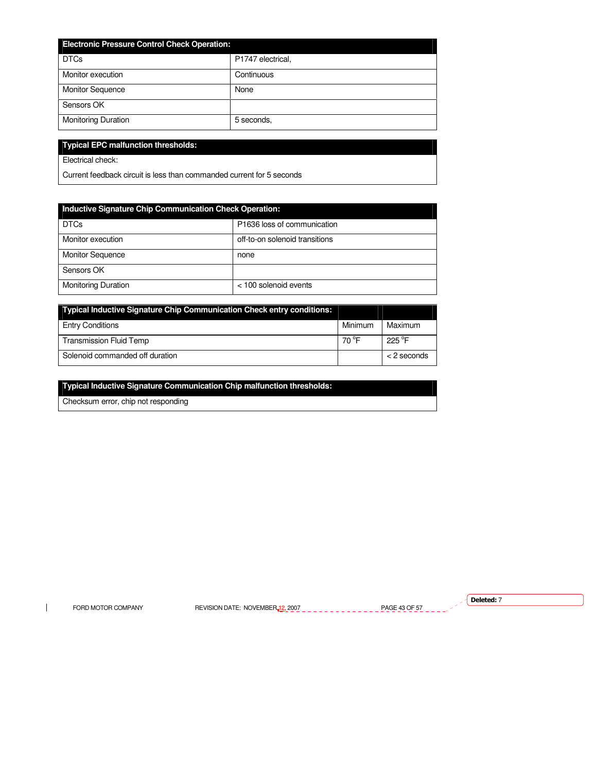| <b>Electronic Pressure Control Check Operation:</b> |                   |  |  |
|-----------------------------------------------------|-------------------|--|--|
| <b>DTCs</b>                                         | P1747 electrical, |  |  |
| Monitor execution                                   | Continuous        |  |  |
| <b>Monitor Sequence</b>                             | None              |  |  |
| Sensors OK                                          |                   |  |  |
| <b>Monitoring Duration</b>                          | 5 seconds,        |  |  |

# **Typical EPC malfunction thresholds:**

Electrical check:

Current feedback circuit is less than commanded current for 5 seconds

| Inductive Signature Chip Communication Check Operation: |                                |  |  |  |
|---------------------------------------------------------|--------------------------------|--|--|--|
| <b>DTCs</b>                                             | P1636 loss of communication    |  |  |  |
| Monitor execution                                       | off-to-on solenoid transitions |  |  |  |
| <b>Monitor Sequence</b>                                 | none                           |  |  |  |
| Sensors OK                                              |                                |  |  |  |
| <b>Monitoring Duration</b>                              | $<$ 100 solenoid events        |  |  |  |

| <b>Typical Inductive Signature Chip Communication Check entry conditions:</b> |         |                 |
|-------------------------------------------------------------------------------|---------|-----------------|
| <b>Entry Conditions</b>                                                       | Minimum | Maximum         |
| <b>Transmission Fluid Temp</b>                                                | 70 °F   | $225^{\circ}$ F |
| Solenoid commanded off duration                                               |         | $<$ 2 seconds   |

# **Typical Inductive Signature Communication Chip malfunction thresholds:**

Checksum error, chip not responding

 $\mathbf{I}$ 

FORD MOTOR COMPANY REVISION DATE: NOVEMBER 12, 2007  $\frac{1}{2}$   $\frac{1}{2}$   $\frac{1}{2}$   $\frac{1}{2}$   $\frac{1}{2}$   $\frac{1}{2}$   $\frac{1}{2}$   $\frac{1}{2}$   $\frac{1}{2}$   $\frac{1}{2}$   $\frac{1}{2}$   $\frac{1}{2}$   $\frac{1}{2}$   $\frac{1}{2}$   $\frac{1}{2}$   $\frac{1}{2}$   $\frac{1}{2}$ 

 $\sqrt{}$  Deleted: 7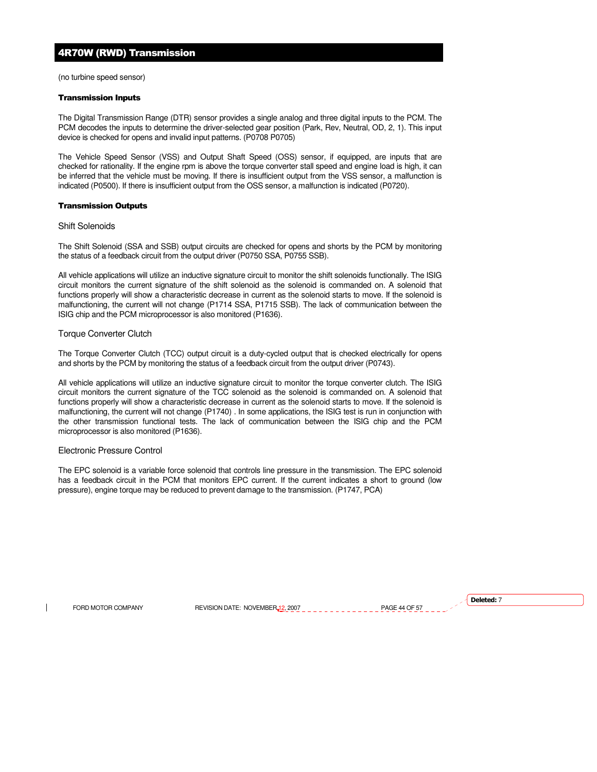# 4R70W (RWD) Transmission

(no turbine speed sensor)

#### Transmission Inputs

The Digital Transmission Range (DTR) sensor provides a single analog and three digital inputs to the PCM. The PCM decodes the inputs to determine the driver-selected gear position (Park, Rev, Neutral, OD, 2, 1). This input device is checked for opens and invalid input patterns. (P0708 P0705)

The Vehicle Speed Sensor (VSS) and Output Shaft Speed (OSS) sensor, if equipped, are inputs that are checked for rationality. If the engine rpm is above the torque converter stall speed and engine load is high, it can be inferred that the vehicle must be moving. If there is insufficient output from the VSS sensor, a malfunction is indicated (P0500). If there is insufficient output from the OSS sensor, a malfunction is indicated (P0720).

#### Transmission Outputs

#### Shift Solenoids

The Shift Solenoid (SSA and SSB) output circuits are checked for opens and shorts by the PCM by monitoring the status of a feedback circuit from the output driver (P0750 SSA, P0755 SSB).

All vehicle applications will utilize an inductive signature circuit to monitor the shift solenoids functionally. The ISIG circuit monitors the current signature of the shift solenoid as the solenoid is commanded on. A solenoid that functions properly will show a characteristic decrease in current as the solenoid starts to move. If the solenoid is malfunctioning, the current will not change (P1714 SSA, P1715 SSB). The lack of communication between the ISIG chip and the PCM microprocessor is also monitored (P1636).

# Torque Converter Clutch

The Torque Converter Clutch (TCC) output circuit is a duty-cycled output that is checked electrically for opens and shorts by the PCM by monitoring the status of a feedback circuit from the output driver (P0743).

All vehicle applications will utilize an inductive signature circuit to monitor the torque converter clutch. The ISIG circuit monitors the current signature of the TCC solenoid as the solenoid is commanded on. A solenoid that functions properly will show a characteristic decrease in current as the solenoid starts to move. If the solenoid is malfunctioning, the current will not change (P1740) . In some applications, the ISIG test is run in conjunction with the other transmission functional tests. The lack of communication between the ISIG chip and the PCM microprocessor is also monitored (P1636).

# Electronic Pressure Control

The EPC solenoid is a variable force solenoid that controls line pressure in the transmission. The EPC solenoid has a feedback circuit in the PCM that monitors EPC current. If the current indicates a short to ground (low pressure), engine torque may be reduced to prevent damage to the transmission. (P1747, PCA)

FORD MOTOR COMPANY REVISION DATE: NOVEMBER 12, 2007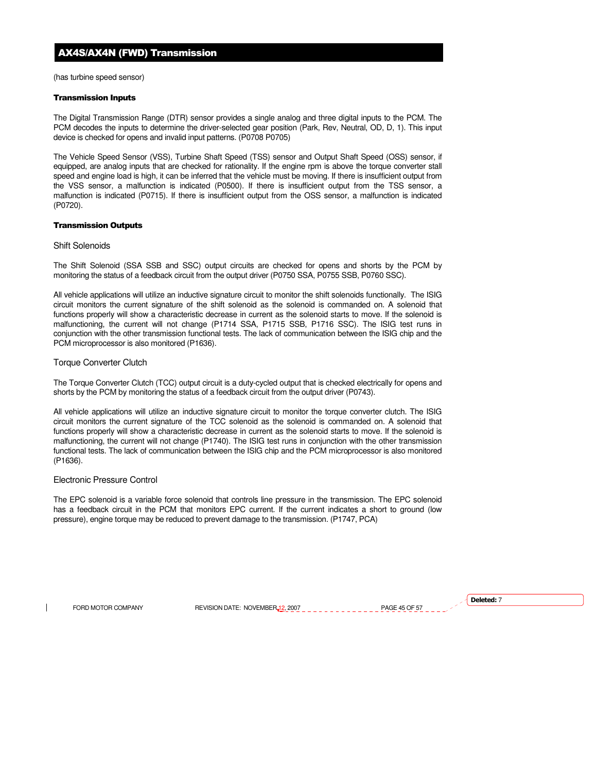# AX4S/AX4N (FWD) Transmission

(has turbine speed sensor)

#### Transmission Inputs

The Digital Transmission Range (DTR) sensor provides a single analog and three digital inputs to the PCM. The PCM decodes the inputs to determine the driver-selected gear position (Park, Rev, Neutral, OD, D, 1). This input device is checked for opens and invalid input patterns. (P0708 P0705)

The Vehicle Speed Sensor (VSS), Turbine Shaft Speed (TSS) sensor and Output Shaft Speed (OSS) sensor, if equipped, are analog inputs that are checked for rationality. If the engine rpm is above the torque converter stall speed and engine load is high, it can be inferred that the vehicle must be moving. If there is insufficient output from the VSS sensor, a malfunction is indicated (P0500). If there is insufficient output from the TSS sensor, a malfunction is indicated (P0715). If there is insufficient output from the OSS sensor, a malfunction is indicated (P0720).

#### Transmission Outputs

#### Shift Solenoids

The Shift Solenoid (SSA SSB and SSC) output circuits are checked for opens and shorts by the PCM by monitoring the status of a feedback circuit from the output driver (P0750 SSA, P0755 SSB, P0760 SSC).

All vehicle applications will utilize an inductive signature circuit to monitor the shift solenoids functionally. The ISIG circuit monitors the current signature of the shift solenoid as the solenoid is commanded on. A solenoid that functions properly will show a characteristic decrease in current as the solenoid starts to move. If the solenoid is malfunctioning, the current will not change (P1714 SSA, P1715 SSB, P1716 SSC). The ISIG test runs in conjunction with the other transmission functional tests. The lack of communication between the ISIG chip and the PCM microprocessor is also monitored (P1636).

# Torque Converter Clutch

The Torque Converter Clutch (TCC) output circuit is a duty-cycled output that is checked electrically for opens and shorts by the PCM by monitoring the status of a feedback circuit from the output driver (P0743).

All vehicle applications will utilize an inductive signature circuit to monitor the torque converter clutch. The ISIG circuit monitors the current signature of the TCC solenoid as the solenoid is commanded on. A solenoid that functions properly will show a characteristic decrease in current as the solenoid starts to move. If the solenoid is malfunctioning, the current will not change (P1740). The ISIG test runs in conjunction with the other transmission functional tests. The lack of communication between the ISIG chip and the PCM microprocessor is also monitored (P1636).

# Electronic Pressure Control

The EPC solenoid is a variable force solenoid that controls line pressure in the transmission. The EPC solenoid has a feedback circuit in the PCM that monitors EPC current. If the current indicates a short to ground (low pressure), engine torque may be reduced to prevent damage to the transmission. (P1747, PCA)

FORD MOTOR COMPANY REVISION DATE: NOVEMBER 12, 2007 PAGE 45 OF 57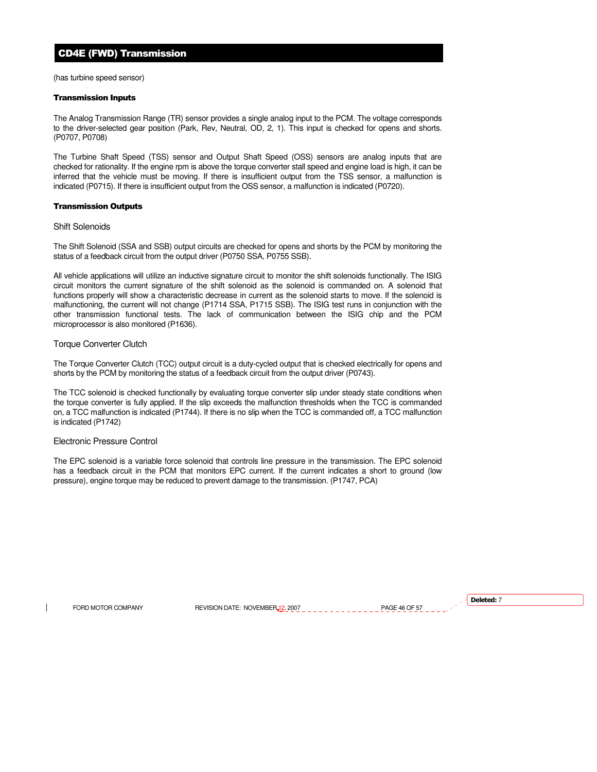# CD4E (FWD) Transmission

(has turbine speed sensor)

## Transmission Inputs

The Analog Transmission Range (TR) sensor provides a single analog input to the PCM. The voltage corresponds to the driver-selected gear position (Park, Rev, Neutral, OD, 2, 1). This input is checked for opens and shorts. (P0707, P0708)

The Turbine Shaft Speed (TSS) sensor and Output Shaft Speed (OSS) sensors are analog inputs that are checked for rationality. If the engine rpm is above the torque converter stall speed and engine load is high, it can be inferred that the vehicle must be moving. If there is insufficient output from the TSS sensor, a malfunction is indicated (P0715). If there is insufficient output from the OSS sensor, a malfunction is indicated (P0720).

# Transmission Outputs

#### Shift Solenoids

The Shift Solenoid (SSA and SSB) output circuits are checked for opens and shorts by the PCM by monitoring the status of a feedback circuit from the output driver (P0750 SSA, P0755 SSB).

All vehicle applications will utilize an inductive signature circuit to monitor the shift solenoids functionally. The ISIG circuit monitors the current signature of the shift solenoid as the solenoid is commanded on. A solenoid that functions properly will show a characteristic decrease in current as the solenoid starts to move. If the solenoid is malfunctioning, the current will not change (P1714 SSA, P1715 SSB). The ISIG test runs in conjunction with the other transmission functional tests. The lack of communication between the ISIG chip and the PCM microprocessor is also monitored (P1636).

# Torque Converter Clutch

The Torque Converter Clutch (TCC) output circuit is a duty-cycled output that is checked electrically for opens and shorts by the PCM by monitoring the status of a feedback circuit from the output driver (P0743).

The TCC solenoid is checked functionally by evaluating torque converter slip under steady state conditions when the torque converter is fully applied. If the slip exceeds the malfunction thresholds when the TCC is commanded on, a TCC malfunction is indicated (P1744). If there is no slip when the TCC is commanded off, a TCC malfunction is indicated (P1742)

# Electronic Pressure Control

The EPC solenoid is a variable force solenoid that controls line pressure in the transmission. The EPC solenoid has a feedback circuit in the PCM that monitors EPC current. If the current indicates a short to ground (low pressure), engine torque may be reduced to prevent damage to the transmission. (P1747, PCA)

FORD MOTOR COMPANY REVISION DATE: NOVEMBER 12, 2007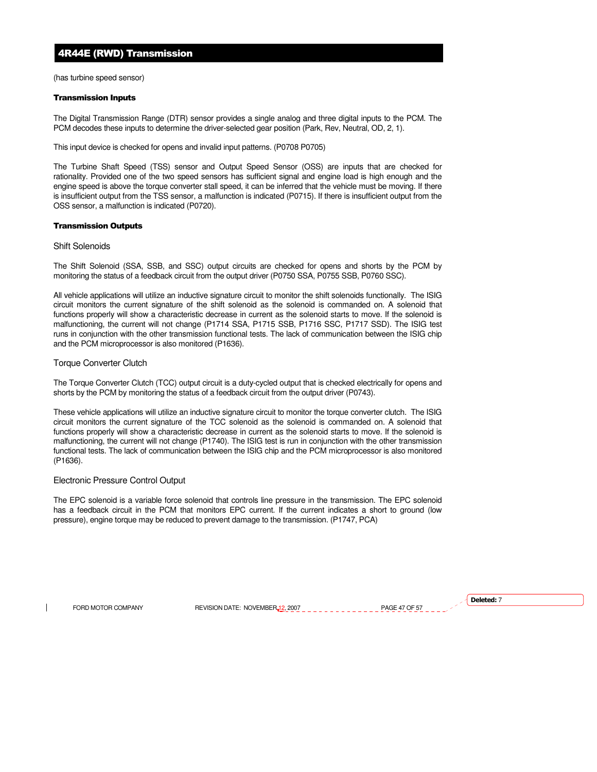# 4R44E (RWD) Transmission

(has turbine speed sensor)

## Transmission Inputs

The Digital Transmission Range (DTR) sensor provides a single analog and three digital inputs to the PCM. The PCM decodes these inputs to determine the driver-selected gear position (Park, Rev, Neutral, OD, 2, 1).

This input device is checked for opens and invalid input patterns. (P0708 P0705)

The Turbine Shaft Speed (TSS) sensor and Output Speed Sensor (OSS) are inputs that are checked for rationality. Provided one of the two speed sensors has sufficient signal and engine load is high enough and the engine speed is above the torque converter stall speed, it can be inferred that the vehicle must be moving. If there is insufficient output from the TSS sensor, a malfunction is indicated (P0715). If there is insufficient output from the OSS sensor, a malfunction is indicated (P0720).

#### Transmission Outputs

#### Shift Solenoids

The Shift Solenoid (SSA, SSB, and SSC) output circuits are checked for opens and shorts by the PCM by monitoring the status of a feedback circuit from the output driver (P0750 SSA, P0755 SSB, P0760 SSC).

All vehicle applications will utilize an inductive signature circuit to monitor the shift solenoids functionally. The ISIG circuit monitors the current signature of the shift solenoid as the solenoid is commanded on. A solenoid that functions properly will show a characteristic decrease in current as the solenoid starts to move. If the solenoid is malfunctioning, the current will not change (P1714 SSA, P1715 SSB, P1716 SSC, P1717 SSD). The ISIG test runs in conjunction with the other transmission functional tests. The lack of communication between the ISIG chip and the PCM microprocessor is also monitored (P1636).

# Torque Converter Clutch

The Torque Converter Clutch (TCC) output circuit is a duty-cycled output that is checked electrically for opens and shorts by the PCM by monitoring the status of a feedback circuit from the output driver (P0743).

These vehicle applications will utilize an inductive signature circuit to monitor the torque converter clutch. The ISIG circuit monitors the current signature of the TCC solenoid as the solenoid is commanded on. A solenoid that functions properly will show a characteristic decrease in current as the solenoid starts to move. If the solenoid is malfunctioning, the current will not change (P1740). The ISIG test is run in conjunction with the other transmission functional tests. The lack of communication between the ISIG chip and the PCM microprocessor is also monitored (P1636).

# Electronic Pressure Control Output

The EPC solenoid is a variable force solenoid that controls line pressure in the transmission. The EPC solenoid has a feedback circuit in the PCM that monitors EPC current. If the current indicates a short to ground (low pressure), engine torque may be reduced to prevent damage to the transmission. (P1747, PCA)

FORD MOTOR COMPANY REVISION DATE: NOVEMBER 12, 2007 PAGE 47 OF 57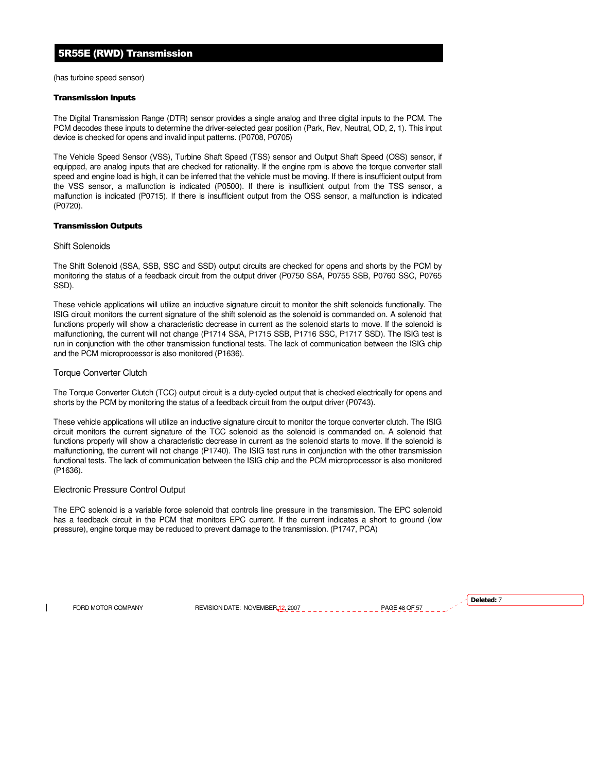# 5R55E (RWD) Transmission

(has turbine speed sensor)

## Transmission Inputs

The Digital Transmission Range (DTR) sensor provides a single analog and three digital inputs to the PCM. The PCM decodes these inputs to determine the driver-selected gear position (Park, Rev, Neutral, OD, 2, 1). This input device is checked for opens and invalid input patterns. (P0708, P0705)

The Vehicle Speed Sensor (VSS), Turbine Shaft Speed (TSS) sensor and Output Shaft Speed (OSS) sensor, if equipped, are analog inputs that are checked for rationality. If the engine rpm is above the torque converter stall speed and engine load is high, it can be inferred that the vehicle must be moving. If there is insufficient output from the VSS sensor, a malfunction is indicated (P0500). If there is insufficient output from the TSS sensor, a malfunction is indicated (P0715). If there is insufficient output from the OSS sensor, a malfunction is indicated (P0720).

#### Transmission Outputs

#### Shift Solenoids

The Shift Solenoid (SSA, SSB, SSC and SSD) output circuits are checked for opens and shorts by the PCM by monitoring the status of a feedback circuit from the output driver (P0750 SSA, P0755 SSB, P0760 SSC, P0765 SSD).

These vehicle applications will utilize an inductive signature circuit to monitor the shift solenoids functionally. The ISIG circuit monitors the current signature of the shift solenoid as the solenoid is commanded on. A solenoid that functions properly will show a characteristic decrease in current as the solenoid starts to move. If the solenoid is malfunctioning, the current will not change (P1714 SSA, P1715 SSB, P1716 SSC, P1717 SSD). The ISIG test is run in conjunction with the other transmission functional tests. The lack of communication between the ISIG chip and the PCM microprocessor is also monitored (P1636).

# Torque Converter Clutch

The Torque Converter Clutch (TCC) output circuit is a duty-cycled output that is checked electrically for opens and shorts by the PCM by monitoring the status of a feedback circuit from the output driver (P0743).

These vehicle applications will utilize an inductive signature circuit to monitor the torque converter clutch. The ISIG circuit monitors the current signature of the TCC solenoid as the solenoid is commanded on. A solenoid that functions properly will show a characteristic decrease in current as the solenoid starts to move. If the solenoid is malfunctioning, the current will not change (P1740). The ISIG test runs in conjunction with the other transmission functional tests. The lack of communication between the ISIG chip and the PCM microprocessor is also monitored (P1636).

# Electronic Pressure Control Output

The EPC solenoid is a variable force solenoid that controls line pressure in the transmission. The EPC solenoid has a feedback circuit in the PCM that monitors EPC current. If the current indicates a short to ground (low pressure), engine torque may be reduced to prevent damage to the transmission. (P1747, PCA)

FORD MOTOR COMPANY REVISION DATE: NOVEMBER 12, 2007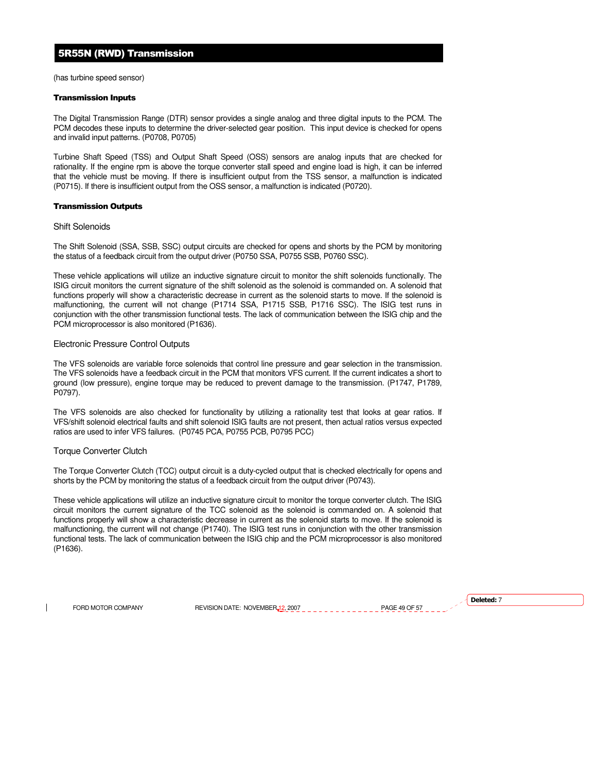# 5R55N (RWD) Transmission

(has turbine speed sensor)

#### Transmission Inputs

The Digital Transmission Range (DTR) sensor provides a single analog and three digital inputs to the PCM. The PCM decodes these inputs to determine the driver-selected gear position. This input device is checked for opens and invalid input patterns. (P0708, P0705)

Turbine Shaft Speed (TSS) and Output Shaft Speed (OSS) sensors are analog inputs that are checked for rationality. If the engine rpm is above the torque converter stall speed and engine load is high, it can be inferred that the vehicle must be moving. If there is insufficient output from the TSS sensor, a malfunction is indicated (P0715). If there is insufficient output from the OSS sensor, a malfunction is indicated (P0720).

#### Transmission Outputs

#### Shift Solenoids

The Shift Solenoid (SSA, SSB, SSC) output circuits are checked for opens and shorts by the PCM by monitoring the status of a feedback circuit from the output driver (P0750 SSA, P0755 SSB, P0760 SSC).

These vehicle applications will utilize an inductive signature circuit to monitor the shift solenoids functionally. The ISIG circuit monitors the current signature of the shift solenoid as the solenoid is commanded on. A solenoid that functions properly will show a characteristic decrease in current as the solenoid starts to move. If the solenoid is malfunctioning, the current will not change (P1714 SSA, P1715 SSB, P1716 SSC). The ISIG test runs in conjunction with the other transmission functional tests. The lack of communication between the ISIG chip and the PCM microprocessor is also monitored (P1636).

# Electronic Pressure Control Outputs

The VFS solenoids are variable force solenoids that control line pressure and gear selection in the transmission. The VFS solenoids have a feedback circuit in the PCM that monitors VFS current. If the current indicates a short to ground (low pressure), engine torque may be reduced to prevent damage to the transmission. (P1747, P1789, P0797).

The VFS solenoids are also checked for functionality by utilizing a rationality test that looks at gear ratios. If VFS/shift solenoid electrical faults and shift solenoid ISIG faults are not present, then actual ratios versus expected ratios are used to infer VFS failures. (P0745 PCA, P0755 PCB, P0795 PCC)

# Torque Converter Clutch

The Torque Converter Clutch (TCC) output circuit is a duty-cycled output that is checked electrically for opens and shorts by the PCM by monitoring the status of a feedback circuit from the output driver (P0743).

These vehicle applications will utilize an inductive signature circuit to monitor the torque converter clutch. The ISIG circuit monitors the current signature of the TCC solenoid as the solenoid is commanded on. A solenoid that functions properly will show a characteristic decrease in current as the solenoid starts to move. If the solenoid is malfunctioning, the current will not change (P1740). The ISIG test runs in conjunction with the other transmission functional tests. The lack of communication between the ISIG chip and the PCM microprocessor is also monitored (P1636).

FORD MOTOR COMPANY REVISION DATE: NOVEMBER 12, 2007 PAGE 49 OF 57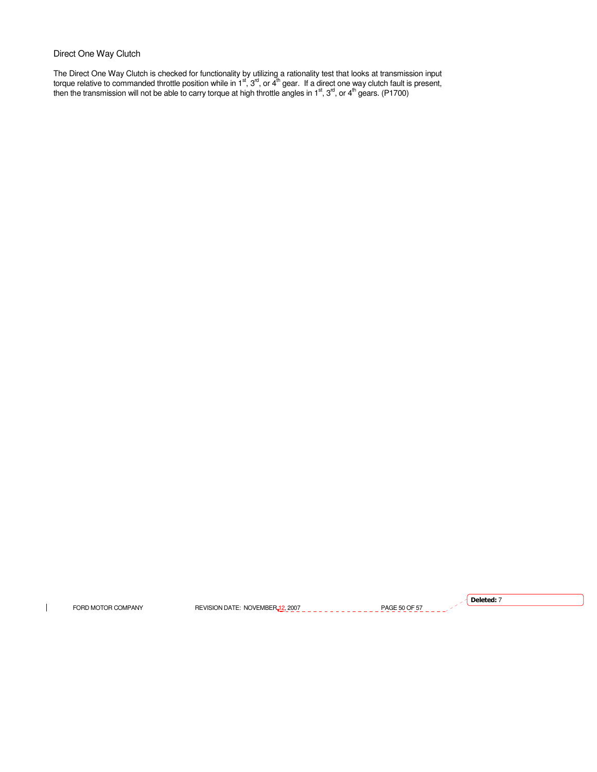# Direct One Way Clutch

The Direct One Way Clutch is checked for functionality by utilizing a rationality test that looks at transmission input torque relative to commanded throttle position while in  $1^{st}$ ,  $3^{rd}$ , or  $4^{th}$  gear. If a direct one way clutch fault is present, then the transmission will not be able to carry torque at high throttle angles in 1st, 3<sup>rd</sup>, or 4<sup>th</sup> gears. (P1700)

 $\mathbf{I}$ 

FORD MOTOR COMPANY REVISION DATE: NOVEMBER 12, 2007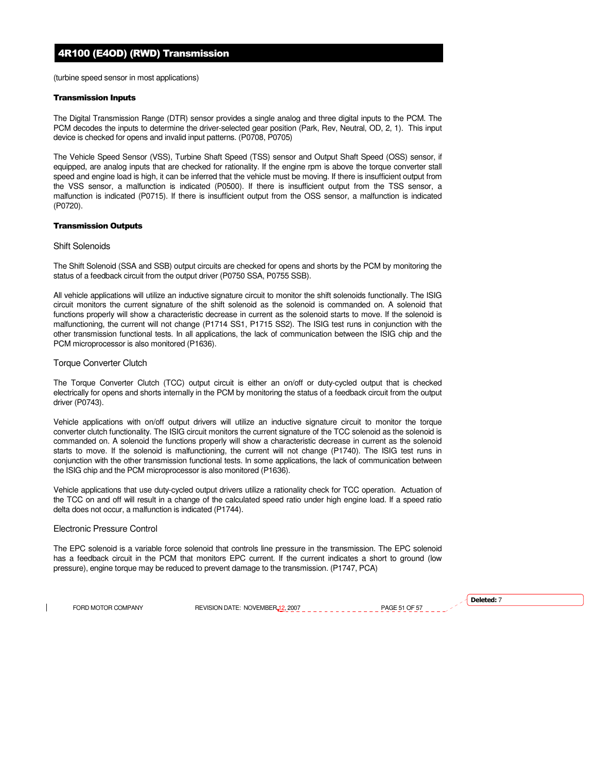(turbine speed sensor in most applications)

#### Transmission Inputs

The Digital Transmission Range (DTR) sensor provides a single analog and three digital inputs to the PCM. The PCM decodes the inputs to determine the driver-selected gear position (Park, Rev, Neutral, OD, 2, 1). This input device is checked for opens and invalid input patterns. (P0708, P0705)

The Vehicle Speed Sensor (VSS), Turbine Shaft Speed (TSS) sensor and Output Shaft Speed (OSS) sensor, if equipped, are analog inputs that are checked for rationality. If the engine rpm is above the torque converter stall speed and engine load is high, it can be inferred that the vehicle must be moving. If there is insufficient output from the VSS sensor, a malfunction is indicated (P0500). If there is insufficient output from the TSS sensor, a malfunction is indicated (P0715). If there is insufficient output from the OSS sensor, a malfunction is indicated (P0720).

#### Transmission Outputs

#### Shift Solenoids

The Shift Solenoid (SSA and SSB) output circuits are checked for opens and shorts by the PCM by monitoring the status of a feedback circuit from the output driver (P0750 SSA, P0755 SSB).

All vehicle applications will utilize an inductive signature circuit to monitor the shift solenoids functionally. The ISIG circuit monitors the current signature of the shift solenoid as the solenoid is commanded on. A solenoid that functions properly will show a characteristic decrease in current as the solenoid starts to move. If the solenoid is malfunctioning, the current will not change (P1714 SS1, P1715 SS2). The ISIG test runs in conjunction with the other transmission functional tests. In all applications, the lack of communication between the ISIG chip and the PCM microprocessor is also monitored (P1636).

# Torque Converter Clutch

The Torque Converter Clutch (TCC) output circuit is either an on/off or duty-cycled output that is checked electrically for opens and shorts internally in the PCM by monitoring the status of a feedback circuit from the output driver (P0743).

Vehicle applications with on/off output drivers will utilize an inductive signature circuit to monitor the torque converter clutch functionality. The ISIG circuit monitors the current signature of the TCC solenoid as the solenoid is commanded on. A solenoid the functions properly will show a characteristic decrease in current as the solenoid starts to move. If the solenoid is malfunctioning, the current will not change (P1740). The ISIG test runs in conjunction with the other transmission functional tests. In some applications, the lack of communication between the ISIG chip and the PCM microprocessor is also monitored (P1636).

Vehicle applications that use duty-cycled output drivers utilize a rationality check for TCC operation. Actuation of the TCC on and off will result in a change of the calculated speed ratio under high engine load. If a speed ratio delta does not occur, a malfunction is indicated (P1744).

# Electronic Pressure Control

The EPC solenoid is a variable force solenoid that controls line pressure in the transmission. The EPC solenoid has a feedback circuit in the PCM that monitors EPC current. If the current indicates a short to ground (low pressure), engine torque may be reduced to prevent damage to the transmission. (P1747, PCA)

FORD MOTOR COMPANY REVISION DATE: NOVEMBER 12, 2007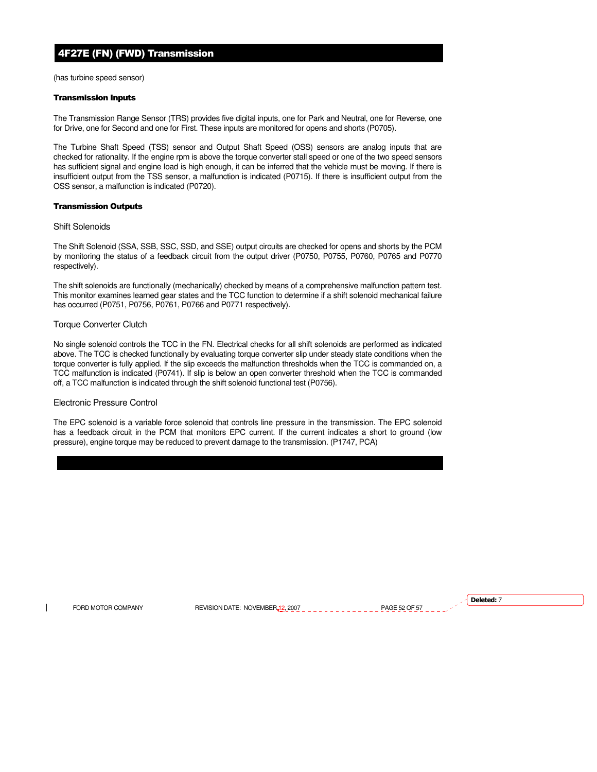# 4F27E (FN) (FWD) Transmission

(has turbine speed sensor)

## Transmission Inputs

The Transmission Range Sensor (TRS) provides five digital inputs, one for Park and Neutral, one for Reverse, one for Drive, one for Second and one for First. These inputs are monitored for opens and shorts (P0705).

The Turbine Shaft Speed (TSS) sensor and Output Shaft Speed (OSS) sensors are analog inputs that are checked for rationality. If the engine rpm is above the torque converter stall speed or one of the two speed sensors has sufficient signal and engine load is high enough, it can be inferred that the vehicle must be moving. If there is insufficient output from the TSS sensor, a malfunction is indicated (P0715). If there is insufficient output from the OSS sensor, a malfunction is indicated (P0720).

# Transmission Outputs

Shift Solenoids

The Shift Solenoid (SSA, SSB, SSC, SSD, and SSE) output circuits are checked for opens and shorts by the PCM by monitoring the status of a feedback circuit from the output driver (P0750, P0755, P0760, P0765 and P0770 respectively).

The shift solenoids are functionally (mechanically) checked by means of a comprehensive malfunction pattern test. This monitor examines learned gear states and the TCC function to determine if a shift solenoid mechanical failure has occurred (P0751, P0756, P0761, P0766 and P0771 respectively).

# Torque Converter Clutch

No single solenoid controls the TCC in the FN. Electrical checks for all shift solenoids are performed as indicated above. The TCC is checked functionally by evaluating torque converter slip under steady state conditions when the torque converter is fully applied. If the slip exceeds the malfunction thresholds when the TCC is commanded on, a TCC malfunction is indicated (P0741). If slip is below an open converter threshold when the TCC is commanded off, a TCC malfunction is indicated through the shift solenoid functional test (P0756).

# Electronic Pressure Control

The EPC solenoid is a variable force solenoid that controls line pressure in the transmission. The EPC solenoid has a feedback circuit in the PCM that monitors EPC current. If the current indicates a short to ground (low pressure), engine torque may be reduced to prevent damage to the transmission. (P1747, PCA)

FORD MOTOR COMPANY REVISION DATE: NOVEMBER 12, 2007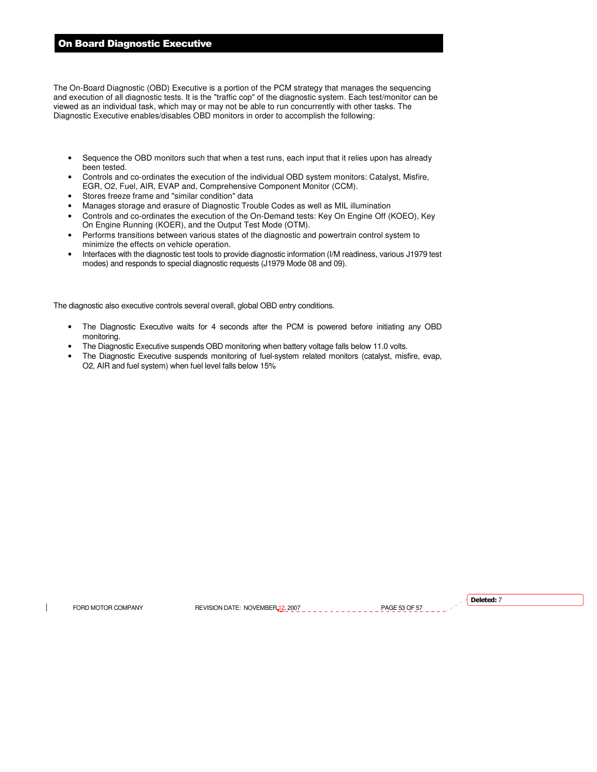# On Board Diagnostic Executive

The On-Board Diagnostic (OBD) Executive is a portion of the PCM strategy that manages the sequencing and execution of all diagnostic tests. It is the "traffic cop" of the diagnostic system. Each test/monitor can be viewed as an individual task, which may or may not be able to run concurrently with other tasks. The Diagnostic Executive enables/disables OBD monitors in order to accomplish the following:

- Sequence the OBD monitors such that when a test runs, each input that it relies upon has already been tested.
- Controls and co-ordinates the execution of the individual OBD system monitors: Catalyst, Misfire, EGR, O2, Fuel, AIR, EVAP and, Comprehensive Component Monitor (CCM).
- Stores freeze frame and "similar condition" data
- Manages storage and erasure of Diagnostic Trouble Codes as well as MIL illumination
- Controls and co-ordinates the execution of the On-Demand tests: Key On Engine Off (KOEO), Key On Engine Running (KOER), and the Output Test Mode (OTM).
- Performs transitions between various states of the diagnostic and powertrain control system to minimize the effects on vehicle operation.
- Interfaces with the diagnostic test tools to provide diagnostic information (I/M readiness, various J1979 test modes) and responds to special diagnostic requests (J1979 Mode 08 and 09).

The diagnostic also executive controls several overall, global OBD entry conditions.

- The Diagnostic Executive waits for 4 seconds after the PCM is powered before initiating any OBD monitoring.
- The Diagnostic Executive suspends OBD monitoring when battery voltage falls below 11.0 volts.
- The Diagnostic Executive suspends monitoring of fuel-system related monitors (catalyst, misfire, evap, O2, AIR and fuel system) when fuel level falls below 15%

 $\overline{\phantom{a}}$ 

FORD MOTOR COMPANY REVISION DATE: NOVEMBER 12, 2007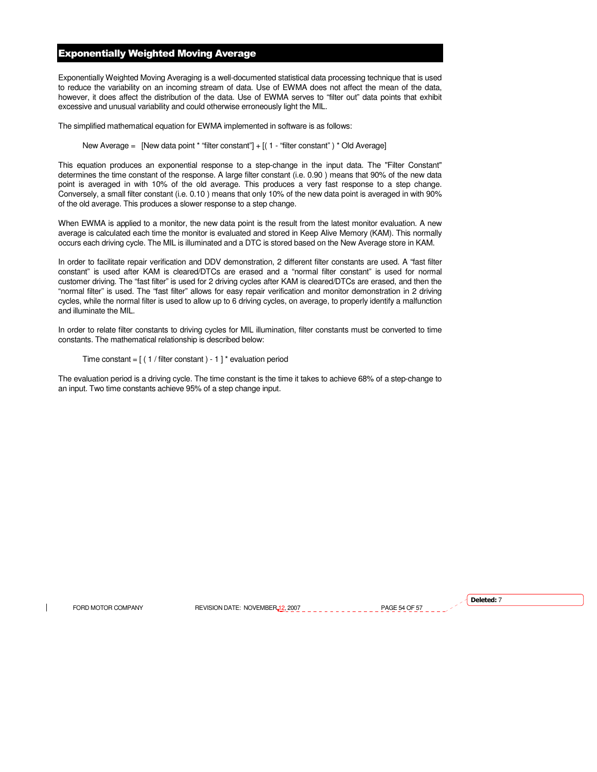# Exponentially Weighted Moving Average

Exponentially Weighted Moving Averaging is a well-documented statistical data processing technique that is used to reduce the variability on an incoming stream of data. Use of EWMA does not affect the mean of the data, however, it does affect the distribution of the data. Use of EWMA serves to "filter out" data points that exhibit excessive and unusual variability and could otherwise erroneously light the MIL.

The simplified mathematical equation for EWMA implemented in software is as follows:

## New Average = [New data point \* "filter constant"] + [( 1 - "filter constant" ) \* Old Average]

This equation produces an exponential response to a step-change in the input data. The "Filter Constant" determines the time constant of the response. A large filter constant (i.e. 0.90 ) means that 90% of the new data point is averaged in with 10% of the old average. This produces a very fast response to a step change. Conversely, a small filter constant (i.e. 0.10 ) means that only 10% of the new data point is averaged in with 90% of the old average. This produces a slower response to a step change.

When EWMA is applied to a monitor, the new data point is the result from the latest monitor evaluation. A new average is calculated each time the monitor is evaluated and stored in Keep Alive Memory (KAM). This normally occurs each driving cycle. The MIL is illuminated and a DTC is stored based on the New Average store in KAM.

In order to facilitate repair verification and DDV demonstration, 2 different filter constants are used. A "fast filter constant" is used after KAM is cleared/DTCs are erased and a "normal filter constant" is used for normal customer driving. The "fast filter" is used for 2 driving cycles after KAM is cleared/DTCs are erased, and then the "normal filter" is used. The "fast filter" allows for easy repair verification and monitor demonstration in 2 driving cycles, while the normal filter is used to allow up to 6 driving cycles, on average, to properly identify a malfunction and illuminate the MIL.

In order to relate filter constants to driving cycles for MIL illumination, filter constants must be converted to time constants. The mathematical relationship is described below:

Time constant =  $[(1 / \text{filter constant}) - 1]^*$  evaluation period

The evaluation period is a driving cycle. The time constant is the time it takes to achieve 68% of a step-change to an input. Two time constants achieve 95% of a step change input.

FORD MOTOR COMPANY REVISION DATE: NOVEMBER 12, 2007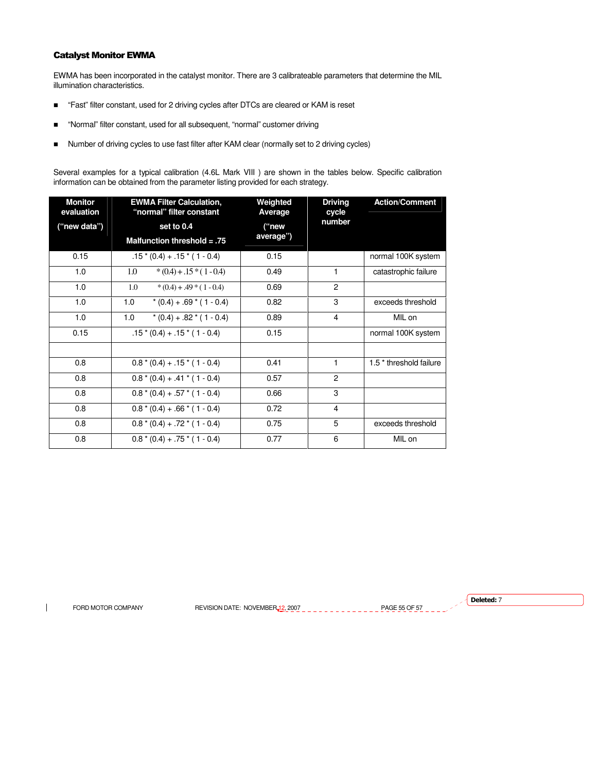# Catalyst Monitor EWMA

EWMA has been incorporated in the catalyst monitor. There are 3 calibrateable parameters that determine the MIL illumination characteristics.

- "Fast" filter constant, used for 2 driving cycles after DTCs are cleared or KAM is reset
- "Normal" filter constant, used for all subsequent, "normal" customer driving
- Number of driving cycles to use fast filter after KAM clear (normally set to 2 driving cycles)

Several examples for a typical calibration (4.6L Mark VIII ) are shown in the tables below. Specific calibration information can be obtained from the parameter listing provided for each strategy.

| <b>Monitor</b><br>evaluation | <b>EWMA Filter Calculation,</b><br>"normal" filter constant | Weighted<br>Average | <b>Driving</b><br>cycle | <b>Action/Comment</b>              |
|------------------------------|-------------------------------------------------------------|---------------------|-------------------------|------------------------------------|
| ("new data")                 | set to 0.4                                                  | ("new               | number                  |                                    |
|                              | Malfunction threshold = $.75$                               | average")           |                         |                                    |
| 0.15                         | $.15*(0.4) + .15*(1 - 0.4)$                                 | 0.15                |                         | normal 100K system                 |
| 1.0                          | 1.0<br>$*(0.4) + .15*(1 - 0.4)$                             | 0.49                | 1                       | catastrophic failure               |
| 1.0                          | 1.0<br>$*(0.4) + .49 * (1 - 0.4)$                           | 0.69                | $\overline{c}$          |                                    |
| 1.0                          | 1.0<br>$*(0.4) + .69 * (1 - 0.4)$                           | 0.82                | 3                       | exceeds threshold                  |
| 1.0                          | 1.0<br>$*(0.4) + .82 * (1 - 0.4)$                           | 0.89                | $\overline{4}$          | MIL on                             |
| 0.15                         | $.15*(0.4) + .15*(1 - 0.4)$                                 | 0.15                |                         | normal 100K system                 |
|                              |                                                             |                     |                         |                                    |
| 0.8                          | $0.8*(0.4) + .15*(1 - 0.4)$                                 | 0.41                | 1                       | 1.5 <sup>*</sup> threshold failure |
| 0.8                          | $0.8*(0.4) + .41*(1 - 0.4)$                                 | 0.57                | $\overline{c}$          |                                    |
| 0.8                          | $0.8*(0.4) + .57*(1 - 0.4)$                                 | 0.66                | 3                       |                                    |
| 0.8                          | $0.8*(0.4) + .66*(1 - 0.4)$                                 | 0.72                | 4                       |                                    |
| 0.8                          | $0.8*(0.4) + .72*(1 - 0.4)$                                 | 0.75                | 5                       | exceeds threshold                  |
| 0.8                          | $0.8*(0.4) + .75*(1 - 0.4)$                                 | 0.77                | 6                       | MIL on                             |

 $\overline{\phantom{a}}$ 

FORD MOTOR COMPANY REVISION DATE: NOVEMBER 12, 2007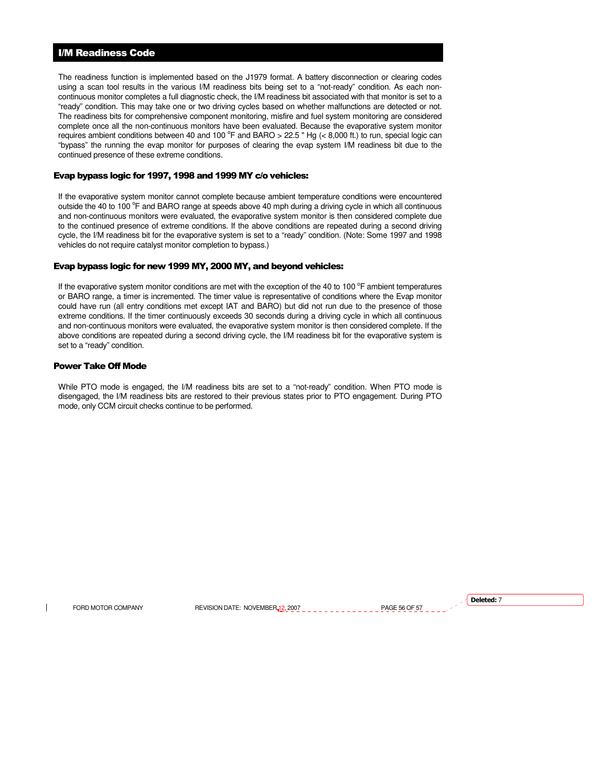# I/M Readiness Code

The readiness function is implemented based on the J1979 format. A battery disconnection or clearing codes using a scan tool results in the various I/M readiness bits being set to a "not-ready" condition. As each noncontinuous monitor completes a full diagnostic check, the I/M readiness bit associated with that monitor is set to a "ready" condition. This may take one or two driving cycles based on whether malfunctions are detected or not. The readiness bits for comprehensive component monitoring, misfire and fuel system monitoring are considered complete once all the non-continuous monitors have been evaluated. Because the evaporative system monitor requires ambient conditions between 40 and 100  $^{\circ}$ F and BARO > 22.5 " Hg (< 8,000 ft.) to run, special logic can "bypass" the running the evap monitor for purposes of clearing the evap system I/M readiness bit due to the continued presence of these extreme conditions.

# Evap bypass logic for 1997, 1998 and 1999 MY c/o vehicles:

If the evaporative system monitor cannot complete because ambient temperature conditions were encountered outside the 40 to 100 °F and BARO range at speeds above 40 mph during a driving cycle in which all continuous and non-continuous monitors were evaluated, the evaporative system monitor is then considered complete due to the continued presence of extreme conditions. If the above conditions are repeated during a second driving cycle, the I/M readiness bit for the evaporative system is set to a "ready" condition. (Note: Some 1997 and 1998 vehicles do not require catalyst monitor completion to bypass.)

# Evap bypass logic for new 1999 MY, 2000 MY, and beyond vehicles:

If the evaporative system monitor conditions are met with the exception of the 40 to 100  $\degree$ F ambient temperatures or BARO range, a timer is incremented. The timer value is representative of conditions where the Evap monitor could have run (all entry conditions met except IAT and BARO) but did not run due to the presence of those extreme conditions. If the timer continuously exceeds 30 seconds during a driving cycle in which all continuous and non-continuous monitors were evaluated, the evaporative system monitor is then considered complete. If the above conditions are repeated during a second driving cycle, the I/M readiness bit for the evaporative system is set to a "ready" condition.

#### Power Take Off Mode

While PTO mode is engaged, the I/M readiness bits are set to a "not-ready" condition. When PTO mode is disengaged, the I/M readiness bits are restored to their previous states prior to PTO engagement. During PTO mode, only CCM circuit checks continue to be performed.

FORD MOTOR COMPANY REVISION DATE: NOVEMBER 12, 2007